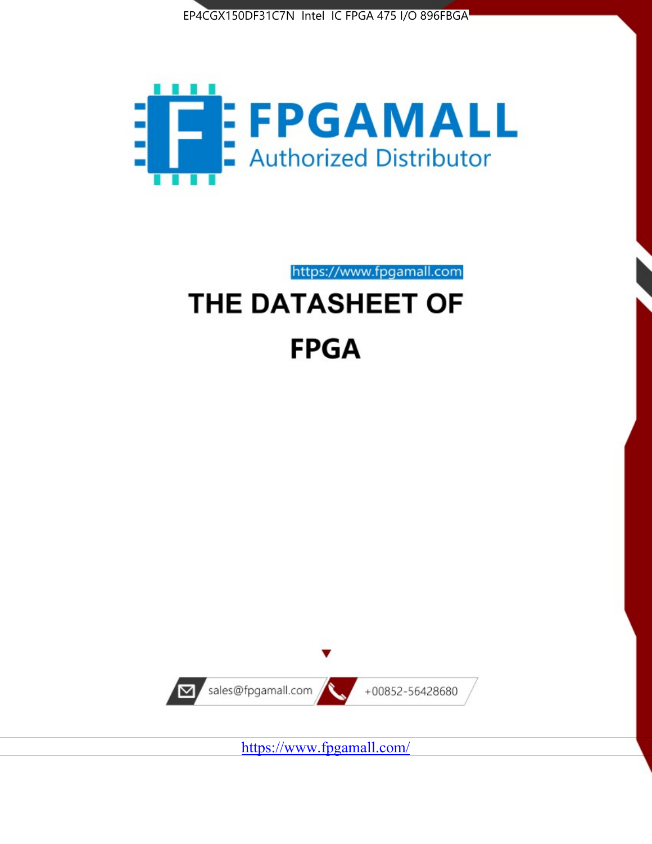



# https://www.fpgamall.com THE DATASHEET OF

# **FPGA**



<https://www.fpgamall.com/>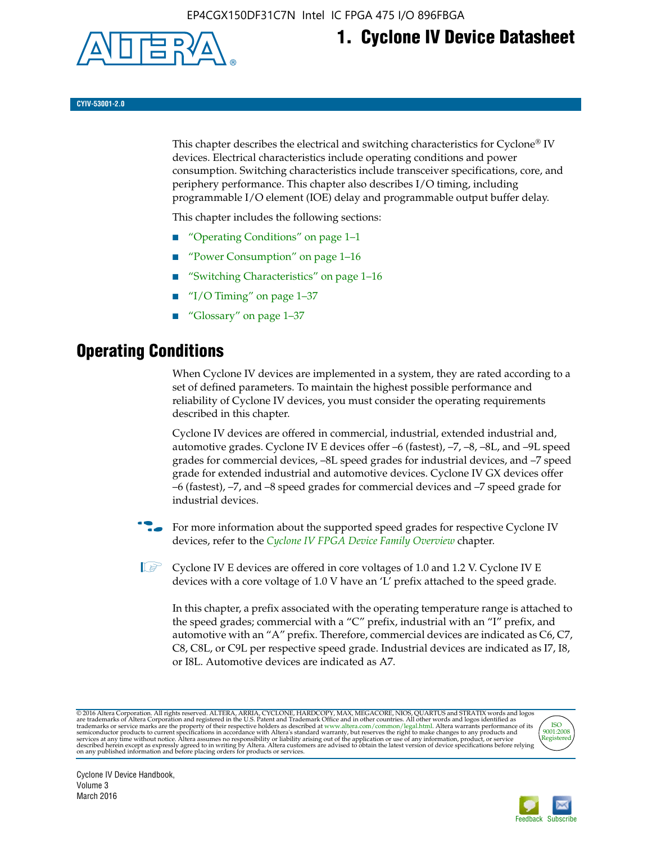

# **1. Cyclone IV Device Datasheet**

**CYIV-53001-2.0**

This chapter describes the electrical and switching characteristics for Cyclone<sup>®</sup> IV devices. Electrical characteristics include operating conditions and power consumption. Switching characteristics include transceiver specifications, core, and periphery performance. This chapter also describes I/O timing, including programmable I/O element (IOE) delay and programmable output buffer delay.

This chapter includes the following sections:

- "Operating Conditions" on page 1–1
- "Power Consumption" on page 1–16
- "Switching Characteristics" on page 1–16
- " $I/O$  Timing" on page  $1-37$
- "Glossary" on page 1–37

# **Operating Conditions**

When Cyclone IV devices are implemented in a system, they are rated according to a set of defined parameters. To maintain the highest possible performance and reliability of Cyclone IV devices, you must consider the operating requirements described in this chapter.

Cyclone IV devices are offered in commercial, industrial, extended industrial and, automotive grades. Cyclone IV E devices offer –6 (fastest), –7, –8, –8L, and –9L speed grades for commercial devices, –8L speed grades for industrial devices, and –7 speed grade for extended industrial and automotive devices. Cyclone IV GX devices offer –6 (fastest), –7, and –8 speed grades for commercial devices and –7 speed grade for industrial devices.

**For more information about the supported speed grades for respective Cyclone IV** devices, refer to the *[Cyclone IV FPGA Device Family Overview](http://www.altera.com/literature/hb/cyclone-iv/cyiv-51001.pdf)* chapter.

**1** Cyclone IV E devices are offered in core voltages of 1.0 and 1.2 V. Cyclone IV E devices with a core voltage of 1.0 V have an 'L' prefix attached to the speed grade.

In this chapter, a prefix associated with the operating temperature range is attached to the speed grades; commercial with a "C" prefix, industrial with an "I" prefix, and automotive with an "A" prefix. Therefore, commercial devices are indicated as C6, C7, C8, C8L, or C9L per respective speed grade. Industrial devices are indicated as I7, I8, or I8L. Automotive devices are indicated as A7.

@2016 Altera Corporation. All rights reserved. ALTERA, ARRIA, CYCLONE, HARDCOPY, MAX, MEGACORE, NIOS, QUARTUS and STRATIX words and logos are trademarks of Altera Corporation and registered in the U.S. Patent and Trademark



Cyclone IV Device Handbook, Volume 3 March 2016

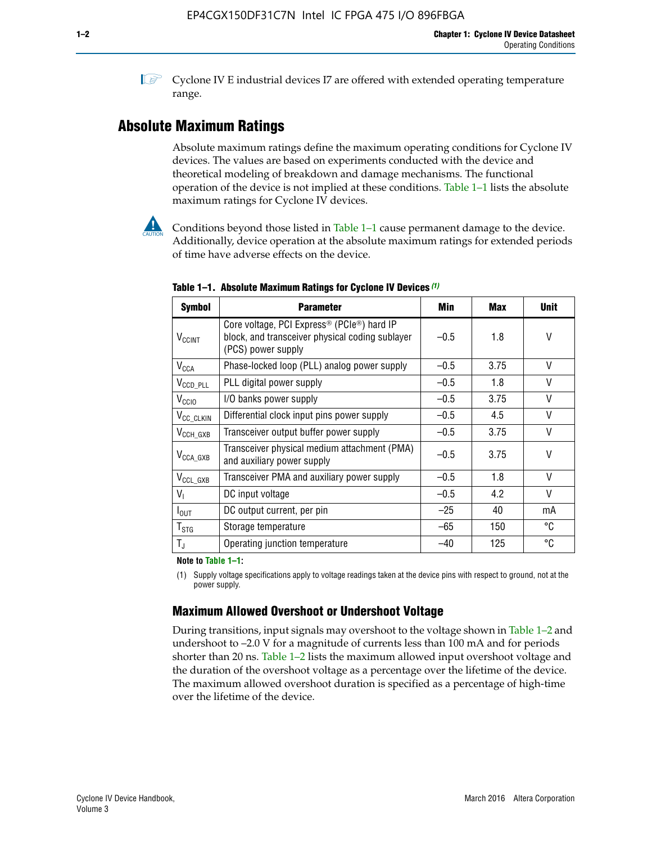**1 Cyclone IV E industrial devices I7 are offered with extended operating temperature** range.

# **Absolute Maximum Ratings**

Absolute maximum ratings define the maximum operating conditions for Cyclone IV devices. The values are based on experiments conducted with the device and theoretical modeling of breakdown and damage mechanisms. The functional operation of the device is not implied at these conditions. Table 1–1 lists the absolute maximum ratings for Cyclone IV devices.



**Conditions beyond those listed in Table 1–1 cause permanent damage to the device.** Additionally, device operation at the absolute maximum ratings for extended periods of time have adverse effects on the device.

| <b>Symbol</b>              | <b>Parameter</b>                                                                                                                             | Min    | Max  | <b>Unit</b>  |
|----------------------------|----------------------------------------------------------------------------------------------------------------------------------------------|--------|------|--------------|
| <b>V<sub>CCINT</sub></b>   | Core voltage, PCI Express <sup>®</sup> (PCIe <sup>®</sup> ) hard IP<br>block, and transceiver physical coding sublayer<br>(PCS) power supply | $-0.5$ | 1.8  | V            |
| $V_{CCA}$                  | Phase-locked loop (PLL) analog power supply                                                                                                  | $-0.5$ | 3.75 | V            |
| $V_{\text{CCD\_PLL}}$      | PLL digital power supply                                                                                                                     | $-0.5$ | 1.8  | V            |
| V <sub>CCIO</sub>          | I/O banks power supply                                                                                                                       | $-0.5$ | 3.75 | $\vee$       |
| V <sub>CC_CLKIN</sub>      | Differential clock input pins power supply                                                                                                   | $-0.5$ | 4.5  | $\mathsf{V}$ |
| $V_{CCH_GXB}$              | Transceiver output buffer power supply                                                                                                       | $-0.5$ | 3.75 | V            |
| $V_{\text{CCA\_GXB}}$      | Transceiver physical medium attachment (PMA)<br>and auxiliary power supply                                                                   | $-0.5$ | 3.75 | $\vee$       |
| $V_{CCL_GXB}$              | Transceiver PMA and auxiliary power supply                                                                                                   | $-0.5$ | 1.8  | $\mathsf{V}$ |
| $V_{1}$                    | DC input voltage                                                                                                                             | $-0.5$ | 4.2  | $\vee$       |
| $I_{\text{OUT}}$           | DC output current, per pin                                                                                                                   | $-25$  | 40   | mA           |
| ${\mathsf T}_{\text{STG}}$ | Storage temperature                                                                                                                          | $-65$  | 150  | °C           |
| $T_{\rm J}$                | Operating junction temperature                                                                                                               | $-40$  | 125  | °C           |

**Table 1–1. Absolute Maximum Ratings for Cyclone IV Devices** *(1)*

**Note to Table 1–1:**

(1) Supply voltage specifications apply to voltage readings taken at the device pins with respect to ground, not at the power supply.

# **Maximum Allowed Overshoot or Undershoot Voltage**

During transitions, input signals may overshoot to the voltage shown in Table 1–2 and undershoot to –2.0 V for a magnitude of currents less than 100 mA and for periods shorter than 20 ns. Table 1–2 lists the maximum allowed input overshoot voltage and the duration of the overshoot voltage as a percentage over the lifetime of the device. The maximum allowed overshoot duration is specified as a percentage of high-time over the lifetime of the device.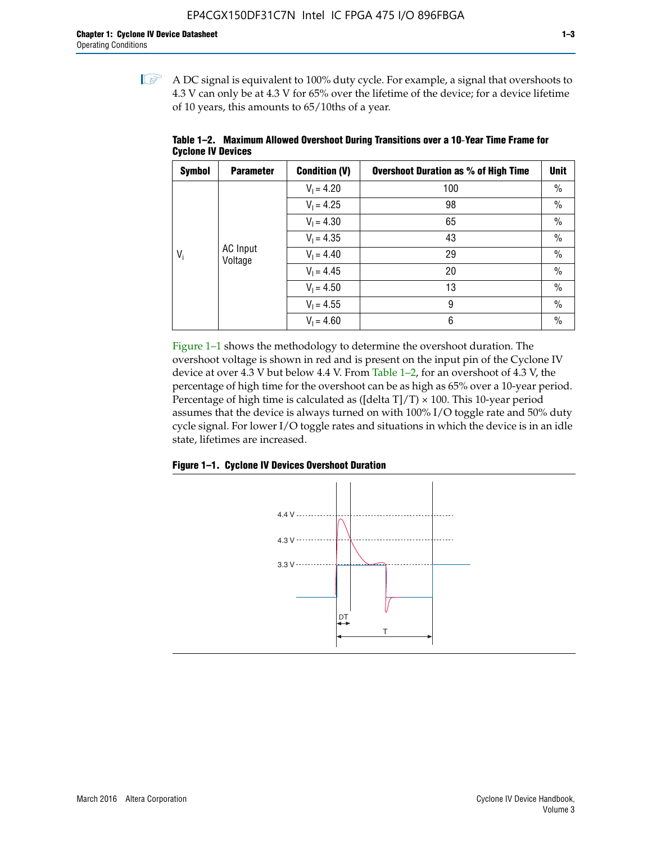$\mathbb{I}$  A DC signal is equivalent to 100% duty cycle. For example, a signal that overshoots to 4.3 V can only be at 4.3 V for 65% over the lifetime of the device; for a device lifetime of 10 years, this amounts to 65/10ths of a year.

| <b>Symbol</b> | <b>Parameter</b> | <b>Condition (V)</b> | <b>Overshoot Duration as % of High Time</b> | <b>Unit</b>   |                 |  |  |  |              |    |
|---------------|------------------|----------------------|---------------------------------------------|---------------|-----------------|--|--|--|--------------|----|
|               |                  | $V_1 = 4.20$         | 100                                         | $\%$          |                 |  |  |  |              |    |
|               |                  | $V_1 = 4.25$         | 98                                          | $\%$          |                 |  |  |  |              |    |
|               |                  |                      | $V_1 = 4.30$                                | 65            | $\%$            |  |  |  |              |    |
| $V_i$         |                  | $V_1 = 4.35$         | 43                                          | $\frac{0}{0}$ |                 |  |  |  |              |    |
|               | Voltage          |                      |                                             |               | <b>AC</b> Input |  |  |  | $V_1 = 4.40$ | 29 |
|               |                  | $V_1 = 4.45$         | 20                                          | $\%$          |                 |  |  |  |              |    |
|               |                  | $V_1 = 4.50$         | 13                                          | $\%$          |                 |  |  |  |              |    |
|               |                  | $V_1 = 4.55$         | 9                                           | $\%$          |                 |  |  |  |              |    |
|               |                  | $V_1 = 4.60$         | 6                                           | $\%$          |                 |  |  |  |              |    |

**Table 1–2. Maximum Allowed Overshoot During Transitions over a 10**-**Year Time Frame for Cyclone IV Devices**

Figure 1–1 shows the methodology to determine the overshoot duration. The overshoot voltage is shown in red and is present on the input pin of the Cyclone IV device at over 4.3 V but below 4.4 V. From Table 1–2, for an overshoot of 4.3 V, the percentage of high time for the overshoot can be as high as 65% over a 10-year period. Percentage of high time is calculated as ([delta  $T$ ]/T)  $\times$  100. This 10-year period assumes that the device is always turned on with 100% I/O toggle rate and 50% duty cycle signal. For lower I/O toggle rates and situations in which the device is in an idle state, lifetimes are increased.



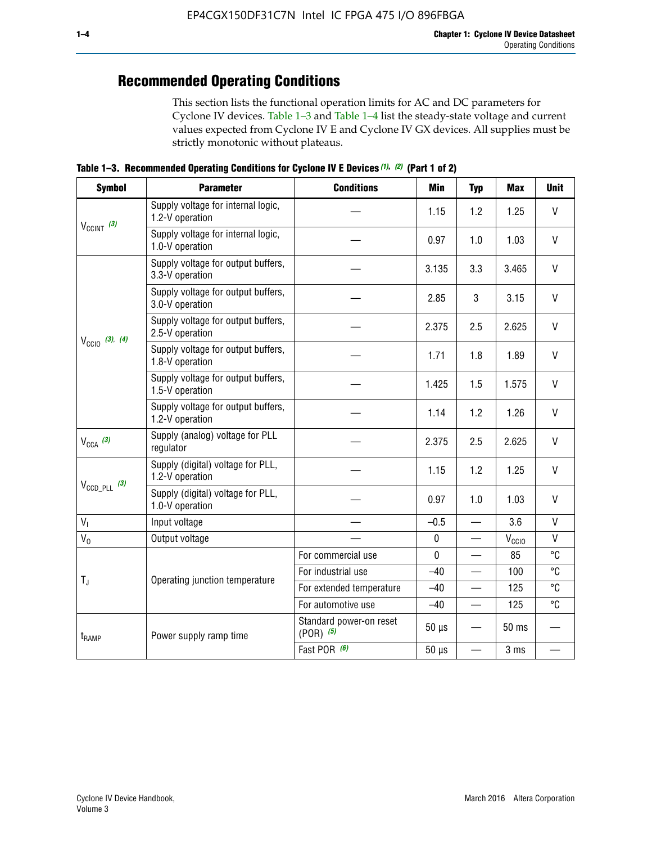# **Recommended Operating Conditions**

This section lists the functional operation limits for AC and DC parameters for Cyclone IV devices. Table 1–3 and Table 1–4 list the steady-state voltage and current values expected from Cyclone IV E and Cyclone IV GX devices. All supplies must be strictly monotonic without plateaus.

**Table 1–3. Recommended Operating Conditions for Cyclone IV E Devices** *(1)***,** *(2)* **(Part 1 of 2)**

| <b>Symbol</b>              | <b>Parameter</b>                                      | <b>Conditions</b>                      | <b>Min</b>  | <b>Typ</b>               | <b>Max</b> | <b>Unit</b>  |
|----------------------------|-------------------------------------------------------|----------------------------------------|-------------|--------------------------|------------|--------------|
|                            | Supply voltage for internal logic,<br>1.2-V operation |                                        | 1.15        | 1.2                      | 1.25       | V            |
| $V_{CClNT}$ (3)            | Supply voltage for internal logic,<br>1.0-V operation |                                        | 0.97        | 1.0                      | 1.03       | $\mathsf{V}$ |
|                            | Supply voltage for output buffers,<br>3.3-V operation |                                        | 3.135       | 3.3                      | 3.465      | $\vee$       |
| $V_{\text{CCIO}}$ (3), (4) | Supply voltage for output buffers,<br>3.0-V operation |                                        | 2.85        | 3                        | 3.15       | V            |
|                            | Supply voltage for output buffers,<br>2.5-V operation |                                        | 2.375       | 2.5                      | 2.625      | $\vee$       |
|                            | Supply voltage for output buffers,<br>1.8-V operation |                                        | 1.71        | 1.8                      | 1.89       | $\mathsf{V}$ |
|                            | Supply voltage for output buffers,<br>1.5-V operation |                                        | 1.425       | 1.5                      | 1.575      | V            |
|                            | Supply voltage for output buffers,<br>1.2-V operation |                                        | 1.14        | 1.2                      | 1.26       | V            |
| $V_{CCA}$ (3)              | Supply (analog) voltage for PLL<br>regulator          |                                        | 2.375       | 2.5                      | 2.625      | $\vee$       |
|                            | Supply (digital) voltage for PLL,<br>1.2-V operation  |                                        | 1.15        | 1.2                      | 1.25       | V            |
|                            | Supply (digital) voltage for PLL,<br>1.0-V operation  |                                        | 0.97        | 1.0                      | 1.03       | $\vee$       |
| $V_{I}$                    | Input voltage                                         |                                        | $-0.5$      | $\equiv$                 | 3.6        | $\mathsf{V}$ |
| $V_0$                      | Output voltage                                        |                                        | $\pmb{0}$   |                          | $V_{CCIO}$ | V            |
|                            |                                                       | For commercial use                     | $\mathbf 0$ |                          | 85         | °C           |
|                            | Operating junction temperature                        | For industrial use                     | $-40$       |                          | 100        | °C           |
| $T_{\rm J}$                |                                                       | For extended temperature               | $-40$       |                          | 125        | °C           |
|                            |                                                       | For automotive use                     | $-40$       | $\qquad \qquad$          | 125        | °C           |
| $t_{\rm{RAMP}}$            | Power supply ramp time                                | Standard power-on reset<br>$(POR)$ (5) | $50 \mu s$  |                          | 50 ms      |              |
| $V_{\text{CCD\_PLL}}$ (3)  |                                                       | Fast POR (6)                           | $50 \mu s$  | $\overline{\phantom{0}}$ | 3 ms       |              |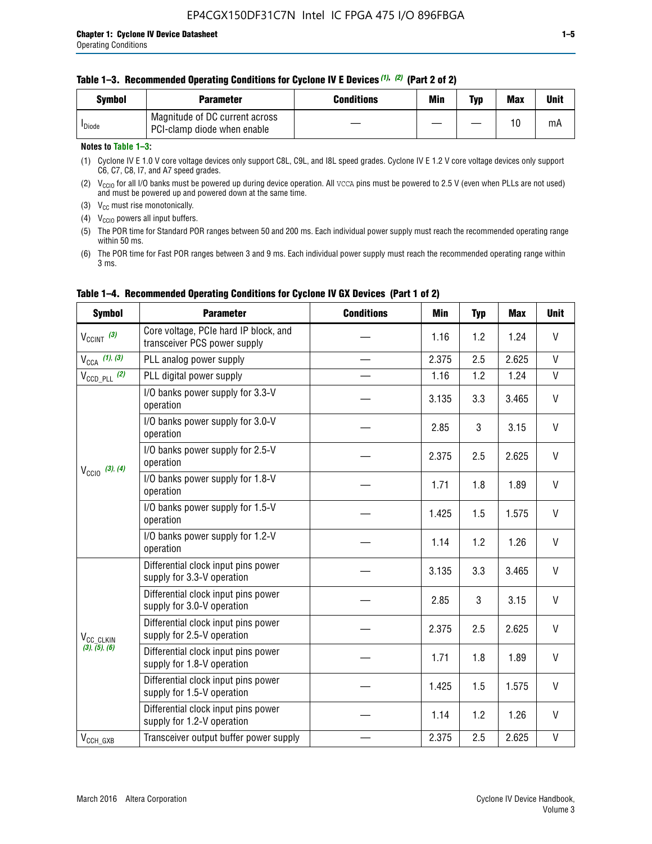| <b>Symbol</b>      | Parameter                                                     | <b>Conditions</b> | Min | Typ | <b>Max</b> | <b>Unit</b> |
|--------------------|---------------------------------------------------------------|-------------------|-----|-----|------------|-------------|
| <sup>I</sup> Diode | Magnitude of DC current across<br>PCI-clamp diode when enable |                   |     |     | 10         | mA          |

### **Notes to Table 1–3:**

(1) Cyclone IV E 1.0 V core voltage devices only support C8L, C9L, and I8L speed grades. Cyclone IV E 1.2 V core voltage devices only support C6, C7, C8, I7, and A7 speed grades.

(2)  $V_{CCIO}$  for all I/O banks must be powered up during device operation. All vcca pins must be powered to 2.5 V (even when PLLs are not used) and must be powered up and powered down at the same time.

(3)  $V_{CC}$  must rise monotonically.

(4)  $V_{\text{CCIO}}$  powers all input buffers.

(5) The POR time for Standard POR ranges between 50 and 200 ms. Each individual power supply must reach the recommended operating range within 50 ms.

(6) The POR time for Fast POR ranges between 3 and 9 ms. Each individual power supply must reach the recommended operating range within 3 ms.

| <b>Symbol</b>              | <b>Parameter</b>                                                      | <b>Conditions</b> | Min   | <b>Typ</b> | <b>Max</b> | <b>Unit</b>  |
|----------------------------|-----------------------------------------------------------------------|-------------------|-------|------------|------------|--------------|
| $V_{CClNT}$ (3)            | Core voltage, PCIe hard IP block, and<br>transceiver PCS power supply |                   | 1.16  | 1.2        | 1.24       | V            |
| $V_{CCA}$ (1), (3)         | PLL analog power supply                                               |                   | 2.375 | 2.5        | 2.625      | $\mathsf{V}$ |
| $V_{\text{CCD\_PLL}}$ (2)  | PLL digital power supply                                              |                   | 1.16  | 1.2        | 1.24       | $\mathsf{V}$ |
| $V_{\text{CC10}}$ (3), (4) | I/O banks power supply for 3.3-V<br>operation                         |                   | 3.135 | 3.3        | 3.465      | V            |
|                            | I/O banks power supply for 3.0-V<br>operation                         |                   | 2.85  | 3          | 3.15       | V            |
|                            | I/O banks power supply for 2.5-V<br>operation                         |                   | 2.375 | 2.5        | 2.625      | V            |
|                            | I/O banks power supply for 1.8-V<br>operation                         |                   | 1.71  | 1.8        | 1.89       | V            |
|                            | I/O banks power supply for 1.5-V<br>operation                         |                   | 1.425 | 1.5        | 1.575      | V            |
|                            | I/O banks power supply for 1.2-V<br>operation                         |                   | 1.14  | 1.2        | 1.26       | $\mathsf{V}$ |
|                            | Differential clock input pins power<br>supply for 3.3-V operation     |                   | 3.135 | 3.3        | 3.465      | V            |
|                            | Differential clock input pins power<br>supply for 3.0-V operation     |                   | 2.85  | 3          | 3.15       | V            |
| V <sub>CC_CLKIN</sub>      | Differential clock input pins power<br>supply for 2.5-V operation     |                   | 2.375 | 2.5        | 2.625      | V            |
| (3), (5), (6)              | Differential clock input pins power<br>supply for 1.8-V operation     |                   | 1.71  | 1.8        | 1.89       | $\vee$       |
|                            | Differential clock input pins power<br>supply for 1.5-V operation     |                   | 1.425 | 1.5        | 1.575      | V            |
|                            | Differential clock input pins power<br>supply for 1.2-V operation     |                   | 1.14  | 1.2        | 1.26       | V            |
| $V_{CCH_GXB}$              | Transceiver output buffer power supply                                |                   | 2.375 | 2.5        | 2.625      | $\mathsf{V}$ |

# **Table 1–4. Recommended Operating Conditions for Cyclone IV GX Devices (Part 1 of 2)**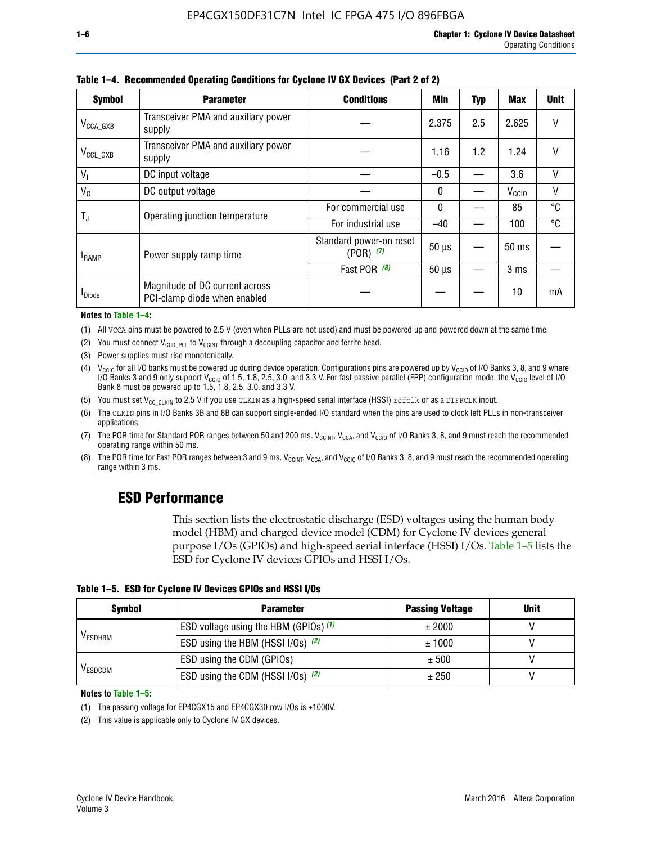| <b>Symbol</b>         | <b>Parameter</b>                                               | <b>Conditions</b><br><b>Min</b>          |              |     |                   |        |
|-----------------------|----------------------------------------------------------------|------------------------------------------|--------------|-----|-------------------|--------|
| $V_{\text{CCA\_GXB}}$ | Transceiver PMA and auxiliary power<br>supply                  |                                          | 2.375        | 2.5 | 2.625             |        |
| $V_{CCL_GXB}$         | Transceiver PMA and auxiliary power<br>supply                  |                                          | 1.16         | 1.2 | 1.24              | V      |
| $V_{1}$               | DC input voltage                                               |                                          | $-0.5$       |     | 3.6               | $\vee$ |
| $V_0$                 | DC output voltage                                              |                                          | 0            |     | V <sub>CCIO</sub> | V      |
| T,                    | Operating junction temperature                                 | For commercial use                       | $\mathbf{0}$ |     | 85                | °C     |
|                       |                                                                | For industrial use                       | $-40$        |     | 100               | °C     |
| $t_{\rm{RAMP}}$       | Power supply ramp time                                         | Standard power-on reset<br>$(POR)$ $(7)$ | $50 \mu s$   |     | $50$ ms           |        |
|                       |                                                                | Fast POR $(8)$                           | $50 \mu s$   |     | 3 <sub>ms</sub>   |        |
| <b>I</b> Diode        | Magnitude of DC current across<br>PCI-clamp diode when enabled |                                          |              |     | 10                | mA     |

**Table 1–4. Recommended Operating Conditions for Cyclone IV GX Devices (Part 2 of 2)**

**Notes to Table 1–4:**

- (1) All VCCA pins must be powered to 2.5 V (even when PLLs are not used) and must be powered up and powered down at the same time.
- (2) You must connect  $V_{CCD-PLL}$  to  $V_{CCINT}$  through a decoupling capacitor and ferrite bead.
- (3) Power supplies must rise monotonically.
- (4)  $V_{\text{CCIO}}$  for all I/O banks must be powered up during device operation. Configurations pins are powered up by V<sub>CCIO</sub> of I/O Banks 3, 8, and 9 where I/O Banks 3 and 9 only support V<sub>CCIO</sub> of 1.5, 1.8, 2.5, 3.0, and 3.3 V. For fast passive parallel (FPP) configuration mode, the V<sub>CCIO</sub> level of I/O<br>Bank 8 must be powered up to 1.5, 1.8, 2.5, 3.0, and 3.3 V.
- (5) You must set  $V_{CC_CCLKIN}$  to 2.5 V if you use CLKIN as a high-speed serial interface (HSSI) refclk or as a DIFFCLK input.
- (6) The CLKIN pins in I/O Banks 3B and 8B can support single-ended I/O standard when the pins are used to clock left PLLs in non-transceiver applications.
- (7) The POR time for Standard POR ranges between 50 and 200 ms.  $V_{\text{CCIA}}$ ,  $V_{\text{CCIA}}$ , and  $V_{\text{CCIO}}$  of I/O Banks 3, 8, and 9 must reach the recommended operating range within 50 ms.
- (8) The POR time for Fast POR ranges between 3 and 9 ms.  $V_{\text{CCH},T}$ ,  $V_{\text{CCA}}$ , and  $V_{\text{CCI}}$  of I/O Banks 3, 8, and 9 must reach the recommended operating range within 3 ms.

# **ESD Performance**

This section lists the electrostatic discharge (ESD) voltages using the human body model (HBM) and charged device model (CDM) for Cyclone IV devices general purpose I/Os (GPIOs) and high-speed serial interface (HSSI) I/Os. Table 1–5 lists the ESD for Cyclone IV devices GPIOs and HSSI I/Os.

|  | Table 1–5. ESD for Cyclone IV Devices GPIOs and HSSI I/Os |  |
|--|-----------------------------------------------------------|--|
|--|-----------------------------------------------------------|--|

| <b>Symbol</b>  | <b>Parameter</b>                      | <b>Passing Voltage</b> | <b>Unit</b> |
|----------------|---------------------------------------|------------------------|-------------|
|                | ESD voltage using the HBM (GPIOs) (1) | ± 2000                 |             |
| <b>VESDHBM</b> | ESD using the HBM (HSSI I/Os) (2)     | ± 1000                 |             |
|                | ESD using the CDM (GPIOs)             | ± 500                  |             |
| <b>VESDCDM</b> | ESD using the CDM (HSSI I/Os) (2)     | ± 250                  |             |

#### **Notes to Table 1–5:**

(1) The passing voltage for EP4CGX15 and EP4CGX30 row I/Os is ±1000V.

(2) This value is applicable only to Cyclone IV GX devices.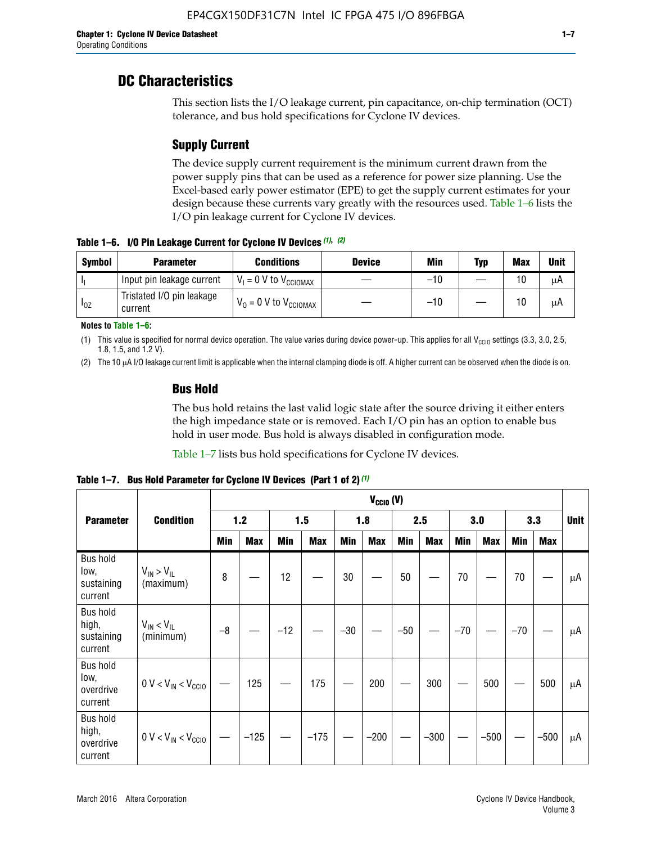# **DC Characteristics**

This section lists the I/O leakage current, pin capacitance, on-chip termination (OCT) tolerance, and bus hold specifications for Cyclone IV devices.

# **Supply Current**

The device supply current requirement is the minimum current drawn from the power supply pins that can be used as a reference for power size planning. Use the Excel-based early power estimator (EPE) to get the supply current estimates for your design because these currents vary greatly with the resources used. Table 1–6 lists the I/O pin leakage current for Cyclone IV devices.

**Table 1–6. I/O Pin Leakage Current for Cyclone IV Devices** *(1)***,** *(2)*

| <b>Symbol</b> | <b>Parameter</b>                     | <b>Conditions</b>                   | <b>Device</b> | Min   | Typ | <b>Max</b> | <b>Unit</b> |
|---------------|--------------------------------------|-------------------------------------|---------------|-------|-----|------------|-------------|
| -lı           | Input pin leakage current            | $V_1 = 0$ V to $V_{\text{CCIOMAX}}$ |               | $-10$ |     | 10         | μA          |
| $I_{0Z}$      | Tristated I/O pin leakage<br>current | $V_0 = 0$ V to $V_{\text{CCIOMAX}}$ |               | $-10$ |     | 10         | μA          |

**Notes to Table 1–6:**

(1) This value is specified for normal device operation. The value varies during device power-up. This applies for all V<sub>CCIO</sub> settings (3.3, 3.0, 2.5, 1.8, 1.5, and 1.2 V).

(2) The 10 µA I/O leakage current limit is applicable when the internal clamping diode is off. A higher current can be observed when the diode is on.

# **Bus Hold**

The bus hold retains the last valid logic state after the source driving it either enters the high impedance state or is removed. Each I/O pin has an option to enable bus hold in user mode. Bus hold is always disabled in configuration mode.

Table 1–7 lists bus hold specifications for Cyclone IV devices.

|                                                   |                                  | $V_{CCIO} (V)$ |            |       |            |            |            |            |            |       |            |       |            |             |
|---------------------------------------------------|----------------------------------|----------------|------------|-------|------------|------------|------------|------------|------------|-------|------------|-------|------------|-------------|
| <b>Parameter</b>                                  | <b>Condition</b>                 |                | 1.2        |       | 1.5        |            | 1.8        |            | 2.5        |       | 3.0        |       | 3.3        | <b>Unit</b> |
|                                                   |                                  | <b>Min</b>     | <b>Max</b> | Min   | <b>Max</b> | <b>Min</b> | <b>Max</b> | <b>Min</b> | <b>Max</b> | Min   | <b>Max</b> | Min   | <b>Max</b> |             |
| <b>Bus hold</b><br>low,<br>sustaining<br>current  | $V_{IN}$ > $V_{IL}$<br>(maximum) | 8              |            | 12    |            | 30         |            | 50         |            | 70    |            | 70    |            | μA          |
| <b>Bus hold</b><br>high,<br>sustaining<br>current | $V_{IN}$ < $V_{IL}$<br>(minimum) | $-8$           |            | $-12$ |            | $-30$      |            | $-50$      |            | $-70$ |            | $-70$ |            | μA          |
| <b>Bus hold</b><br>low,<br>overdrive<br>current   | $0 V < V_{IN} < V_{CG10}$        |                | 125        |       | 175        |            | 200        |            | 300        |       | 500        |       | 500        | μA          |
| <b>Bus hold</b><br>high,<br>overdrive<br>current  | $0 V < V_{IN} < V_{CG10}$        |                | $-125$     |       | $-175$     |            | $-200$     |            | $-300$     |       | $-500$     |       | $-500$     | μA          |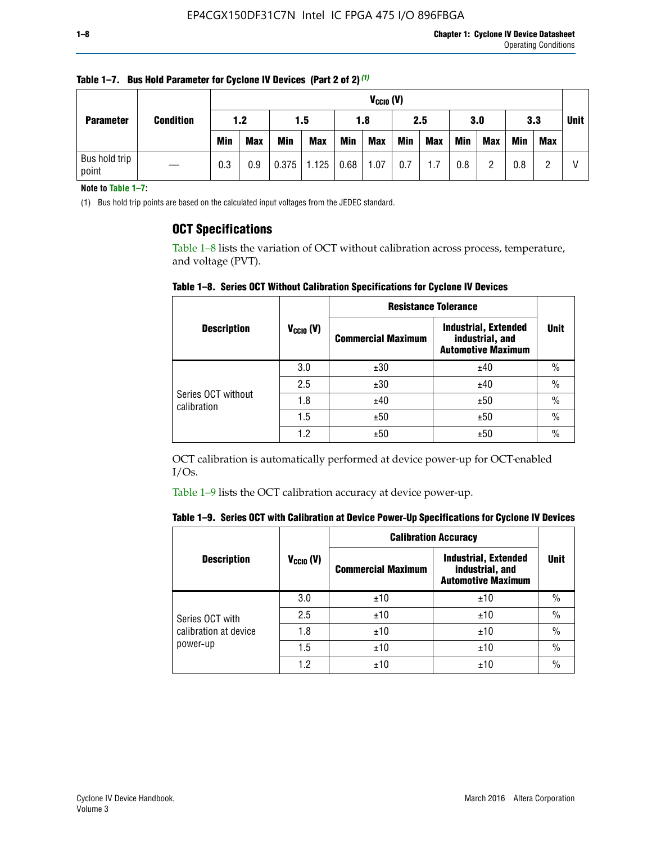| <b>Parameter</b>       |                  |            | $V_{CClO}$ (V) |            |            |      |            |     |     |     |            |             |     |  |
|------------------------|------------------|------------|----------------|------------|------------|------|------------|-----|-----|-----|------------|-------------|-----|--|
|                        | <b>Condition</b> | 1.2<br>1.5 |                |            | 1.8        | 2.5  |            | 3.0 |     | 3.3 |            | <b>Unit</b> |     |  |
|                        |                  | <b>Min</b> | <b>Max</b>     | <b>Min</b> | <b>Max</b> | Min  | <b>Max</b> | Min | Max | Min | <b>Max</b> | <b>Min</b>  | Max |  |
| Bus hold trip<br>point |                  | 0.3        | 0.9            | 0.375      | 1.125      | 0.68 | 1.07       | 0.7 | 1.7 | 0.8 | റ          | 0.8         |     |  |

**Table 1–7. Bus Hold Parameter for Cyclone IV Devices (Part 2 of 2)** *(1)*

**Note to Table 1–7:**

(1) Bus hold trip points are based on the calculated input voltages from the JEDEC standard.

# **OCT Specifications**

Table 1–8 lists the variation of OCT without calibration across process, temperature, and voltage (PVT).

**Table 1–8. Series OCT Without Calibration Specifications for Cyclone IV Devices**

|                                   |                | <b>Resistance Tolerance</b> |                                                                             |               |
|-----------------------------------|----------------|-----------------------------|-----------------------------------------------------------------------------|---------------|
| <b>Description</b>                | $V_{CCIO} (V)$ | <b>Commercial Maximum</b>   | <b>Industrial, Extended</b><br>industrial, and<br><b>Automotive Maximum</b> | <b>Unit</b>   |
|                                   | 3.0            | ±30                         | ±40                                                                         | $\%$          |
|                                   | 2.5            | ±30                         | ±40                                                                         | $\frac{0}{0}$ |
| Series OCT without<br>calibration | 1.8            | ±40                         | ±50                                                                         | $\frac{0}{0}$ |
|                                   | 1.5            | ±50                         | ±50                                                                         | $\frac{0}{0}$ |
|                                   | 1.2            | ±50                         | ±50                                                                         | $\frac{0}{0}$ |

OCT calibration is automatically performed at device power-up for OCT-enabled I/Os.

Table 1–9 lists the OCT calibration accuracy at device power-up.

|  | Table 1–9.  Series OCT with Calibration at Device Power-Up Specifications for Cyclone IV Devices |  |  |  |
|--|--------------------------------------------------------------------------------------------------|--|--|--|
|--|--------------------------------------------------------------------------------------------------|--|--|--|

|                       |                | <b>Calibration Accuracy</b> |                                                                             |               |  |
|-----------------------|----------------|-----------------------------|-----------------------------------------------------------------------------|---------------|--|
| <b>Description</b>    | $V_{CGI0} (V)$ | <b>Commercial Maximum</b>   | <b>Industrial, Extended</b><br>industrial, and<br><b>Automotive Maximum</b> | Unit          |  |
|                       | 3.0            | ±10                         | ±10                                                                         | $\%$          |  |
| Series OCT with       | 2.5            | ±10                         | ±10                                                                         | $\%$          |  |
| calibration at device | 1.8            | ±10                         | ±10                                                                         | $\frac{0}{0}$ |  |
| power-up              | 1.5            | ±10                         | ±10                                                                         | $\frac{0}{0}$ |  |
|                       | 1.2            | ±10                         | ±10                                                                         | $\frac{0}{0}$ |  |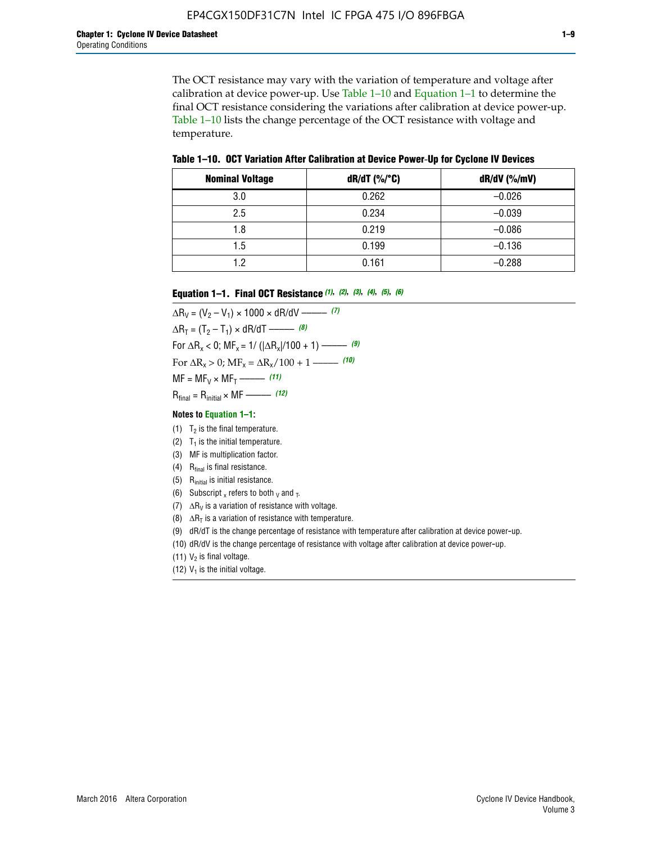The OCT resistance may vary with the variation of temperature and voltage after calibration at device power-up. Use Table 1–10 and Equation 1–1 to determine the final OCT resistance considering the variations after calibration at device power-up. Table 1–10 lists the change percentage of the OCT resistance with voltage and temperature.

**Table 1–10. OCT Variation After Calibration at Device Power**-**Up for Cyclone IV Devices**

| <b>Nominal Voltage</b> | dR/dT (%/°C) | $dR/dV$ (%/mV) |
|------------------------|--------------|----------------|
| 3.0                    | 0.262        | $-0.026$       |
| 2.5                    | 0.234        | $-0.039$       |
| 1.8                    | 0.219        | $-0.086$       |
| 1.5                    | 0.199        | $-0.136$       |
| 1.2                    | 0.161        | $-0.288$       |

#### **Equation 1–1. Final OCT Resistance** *(1)***,** *(2)***,** *(3)***,** *(4)***,** *(5)***,** *(6)*

 $\Delta R_V = (V_2 - V_1) \times 1000 \times dR/dV$  ––––––––––––(7)  $\Delta R_T = (T_2 - T_1) \times dR/dT$  ––––––– (8) For  $\Delta R_x < 0$ ; MF<sub>x</sub> = 1/ ( $|\Delta R_x|/100 + 1$ ) –––––– (9) For  $\Delta R_x > 0$ ;  $\text{MF}_x = \Delta R_x / 100 + 1$  ——– (10)  $MF = MF_V \times MF_T$  –––––––––––(11) Rfinal = Rinitial × MF ––––– *(12)*

#### **Notes to Equation 1–1:**

- (1)  $T_2$  is the final temperature.
- (2)  $T_1$  is the initial temperature.
- (3) MF is multiplication factor.
- (4)  $R<sub>final</sub>$  is final resistance.
- (5) Rinitial is initial resistance.
- (6) Subscript x refers to both  $\sqrt{v}$  and  $\sqrt{v}$ .
- (7)  $\Delta R_V$  is a variation of resistance with voltage.
- (8)  $\Delta R_T$  is a variation of resistance with temperature.
- (9) dR/dT is the change percentage of resistance with temperature after calibration at device power-up.
- (10) dR/dV is the change percentage of resistance with voltage after calibration at device power-up.
- (11)  $V_2$  is final voltage.
- (12)  $V_1$  is the initial voltage.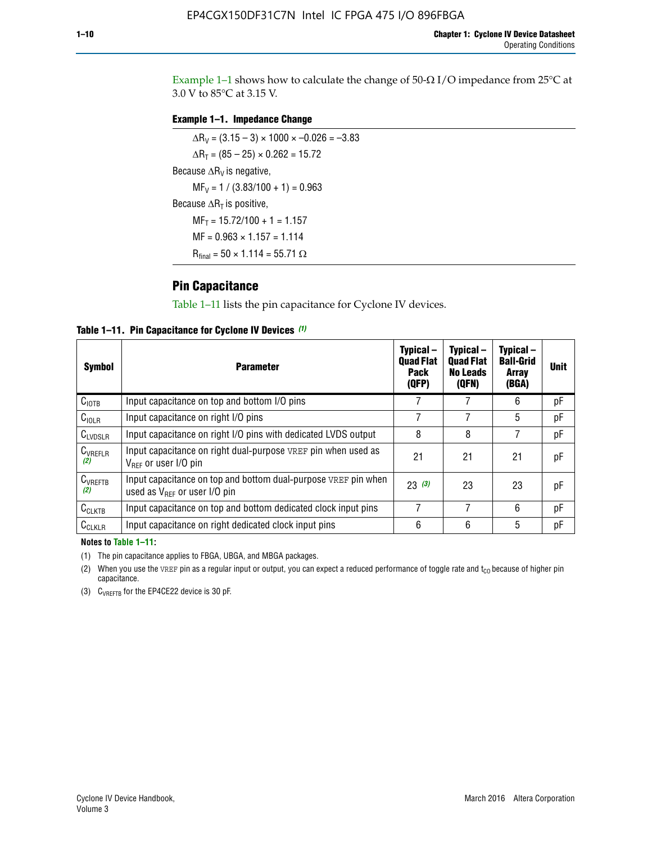Example 1-1 shows how to calculate the change of  $50$ - $\Omega$  I/O impedance from 25°C at 3.0 V to 85°C at 3.15 V.

## **Example 1–1. Impedance Change**

 $\Delta R_V = (3.15 - 3) \times 1000 \times -0.026 = -3.83$  $\Delta R_T = (85 - 25) \times 0.262 = 15.72$ Because  $\Delta R_V$  is negative,  $MF_V = 1 / (3.83/100 + 1) = 0.963$ Because  $\Delta R_T$  is positive,  $MF_T = 15.72/100 + 1 = 1.157$  $MF = 0.963 \times 1.157 = 1.114$  $R_{final} = 50 \times 1.114 = 55.71 \Omega$ 

# **Pin Capacitance**

Table 1–11 lists the pin capacitance for Cyclone IV devices.

**Table 1–11. Pin Capacitance for Cyclone IV Devices** *(1)*

| <b>Symbol</b>       | <b>Parameter</b>                                                                                    | Typical-<br><b>Quad Flat</b><br><b>Pack</b><br>(QFP) | Typical-<br><b>Quad Flat</b><br><b>No Leads</b><br>(QFN) | Typical-<br><b>Ball-Grid</b><br><b>Array</b><br>(BGA) | <b>Unit</b> |
|---------------------|-----------------------------------------------------------------------------------------------------|------------------------------------------------------|----------------------------------------------------------|-------------------------------------------------------|-------------|
| C <sub>IOTB</sub>   | Input capacitance on top and bottom I/O pins                                                        |                                                      |                                                          | 6                                                     | рF          |
| $C_{IOLR}$          | Input capacitance on right I/O pins                                                                 |                                                      |                                                          | 5                                                     | рF          |
| $C_{LVDSLR}$        | Input capacitance on right I/O pins with dedicated LVDS output                                      | 8                                                    | 8                                                        | 7                                                     | рF          |
| $C_{VREFLR}$<br>(2) | Input capacitance on right dual-purpose VREF pin when used as<br>$V_{BFF}$ or user I/O pin          | 21                                                   | 21                                                       | 21                                                    | рF          |
| $C_{VREFTB}$<br>(2) | Input capacitance on top and bottom dual-purpose VREF pin when<br>used as $V_{BFF}$ or user I/O pin | 23(3)                                                | 23                                                       | 23                                                    | рF          |
| $C_{CLKTB}$         | Input capacitance on top and bottom dedicated clock input pins                                      | 7                                                    | 7                                                        | 6                                                     | pF          |
| $C_{CLKLR}$         | Input capacitance on right dedicated clock input pins                                               | 6                                                    | 6                                                        | 5                                                     | рF          |

#### **Notes to Table 1–11:**

(1) The pin capacitance applies to FBGA, UBGA, and MBGA packages.

(2) When you use the VREF pin as a regular input or output, you can expect a reduced performance of toggle rate and  $t_{\rm CO}$  because of higher pin capacitance.

(3) CVREFTB for the EP4CE22 device is 30 pF.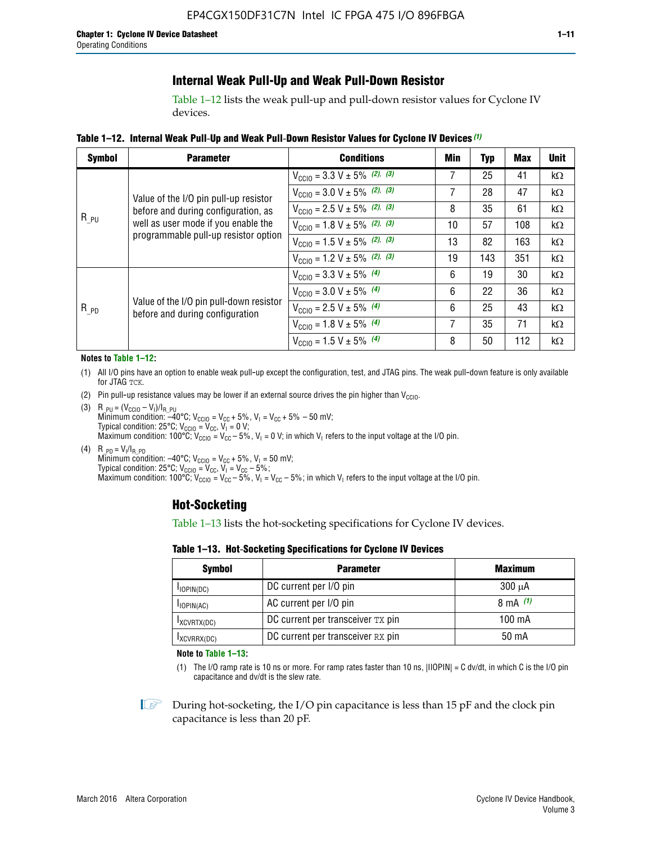# **Internal Weak Pull-Up and Weak Pull-Down Resistor**

Table 1–12 lists the weak pull-up and pull-down resistor values for Cyclone IV devices.

**Table 1–12. Internal Weak Pull**-**Up and Weak Pull**-**Down Resistor Values for Cyclone IV Devices** *(1)*

| <b>Symbol</b> | <b>Parameter</b>                                                            | <b>Conditions</b>                                  | Min | <b>Typ</b> | <b>Max</b> | <b>Unit</b> |
|---------------|-----------------------------------------------------------------------------|----------------------------------------------------|-----|------------|------------|-------------|
|               |                                                                             | $V_{\text{CC10}} = 3.3 \text{ V} \pm 5\%$ (2), (3) | 7   | 25         | 41         | $k\Omega$   |
|               | Value of the I/O pin pull-up resistor                                       | $V_{\text{CC10}} = 3.0 \text{ V} \pm 5\%$ (2), (3) | 7   | 28         | 47         | $k\Omega$   |
|               | before and during configuration, as                                         | $V_{\text{CC10}} = 2.5 V \pm 5\%$ (2), (3)         | 8   | 35         | 61         | kΩ          |
| $R_{PU}$      | well as user mode if you enable the<br>programmable pull-up resistor option | $V_{\text{CC10}} = 1.8 V \pm 5\%$ (2), (3)         | 10  | 57         | 108        | kΩ          |
|               |                                                                             | $V_{\text{CC10}} = 1.5 V \pm 5\%$ (2), (3)         | 13  | 82         | 163        | kΩ          |
|               |                                                                             | $V_{\text{CC10}} = 1.2 \text{ V} \pm 5\%$ (2), (3) | 19  | 143        | 351        | kΩ          |
|               |                                                                             | $V_{\text{CC10}} = 3.3 V \pm 5\%$ (4)              | 6   | 19         | 30         | kΩ          |
|               |                                                                             | $V_{\text{CC10}} = 3.0 V \pm 5\%$ (4)              | 6   | 22         | 36         | $k\Omega$   |
| $R_{PD}$      | Value of the I/O pin pull-down resistor<br>before and during configuration  | $V_{\text{CC10}} = 2.5 V \pm 5\%$ (4)              | 6   | 25         | 43         | $k\Omega$   |
|               |                                                                             | $V_{\text{CC10}} = 1.8 \text{ V} \pm 5\%$ (4)      | 7   | 35         | 71         | $k\Omega$   |
|               |                                                                             | $V_{\text{CC10}} = 1.5 V \pm 5\%$ (4)              | 8   | 50         | 112        | $k\Omega$   |

#### **Notes to Table 1–12:**

- (1) All I/O pins have an option to enable weak pull-up except the configuration, test, and JTAG pins. The weak pull-down feature is only available for JTAG TCK.
- (2) Pin pull-up resistance values may be lower if an external source drives the pin higher than  $V_{\text{CCIO}}$ .
- (3)  $R_{PU} = (V_{CC10} V_1)/I_{R_PU}$ Minimum condition: –40°C; V<sub>CCIO</sub> = V<sub>CC</sub> + 5%, V<sub>I</sub> = V<sub>CC</sub> + 5% – 50 mV; Typical condition: 25°C; V<sub>CCIO</sub> = V<sub>CC</sub>, V<sub>I</sub> = 0 V; Maximum condition: 100°C;  $V_{\text{CCIO}} = V_{\text{CC}} - 5\%$ ,  $V_1 = 0$  V; in which V<sub>I</sub> refers to the input voltage at the I/O pin.
- (4)  $R_{PD} = V_I/I_{R_PD}$ Minimum condition:  $-40^{\circ}$ C; V<sub>CCIO</sub> = V<sub>CC</sub> + 5%, V<sub>I</sub> = 50 mV; Typical condition: 25°C;  $V_{\text{CCIO}} = V_{\text{CC}}$ ,  $V_{\text{I}} = V_{\text{CC}} - 5\%$ ; Maximum condition: 100°C; V<sub>CClO</sub> = V<sub>CC</sub> – 5%, V<sub>I</sub> = V<sub>CC</sub> – 5%; in which V<sub>I</sub> refers to the input voltage at the I/O pin.

# **Hot-Socketing**

Table 1–13 lists the hot-socketing specifications for Cyclone IV devices.

**Table 1–13. Hot**-**Socketing Specifications for Cyclone IV Devices**

| <b>Symbol</b> | <b>Maximum</b>                    |             |
|---------------|-----------------------------------|-------------|
| $I$ IOPIN(DC) | DC current per I/O pin            | $300 \mu A$ |
| $I$ IOPIN(AC) | AC current per I/O pin            | 8 mA $(1)$  |
| IXCVRTX(DC)   | DC current per transceiver TX pin | 100 mA      |
| IXCVRRX(DC)   | DC current per transceiver RX pin | 50 mA       |

**Note to Table 1–13:**

(1) The I/O ramp rate is 10 ns or more. For ramp rates faster than 10 ns, |IIOPIN| = C dv/dt, in which C is the I/O pin capacitance and dv/dt is the slew rate.

 $\mathbb{I} \rightarrow \mathbb{I}$  During hot-socketing, the I/O pin capacitance is less than 15 pF and the clock pin capacitance is less than 20 pF.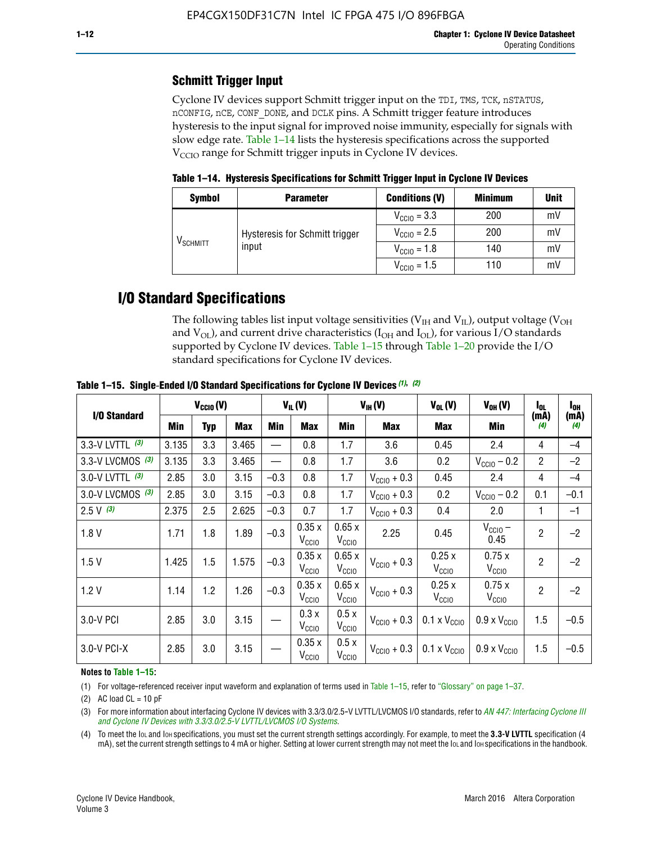# **Schmitt Trigger Input**

Cyclone IV devices support Schmitt trigger input on the TDI, TMS, TCK, nSTATUS, nCONFIG, nCE, CONF\_DONE, and DCLK pins. A Schmitt trigger feature introduces hysteresis to the input signal for improved noise immunity, especially for signals with slow edge rate. Table 1–14 lists the hysteresis specifications across the supported  $V<sub>CCIO</sub>$  range for Schmitt trigger inputs in Cyclone IV devices.

**Table 1–14. Hysteresis Specifications for Schmitt Trigger Input in Cyclone IV Devices**

| <b>Symbol</b>                  | <b>Parameter</b>               | <b>Conditions (V)</b>   | <b>Minimum</b> | <b>Unit</b> |
|--------------------------------|--------------------------------|-------------------------|----------------|-------------|
|                                |                                | $V_{\text{CGI0}} = 3.3$ | 200            | mV          |
|                                | Hysteresis for Schmitt trigger | $V_{\text{CGI0}} = 2.5$ | 200            | mV          |
| $\mathsf{V}_{\mathsf{SCHMIT}}$ | input                          | $V_{\text{CCIO}} = 1.8$ | 140            | mV          |
|                                |                                | $V_{\text{CCIO}} = 1.5$ | 110            | mV          |

# **I/O Standard Specifications**

The following tables list input voltage sensitivities ( $V<sub>IH</sub>$  and  $V<sub>II</sub>$ ), output voltage ( $V<sub>OH</sub>$ and  $V_{OL}$ ), and current drive characteristics ( $I_{OH}$  and  $I_{OL}$ ), for various I/O standards supported by Cyclone IV devices. Table 1–15 through Table 1–20 provide the I/O standard specifications for Cyclone IV devices.

|                    | $V_{CClO}(V)$ |     | $V_{IL}(V)$ |        | $V_{IH} (V)$               |                            | $V_{OL}(V)$             | $V_{OH} (V)$                                    | I <sub>OL</sub>              | l <sub>oh</sub> |             |
|--------------------|---------------|-----|-------------|--------|----------------------------|----------------------------|-------------------------|-------------------------------------------------|------------------------------|-----------------|-------------|
| I/O Standard       | <b>Min</b>    | Typ | <b>Max</b>  | Min    | <b>Max</b>                 | Min                        | <b>Max</b>              | Max                                             | Min                          | (mA)<br>(4)     | (mA)<br>(4) |
| 3.3-V LVTTL (3)    | 3.135         | 3.3 | 3.465       |        | 0.8                        | 1.7                        | 3.6                     | 0.45                                            | 2.4                          | 4               | $-4$        |
| 3.3-V LVCMOS $(3)$ | 3.135         | 3.3 | 3.465       |        | 0.8                        | 1.7                        | 3.6                     | 0.2                                             | $V_{\text{CC10}} - 0.2$      | $\overline{2}$  | $-2$        |
| 3.0-V LVTTL $(3)$  | 2.85          | 3.0 | 3.15        | $-0.3$ | 0.8                        | 1.7                        | $V_{\text{CC10}} + 0.3$ | 0.45                                            | 2.4                          | 4               | $-4$        |
| 3.0-V LVCMOS (3)   | 2.85          | 3.0 | 3.15        | $-0.3$ | 0.8                        | 1.7                        | $V_{\text{CC10}} + 0.3$ | 0.2                                             | $V_{\text{CC10}} - 0.2$      | 0.1             | $-0.1$      |
| $2.5 V$ (3)        | 2.375         | 2.5 | 2.625       | $-0.3$ | 0.7                        | 1.7                        | $V_{\text{CC10}} + 0.3$ | 0.4                                             | 2.0                          | 1               | $-1$        |
| 1.8V               | 1.71          | 1.8 | 1.89        | $-0.3$ | 0.35x<br>V <sub>CCIO</sub> | 0.65x<br>V <sub>CCIO</sub> | 2.25                    | 0.45                                            | $V_{\text{CCIO}} -$<br>0.45  | $\overline{2}$  | $-2$        |
| 1.5V               | 1.425         | 1.5 | 1.575       | $-0.3$ | 0.35x<br>V <sub>CCIO</sub> | 0.65x<br>V <sub>CCIO</sub> | $V_{\text{CC10}} + 0.3$ | 0.25x<br>V <sub>CCIO</sub>                      | 0.75x<br>V <sub>CCIO</sub>   | $\overline{2}$  | $-2$        |
| 1.2V               | 1.14          | 1.2 | 1.26        | $-0.3$ | 0.35x<br>V <sub>CCIO</sub> | 0.65x<br>V <sub>CCIO</sub> | $V_{\text{CC10}} + 0.3$ | 0.25x<br>V <sub>CCIO</sub>                      | 0.75x<br>V <sub>CCIO</sub>   | $\overline{2}$  | $-2$        |
| 3.0-V PCI          | 2.85          | 3.0 | 3.15        |        | 0.3x<br>V <sub>CCIO</sub>  | 0.5x<br>V <sub>CCIO</sub>  | $V_{\text{CCI0}} + 0.3$ | $0.1 \times V_{CC10}$                           | $0.9 \times V_{\text{CC10}}$ | 1.5             | $-0.5$      |
| $3.0 - V$ PCI-X    | 2.85          | 3.0 | 3.15        |        | 0.35x<br>V <sub>CCIO</sub> | 0.5x<br>V <sub>CCIO</sub>  |                         | $V_{\text{CC10}} + 0.3$ 0.1 x $V_{\text{CC10}}$ | $0.9 \times V_{\text{CC10}}$ | 1.5             | $-0.5$      |

**Table 1–15. Single**-**Ended I/O Standard Specifications for Cyclone IV Devices** *(1)***,** *(2)*

#### **Notes to Table 1–15:**

(1) For voltage-referenced receiver input waveform and explanation of terms used in Table 1–15, refer to "Glossary" on page 1–37.

(2) AC load  $CL = 10$  pF

(3) For more information about interfacing Cyclone IV devices with 3.3/3.0/2.5-V LVTTL/LVCMOS I/O standards, refer to *[AN 447: Interfacing Cyclone III](http://www.altera.com/literature/an/an447.pdf)  [and Cyclone IV Devices with 3.3/3.0/2.5-V LVTTL/LVCMOS I/O Systems](http://www.altera.com/literature/an/an447.pdf)*.

(4) To meet the IOL and IOH specifications, you must set the current strength settings accordingly. For example, to meet the **3.3-V LVTTL** specification (4 mA), set the current strength settings to 4 mA or higher. Setting at lower current strength may not meet the lou and lon specifications in the handbook.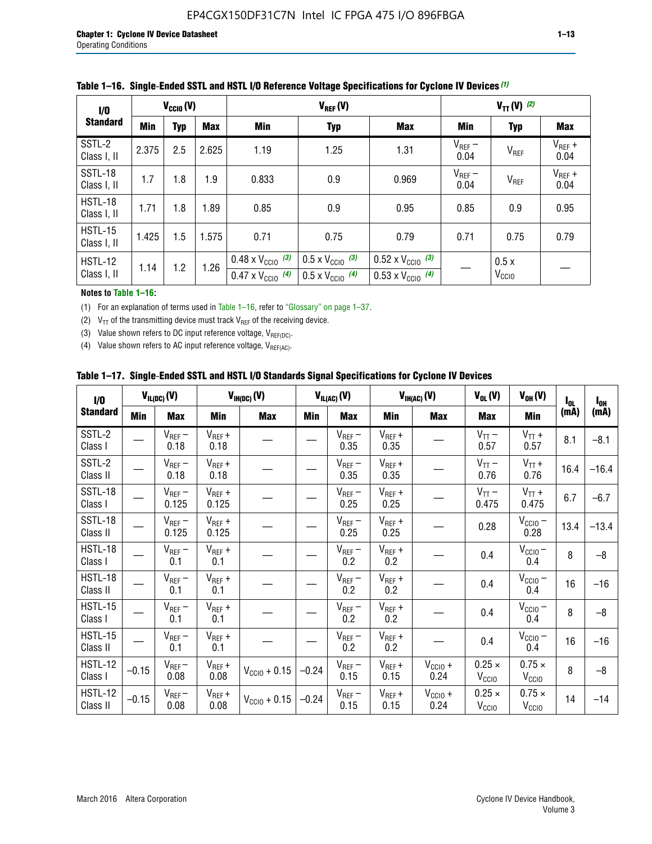| 1/0                           | $V_{\text{CC10}}(V)$ |            |       |                                                                        | $V_{TT} (V)$ (2)                                                     |                                                                        |                     |                           |                     |
|-------------------------------|----------------------|------------|-------|------------------------------------------------------------------------|----------------------------------------------------------------------|------------------------------------------------------------------------|---------------------|---------------------------|---------------------|
| <b>Standard</b>               | Min                  | <b>Typ</b> | Max   | <b>Min</b>                                                             | <b>Typ</b>                                                           | <b>Max</b>                                                             | Min                 | <b>Typ</b>                | <b>Max</b>          |
| SSTL-2<br>Class I, II         | 2.375                | 2.5        | 2.625 | 1.19                                                                   | 1.25                                                                 | 1.31                                                                   | $V_{REF}$ –<br>0.04 | $V_{REF}$                 | $V_{REF}$ +<br>0.04 |
| SSTL-18<br>Class I, II        | 1.7                  | 1.8        | 1.9   | 0.833                                                                  | 0.9                                                                  | 0.969                                                                  | $V_{REF}$ –<br>0.04 | V <sub>REF</sub>          | $V_{REF}$ +<br>0.04 |
| HSTL-18<br>Class I, II        | 1.71                 | 1.8        | 1.89  | 0.85                                                                   | 0.9                                                                  | 0.95                                                                   | 0.85                | 0.9                       | 0.95                |
| <b>HSTL-15</b><br>Class I, II | 1.425                | 1.5        | 1.575 | 0.71                                                                   | 0.75                                                                 | 0.79                                                                   | 0.71                | 0.75                      | 0.79                |
| HSTL-12<br>Class I, II        | 1.14                 | 1.2        | 1.26  | $0.48 \times V_{\text{CC10}}$ (3)<br>$0.47 \times V_{\text{CC10}}$ (4) | $0.5 \times V_{\text{CC10}}$ (3)<br>$0.5 \times V_{\text{CC10}}$ (4) | $0.52 \times V_{\text{CC10}}$ (3)<br>$0.53 \times V_{\text{CC10}}$ (4) |                     | 0.5x<br>V <sub>CCIO</sub> |                     |

|  |  |  |  | Table 1–16. Single-Ended SSTL and HSTL I/O Reference Voltage Specifications for Cyclone IV Devices (1) |
|--|--|--|--|--------------------------------------------------------------------------------------------------------|
|--|--|--|--|--------------------------------------------------------------------------------------------------------|

### **Notes to Table 1–16:**

(1) For an explanation of terms used in Table 1–16, refer to "Glossary" on page 1–37.

(2)  $V_{TT}$  of the transmitting device must track  $V_{REF}$  of the receiving device.

(3) Value shown refers to DC input reference voltage,  $V_{REF(DC)}$ .

(4) Value shown refers to AC input reference voltage,  $V_{REF(AC)}$ .

|  |  |  |  |  | Table 1–17.  Single-Ended SSTL and HSTL I/O Standards Signal Specifications for Cyclone IV Devices |
|--|--|--|--|--|----------------------------------------------------------------------------------------------------|
|--|--|--|--|--|----------------------------------------------------------------------------------------------------|

| I/O                        |         | $V_{IL(DC)}(V)$        |                                      | $V_{IH(DC)}(V)$       |         | $V_{IL(AC)}(V)$     |                     | $V_{IH(AC)}(V)$      | $V_{OL}(V)$                        | $V_{OH} (V)$                       | l <sub>ol</sub> | $I_{0H}$ |
|----------------------------|---------|------------------------|--------------------------------------|-----------------------|---------|---------------------|---------------------|----------------------|------------------------------------|------------------------------------|-----------------|----------|
| <b>Standard</b>            | Min     | <b>Max</b>             | Min                                  | <b>Max</b>            | Min     | <b>Max</b>          | Min                 | <b>Max</b>           | <b>Max</b>                         | Min                                | (mA)            | (mA)     |
| SSTL-2<br>Class I          |         | $\rm V_{REF}-$<br>0.18 | $V_{REF} +$<br>0.18                  |                       |         | $V_{REF}$ –<br>0.35 | $V_{REF} +$<br>0.35 |                      | $V_{TT}$ –<br>0.57                 | $V_{TT}$ +<br>0.57                 | 8.1             | $-8.1$   |
| SSTL-2<br>Class II         |         | $V_{REF}$ –<br>0.18    | $V_{REF} +$<br>0.18                  |                       |         | $V_{REF}$ –<br>0.35 | $V_{REF} +$<br>0.35 |                      | $V_{TT}$ –<br>0.76                 | $V_{TT}$ +<br>0.76                 | 16.4            | $-16.4$  |
| <b>SSTL-18</b><br>Class I  |         | $V_{REF}$ –<br>0.125   | $V_{REF}$ +<br>0.125                 |                       |         | $V_{REF}$ –<br>0.25 | $V_{REF}$ +<br>0.25 |                      | $V_{TT}$ –<br>0.475                | $V_{TT}$ +<br>0.475                | 6.7             | $-6.7$   |
| <b>SSTL-18</b><br>Class II |         | $V_{REF}$ –<br>0.125   | $V_{REF}$ +<br>0.125                 |                       |         | $V_{REF}$ –<br>0.25 | $V_{REF}$ +<br>0.25 |                      | 0.28                               | $V_{CC10} -$<br>0.28               | 13.4            | $-13.4$  |
| HSTL-18<br>Class I         |         | $V_{REF}$ –<br>0.1     | $V_{REF} +$<br>0.1                   |                       |         | $V_{REF}$ –<br>0.2  | $V_{REF}$ +<br>0.2  |                      | 0.4                                | $V_{CCIO}$ –<br>0.4                | 8               | $-8$     |
| HSTL-18<br>Class II        |         | $V_{REF}$ –<br>0.1     | $V_{REF} +$<br>0.1                   |                       |         | $V_{REF}$ –<br>0.2  | $V_{REF} +$<br>0.2  |                      | 0.4                                | $V_{CC10}$ –<br>0.4                | 16              | $-16$    |
| HSTL-15<br>Class I         |         | $V_{REF}$ –<br>0.1     | $V_{REF} +$<br>0.1                   |                       |         | $V_{REF}$ –<br>0.2  | $V_{REF}$ +<br>0.2  |                      | 0.4                                | $V_{\text{CC1O}} -$<br>0.4         | 8               | $-8$     |
| HSTL-15<br>Class II        |         | $V_{REF}$ –<br>0.1     | $\mathsf{V}_{\mathsf{REF}}$ +<br>0.1 |                       |         | $V_{REF}$ –<br>0.2  | $V_{REF}$ +<br>0.2  |                      | 0.4                                | $V_{CC10}$ –<br>0.4                | 16              | $-16$    |
| <b>HSTL-12</b><br>Class I  | $-0.15$ | $V_{REF}-$<br>0.08     | $V_{REF} +$<br>0.08                  | $V_{CGI0} + 0.15$     | $-0.24$ | $V_{REF}$ –<br>0.15 | $V_{REF} +$<br>0.15 | $V_{CCIO} +$<br>0.24 | $0.25 \times$<br>V <sub>CCIO</sub> | $0.75 \times$<br>V <sub>CCIO</sub> | 8               | $-8$     |
| HSTL-12<br>Class II        | $-0.15$ | $V_{REF}$ –<br>0.08    | $V_{REF} +$<br>0.08                  | $V_{\rm CClO} + 0.15$ | $-0.24$ | $V_{REF}$ –<br>0.15 | $V_{REF} +$<br>0.15 | $V_{CC10}$ +<br>0.24 | $0.25 \times$<br>V <sub>CCIO</sub> | $0.75 \times$<br>V <sub>CCIO</sub> | 14              | $-14$    |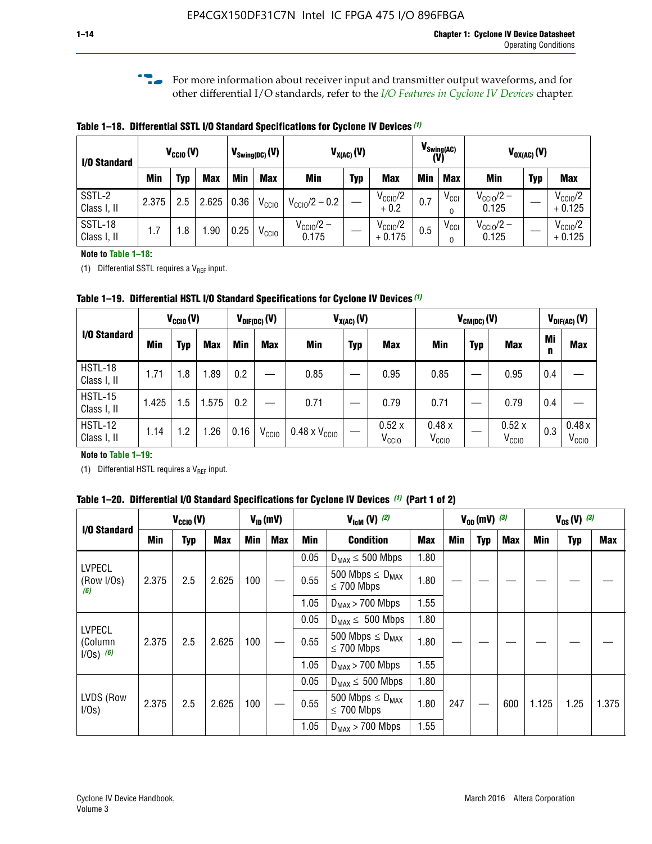**f For more information about receiver input and transmitter output waveforms, and for** other differential I/O standards, refer to the *[I/O Features in Cyclone IV Devices](http://www.altera.com/literature/hb/cyclone-iv/cyiv-51006.pdf)* chapter*.*

**Table 1–18. Differential SSTL I/O Standard Specifications for Cyclone IV Devices** *(1)*

| I/O Standard           |       | $V_{\text{CCIO}}(V)$ |            |      | $V_{\text{Swing(DC)}}(V)$ |                           | $V_{X(AC)}(V)$ |                                 | $V_{\text{Swing}(AC)}$<br>(V) |                       | $V_{OX(AC)}(V)$                |            |                                 |  |
|------------------------|-------|----------------------|------------|------|---------------------------|---------------------------|----------------|---------------------------------|-------------------------------|-----------------------|--------------------------------|------------|---------------------------------|--|
|                        | Min   | Typ                  | <b>Max</b> | Min  | <b>Max</b>                | <b>Min</b>                | <b>Typ</b>     | <b>Max</b>                      | <b>Min</b>                    | <b>Max</b>            | Min                            | <b>Typ</b> | <b>Max</b>                      |  |
| SSTL-2<br>Class I, II  | 2.375 | 2.5                  | 2.625      | 0.36 | V <sub>CCIO</sub>         | $V_{\text{CC10}}/2 - 0.2$ |                | $V_{\text{CC10}}/2$<br>$+0.2$   | 0.7                           | $V_{\text{CCI}}$      | $V_{CClO}/2 -$<br>0.125        |            | $V_{\text{CC10}}/2$<br>$+0.125$ |  |
| SSTL-18<br>Class I, II | 1.7   | .8                   | .90        | 0.25 | V <sub>CCIO</sub>         | $V_{CC10}/2 -$<br>0.175   |                | $V_{\text{CC10}}/2$<br>$+0.175$ | 0.5                           | $V_{\text{CCI}}$<br>0 | $V_{\text{CC10}}/2 -$<br>0.125 |            | $V_{\text{CC10}}/2$<br>$+0.125$ |  |

#### **Note to Table 1–18:**

(1) Differential SSTL requires a  $V_{REF}$  input.

**Table 1–19. Differential HSTL I/O Standard Specifications for Cyclone IV Devices** *(1)*

|                               | $V_{\text{CCIO}}(V)$ |     |            | $V_{\text{DIF(DC)}}(V)$ |                   | $V_{X(AC)}(V)$                |            |                            | $V_{CM(DC)}(V)$            |            |                            |         | $V_{\text{DIF(AC)}}(V)$    |  |
|-------------------------------|----------------------|-----|------------|-------------------------|-------------------|-------------------------------|------------|----------------------------|----------------------------|------------|----------------------------|---------|----------------------------|--|
| I/O Standard                  | Min                  | Typ | <b>Max</b> | Min                     | <b>Max</b>        | <b>Min</b>                    | <b>Typ</b> | <b>Max</b>                 | Min                        | <b>Typ</b> | <b>Max</b>                 | Mi<br>n | <b>Max</b>                 |  |
| HSTL-18<br>Class I, II        | 1.71                 | 1.8 | .89        | 0.2                     |                   | 0.85                          |            | 0.95                       | 0.85                       |            | 0.95                       | 0.4     |                            |  |
| <b>HSTL-15</b><br>Class I, II | 1.425                | 1.5 | 1.575      | $0.2\,$                 |                   | 0.71                          |            | 0.79                       | 0.71                       |            | 0.79                       | 0.4     |                            |  |
| <b>HSTL-12</b><br>Class I, II | 1.14                 | 1.2 | l.26       | 0.16                    | V <sub>CCIO</sub> | $0.48 \times V_{\text{CCIO}}$ |            | 0.52x<br>V <sub>CCIO</sub> | 0.48x<br>V <sub>CCIO</sub> |            | 0.52x<br>V <sub>CCIO</sub> | 0.3     | 0.48x<br>V <sub>CCIO</sub> |  |

### **Note to Table 1–19:**

(1) Differential HSTL requires a  $V_{REF}$  input.

**Table 1–20. Differential I/O Standard Specifications for Cyclone IV Devices** *(1)* **(Part 1 of 2)**

| I/O Standard                            |       | $V_{CCl0} (V)$ |            |            | $V_{ID}$ (mV) | $V_{\text{lcm}}(V)^{(2)}$ |                                                     |            | $V_{0D}$ (mV) $(3)$ |     |     | $V_{0S} (V)^{(3)}$ |            |       |
|-----------------------------------------|-------|----------------|------------|------------|---------------|---------------------------|-----------------------------------------------------|------------|---------------------|-----|-----|--------------------|------------|-------|
|                                         | Min   | Typ            | <b>Max</b> | <b>Min</b> | <b>Max</b>    | Min                       | <b>Condition</b>                                    | <b>Max</b> | Min                 | Typ | Max | Min                | <b>Typ</b> | Max   |
|                                         |       |                |            |            |               | 0.05                      | $D_{MAX} \leq 500$ Mbps                             | 1.80       |                     |     |     |                    |            |       |
| <b>LVPECL</b><br>(Row I/Os)<br>(6)      | 2.375 | 2.5            | 2.625      | 100        |               | 0.55                      | 500 Mbps $\leq$ D <sub>MAX</sub><br>$\leq$ 700 Mbps | 1.80       |                     |     |     |                    |            |       |
|                                         |       |                |            |            |               | 1.05                      | $D_{MAX}$ > 700 Mbps                                | 1.55       |                     |     |     |                    |            |       |
|                                         |       |                |            |            |               | 0.05                      | $D_{MAX} \leq 500$ Mbps                             | 1.80       |                     |     |     |                    |            |       |
| <b>LVPECL</b><br>(Column<br>$1/Os)$ (6) | 2.375 | 2.5            | 2.625      | 100        |               | 0.55                      | 500 Mbps $\leq D_{MAX}$<br>$\leq$ 700 Mbps          | 1.80       |                     |     |     |                    |            |       |
|                                         |       |                |            |            |               | 1.05                      | $D_{MAX}$ > 700 Mbps                                | 1.55       |                     |     |     |                    |            |       |
|                                         |       |                |            |            |               | 0.05                      | $D_{MAX} \leq 500$ Mbps                             | 1.80       |                     |     |     |                    |            |       |
| LVDS (Row<br>I/Os)                      | 2.375 | 2.5            | 2.625      | 100        |               | 0.55                      | 500 Mbps $\leq D_{MAX}$<br>$\leq 700$ Mbps          | 1.80       | 247                 |     | 600 | 1.125              | 1.25       | 1.375 |
|                                         |       |                |            |            |               | 1.05                      | $D_{MAX}$ > 700 Mbps                                | 1.55       |                     |     |     |                    |            |       |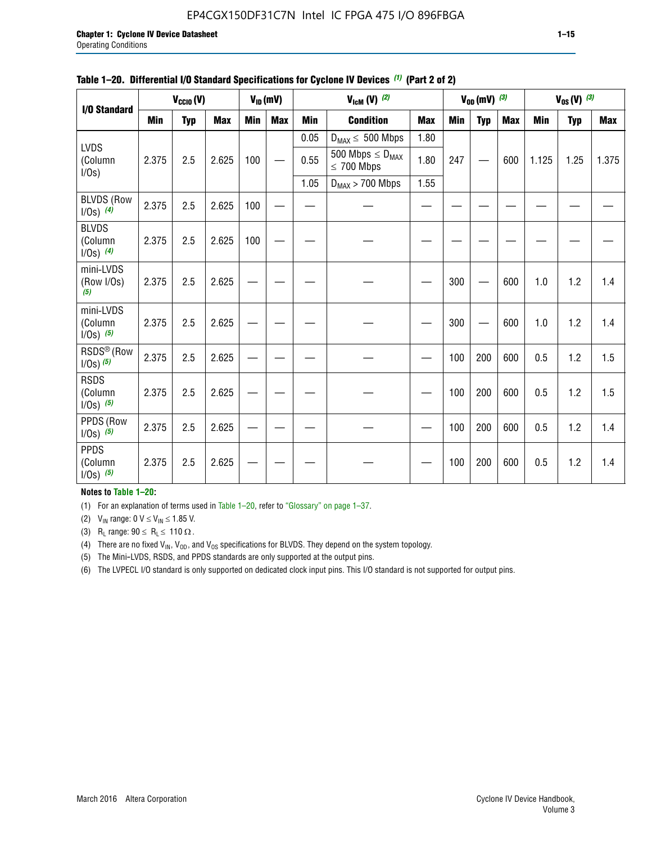# EP4CGX150DF31C7N Intel IC FPGA 475 I/O 896FBGA

| <b>I/O Standard</b>                     |       | $V_{CClO}(V)$ |            |            | $V_{ID}(mV)$ |            | $V_{\text{lcm}}(V)^{(2)}$                  |            |     | $V_{OD}$ (mV) $(3)$ |            |            | $V_{0S} (V)$ (3) |       |
|-----------------------------------------|-------|---------------|------------|------------|--------------|------------|--------------------------------------------|------------|-----|---------------------|------------|------------|------------------|-------|
|                                         | Min   | <b>Typ</b>    | <b>Max</b> | <b>Min</b> | <b>Max</b>   | <b>Min</b> | <b>Condition</b>                           | <b>Max</b> | Min | <b>Typ</b>          | <b>Max</b> | <b>Min</b> | <b>Typ</b>       | Max   |
|                                         |       |               |            |            |              | 0.05       | $D_{MAX} \leq 500$ Mbps                    | 1.80       |     |                     |            |            |                  |       |
| <b>LVDS</b><br>(Column<br>I/Os)         | 2.375 | 2.5           | 2.625      | 100        |              | 0.55       | 500 Mbps $\leq D_{MAX}$<br>$\leq 700$ Mbps | 1.80       | 247 |                     | 600        | 1.125      | 1.25             | 1.375 |
|                                         |       |               |            |            |              | 1.05       | $D_{MAX}$ > 700 Mbps                       | 1.55       |     |                     |            |            |                  |       |
| <b>BLVDS (Row</b><br>$1/0s)$ (4)        | 2.375 | 2.5           | 2.625      | 100        |              |            |                                            |            |     |                     |            |            |                  |       |
| <b>BLVDS</b><br>(Column<br>$1/0s)$ (4)  | 2.375 | 2.5           | 2.625      | 100        |              |            |                                            |            |     |                     |            |            |                  |       |
| mini-LVDS<br>(Row I/Os)<br>(5)          | 2.375 | 2.5           | 2.625      |            |              |            |                                            |            | 300 |                     | 600        | 1.0        | 1.2              | 1.4   |
| mini-LVDS<br>(Column<br>$I/Os)$ (5)     | 2.375 | 2.5           | 2.625      |            |              |            |                                            |            | 300 |                     | 600        | 1.0        | 1.2              | 1.4   |
| RSDS <sup>®</sup> (Row<br>$1/0s)$ $(5)$ | 2.375 | 2.5           | 2.625      |            |              |            |                                            |            | 100 | 200                 | 600        | 0.5        | 1.2              | 1.5   |
| <b>RSDS</b><br>(Column<br>$1/Os)$ (5)   | 2.375 | 2.5           | 2.625      |            |              |            |                                            |            | 100 | 200                 | 600        | 0.5        | 1.2              | 1.5   |
| PPDS (Row<br>$1/Os)$ (5)                | 2.375 | 2.5           | 2.625      |            |              |            |                                            |            | 100 | 200                 | 600        | 0.5        | 1.2              | 1.4   |
| <b>PPDS</b><br>(Column<br>$1/Os)$ (5)   | 2.375 | 2.5           | 2.625      |            |              |            |                                            |            | 100 | 200                 | 600        | 0.5        | 1.2              | 1.4   |

### **Table 1–20. Differential I/O Standard Specifications for Cyclone IV Devices** *(1)* **(Part 2 of 2)**

## **Notes to Table 1–20:**

(1) For an explanation of terms used in Table 1–20, refer to "Glossary" on page 1–37.

(2)  $V_{IN}$  range: 0  $V \le V_{IN} \le 1.85$  V.

(3) R<sub>L</sub> range:  $90 \le R_L \le 110 \Omega$ .

(4) There are no fixed  $V_{IN}$ ,  $V_{OD}$ , and  $V_{OS}$  specifications for BLVDS. They depend on the system topology.

(5) The Mini-LVDS, RSDS, and PPDS standards are only supported at the output pins.

(6) The LVPECL I/O standard is only supported on dedicated clock input pins. This I/O standard is not supported for output pins.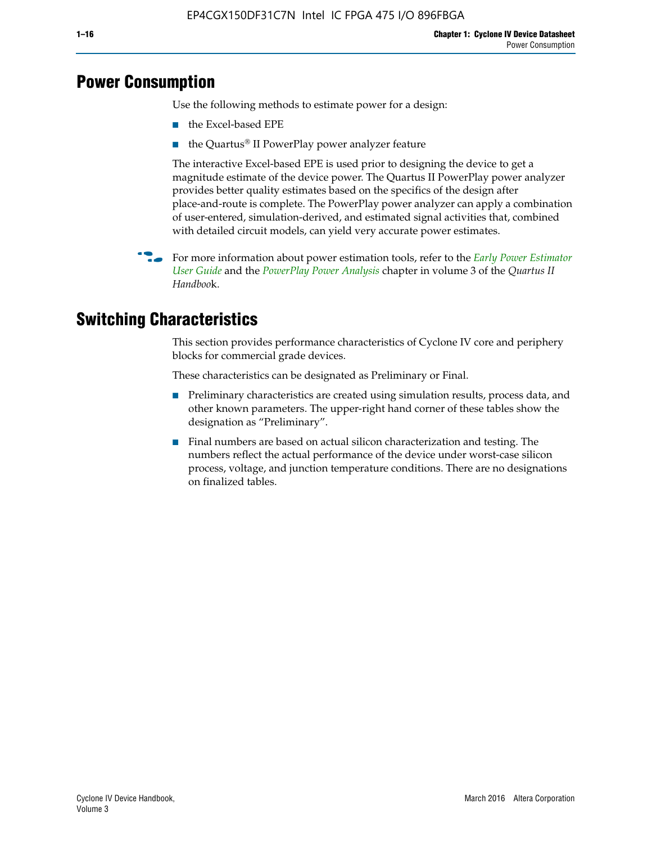# **Power Consumption**

Use the following methods to estimate power for a design:

- the Excel-based EPE
- the Quartus® II PowerPlay power analyzer feature

The interactive Excel-based EPE is used prior to designing the device to get a magnitude estimate of the device power. The Quartus II PowerPlay power analyzer provides better quality estimates based on the specifics of the design after place-and-route is complete. The PowerPlay power analyzer can apply a combination of user-entered, simulation-derived, and estimated signal activities that, combined with detailed circuit models, can yield very accurate power estimates.

f For more information about power estimation tools, refer to the *[Early Power Estimator](http://www.altera.com/literature/ug/ug_epe.pdf
)  [User Guide](http://www.altera.com/literature/ug/ug_epe.pdf
)* and the *[PowerPlay Power Analysis](http://www.altera.com/literature/hb/qts/qts_qii53013.pdf)* chapter in volume 3 of the *Quartus II Handboo*k.

# **Switching Characteristics**

This section provides performance characteristics of Cyclone IV core and periphery blocks for commercial grade devices.

These characteristics can be designated as Preliminary or Final.

- Preliminary characteristics are created using simulation results, process data, and other known parameters. The upper-right hand corner of these tables show the designation as "Preliminary".
- Final numbers are based on actual silicon characterization and testing. The numbers reflect the actual performance of the device under worst-case silicon process, voltage, and junction temperature conditions. There are no designations on finalized tables.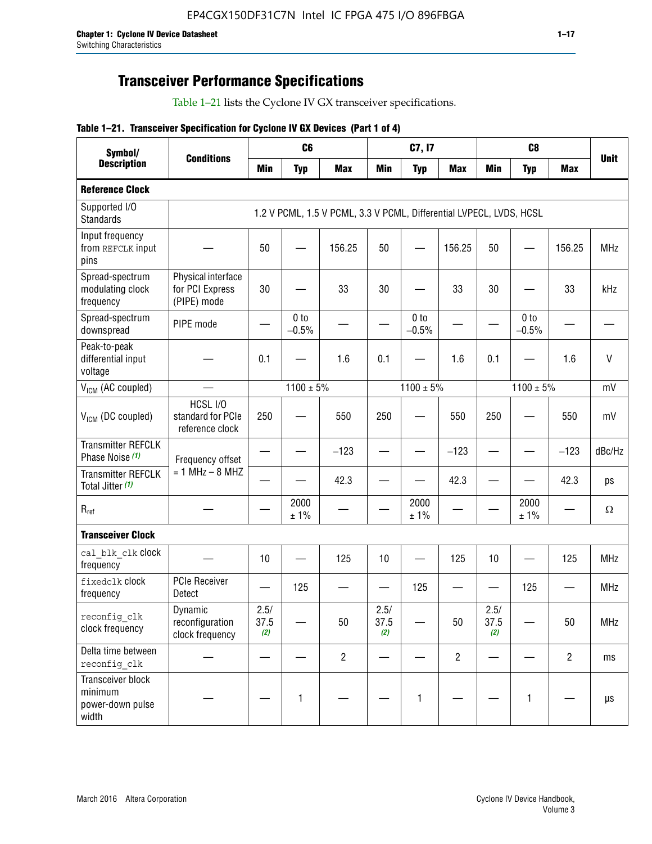# **Transceiver Performance Specifications**

Table 1–21 lists the Cyclone IV GX transceiver specifications.

|  |  |  |  | Table 1-21. Transceiver Specification for Cyclone IV GX Devices (Part 1 of 4) |  |
|--|--|--|--|-------------------------------------------------------------------------------|--|
|--|--|--|--|-------------------------------------------------------------------------------|--|

| Symbol/                                                   |                                                      |                     | C <sub>6</sub>             |                                                                     |                     | C7, I7                     |                |                     | C <sub>8</sub>             |                |             |
|-----------------------------------------------------------|------------------------------------------------------|---------------------|----------------------------|---------------------------------------------------------------------|---------------------|----------------------------|----------------|---------------------|----------------------------|----------------|-------------|
| <b>Description</b>                                        | <b>Conditions</b>                                    | <b>Min</b>          | <b>Typ</b>                 | <b>Max</b>                                                          | <b>Min</b>          | <b>Typ</b>                 | <b>Max</b>     | <b>Min</b>          | <b>Typ</b>                 | <b>Max</b>     | <b>Unit</b> |
| <b>Reference Clock</b>                                    |                                                      |                     |                            |                                                                     |                     |                            |                |                     |                            |                |             |
| Supported I/O<br><b>Standards</b>                         |                                                      |                     |                            | 1.2 V PCML, 1.5 V PCML, 3.3 V PCML, Differential LVPECL, LVDS, HCSL |                     |                            |                |                     |                            |                |             |
| Input frequency<br>from REFCLK input<br>pins              |                                                      | 50                  |                            | 156.25                                                              | 50                  |                            | 156.25         | 50                  | $\overline{\phantom{0}}$   | 156.25         | <b>MHz</b>  |
| Spread-spectrum<br>modulating clock<br>frequency          | Physical interface<br>for PCI Express<br>(PIPE) mode | 30                  |                            | 33                                                                  | 30                  |                            | 33             | 30                  |                            | 33             | kHz         |
| Spread-spectrum<br>downspread                             | PIPE mode                                            |                     | 0 <sub>to</sub><br>$-0.5%$ |                                                                     |                     | 0 <sub>to</sub><br>$-0.5%$ |                |                     | 0 <sub>to</sub><br>$-0.5%$ |                |             |
| Peak-to-peak<br>differential input<br>voltage             |                                                      | 0.1                 |                            | 1.6                                                                 | 0.1                 |                            | 1.6            | 0.1                 |                            | 1.6            | $\vee$      |
| V <sub>ICM</sub> (AC coupled)                             |                                                      |                     | $1100 \pm 5\%$             |                                                                     |                     | $1100 \pm 5\%$             |                |                     | $1100 \pm 5\%$             |                | mV          |
| $V_{ICM}$ (DC coupled)                                    | HCSL I/O<br>standard for PCIe<br>reference clock     | 250                 |                            | 550                                                                 | 250                 |                            | 550            | 250                 |                            | 550            | mV          |
| <b>Transmitter REFCLK</b><br>Phase Noise (1)              | Frequency offset                                     |                     |                            | $-123$                                                              |                     |                            | $-123$         |                     |                            | $-123$         | dBc/Hz      |
| <b>Transmitter REFCLK</b><br>Total Jitter (1)             | $= 1$ MHz $- 8$ MHZ                                  |                     |                            | 42.3                                                                |                     |                            | 42.3           |                     |                            | 42.3           | ps          |
| $\mathsf{R}_{\mathsf{ref}}$                               |                                                      |                     | 2000<br>± 1%               |                                                                     |                     | 2000<br>± 1%               |                |                     | 2000<br>± 1%               |                | Ω           |
| <b>Transceiver Clock</b>                                  |                                                      |                     |                            |                                                                     |                     |                            |                |                     |                            |                |             |
| cal blk clk clock<br>frequency                            |                                                      | 10                  |                            | 125                                                                 | 10                  |                            | 125            | 10                  |                            | 125            | <b>MHz</b>  |
| fixedclk Clock<br>frequency                               | <b>PCIe Receiver</b><br>Detect                       |                     | 125                        |                                                                     |                     | 125                        | —              |                     | 125                        |                | <b>MHz</b>  |
| reconfig clk<br>clock frequency                           | Dynamic<br>reconfiguration<br>clock frequency        | 2.5/<br>37.5<br>(2) |                            | 50                                                                  | 2.5/<br>37.5<br>(2) |                            | 50             | 2.5/<br>37.5<br>(2) |                            | 50             | <b>MHz</b>  |
| Delta time between<br>reconfig clk                        |                                                      |                     |                            | $\overline{2}$                                                      |                     |                            | $\overline{2}$ |                     |                            | $\overline{2}$ | ms          |
| Transceiver block<br>minimum<br>power-down pulse<br>width |                                                      |                     | $\mathbf{1}$               |                                                                     |                     | 1                          |                |                     | $\mathbf{1}$               |                | $\mu s$     |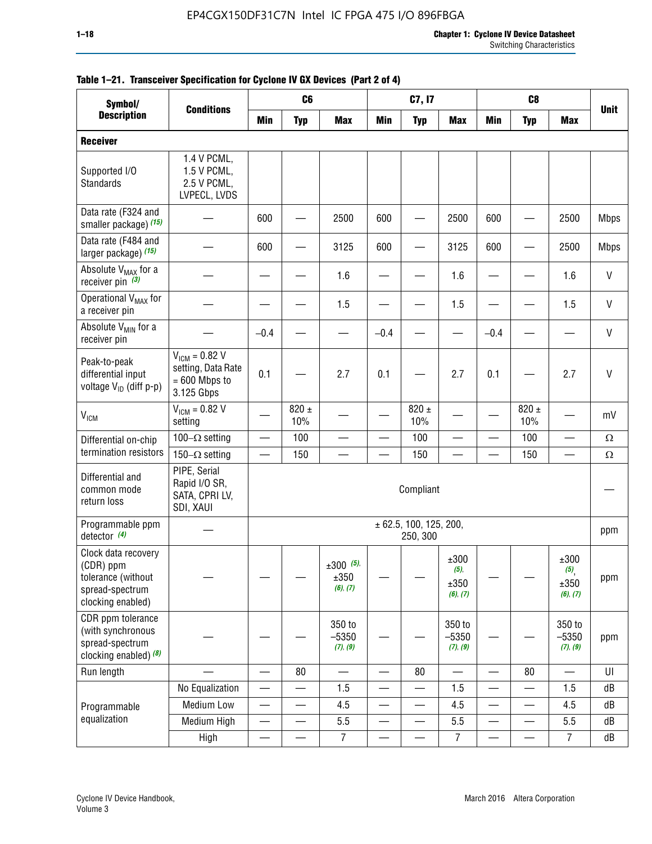| Symbol/                                                                                        |                                                                           | C <sub>8</sub><br>C <sub>6</sub><br>C7, I7 |                          |                                    |            |                                    |                                     |                          |                          |                                 |              |
|------------------------------------------------------------------------------------------------|---------------------------------------------------------------------------|--------------------------------------------|--------------------------|------------------------------------|------------|------------------------------------|-------------------------------------|--------------------------|--------------------------|---------------------------------|--------------|
| <b>Description</b>                                                                             | <b>Conditions</b>                                                         | <b>Min</b>                                 | <b>Typ</b>               | <b>Max</b>                         | <b>Min</b> | <b>Typ</b>                         | <b>Max</b>                          | <b>Min</b>               | <b>Typ</b>               | <b>Max</b>                      | <b>Unit</b>  |
| <b>Receiver</b>                                                                                |                                                                           |                                            |                          |                                    |            |                                    |                                     |                          |                          |                                 |              |
| Supported I/O<br>Standards                                                                     | 1.4 V PCML,<br>1.5 V PCML,<br>2.5 V PCML,<br>LVPECL, LVDS                 |                                            |                          |                                    |            |                                    |                                     |                          |                          |                                 |              |
| Data rate (F324 and<br>smaller package) (15)                                                   |                                                                           | 600                                        |                          | 2500                               | 600        |                                    | 2500                                | 600                      |                          | 2500                            | <b>Mbps</b>  |
| Data rate (F484 and<br>larger package) (15)                                                    |                                                                           | 600                                        |                          | 3125                               | 600        |                                    | 3125                                | 600                      |                          | 2500                            | <b>Mbps</b>  |
| Absolute V <sub>MAX</sub> for a<br>receiver pin $(3)$                                          |                                                                           |                                            |                          | 1.6                                |            |                                    | 1.6                                 |                          |                          | 1.6                             | $\mathsf{V}$ |
| Operational V <sub>MAX</sub> for<br>a receiver pin                                             |                                                                           |                                            |                          | 1.5                                |            |                                    | 1.5                                 |                          |                          | 1.5                             | V            |
| Absolute V <sub>MIN</sub> for a<br>receiver pin                                                |                                                                           | $-0.4$                                     |                          |                                    | $-0.4$     |                                    |                                     | $-0.4$                   |                          |                                 | $\mathsf{V}$ |
| Peak-to-peak<br>differential input<br>voltage V <sub>ID</sub> (diff p-p)                       | $V_{ICM} = 0.82 V$<br>setting, Data Rate<br>$= 600$ Mbps to<br>3.125 Gbps | 0.1                                        |                          | 2.7                                | 0.1        |                                    | 2.7                                 | 0.1                      |                          | 2.7                             | V            |
| <b>V<sub>ICM</sub></b>                                                                         | $V_{IGM} = 0.82 V$<br>setting                                             |                                            | $820 \pm$<br>10%         |                                    |            | $820 \pm$<br>10%                   |                                     |                          | $820 \pm$<br>10%         |                                 | mV           |
| Differential on-chip                                                                           | 100 $-\Omega$ setting                                                     | —                                          | 100                      |                                    |            | 100                                | $\overline{\phantom{0}}$            | $\overline{\phantom{0}}$ | 100                      | $\overline{\phantom{0}}$        | $\Omega$     |
| termination resistors                                                                          | 150 $-\Omega$ setting                                                     |                                            | 150                      |                                    |            | 150                                |                                     |                          | 150                      |                                 | $\Omega$     |
| Differential and<br>common mode<br>return loss                                                 | PIPE, Serial<br>Rapid I/O SR,<br>SATA, CPRI LV,<br>SDI, XAUI              |                                            |                          |                                    |            | Compliant                          |                                     |                          |                          |                                 |              |
| Programmable ppm<br>detector $(4)$                                                             |                                                                           |                                            |                          |                                    |            | ± 62.5, 100, 125, 200,<br>250, 300 |                                     |                          |                          |                                 | ppm          |
| Clock data recovery<br>(CDR) ppm<br>tolerance (without<br>spread-spectrum<br>clocking enabled) |                                                                           |                                            |                          | $\pm 300$ (5),<br>±350<br>(6), (7) |            |                                    | ±300<br>$(5)$ ,<br>±350<br>(6), (7) |                          |                          | ±300<br>(5)<br>±350<br>(6), (7) | ppm          |
| CDR ppm tolerance<br>(with synchronous<br>spread-spectrum<br>clocking enabled) (8)             |                                                                           |                                            |                          | 350 to<br>$-5350$<br>(7), (9)      |            |                                    | 350 to<br>$-5350$<br>(7), (9)       |                          |                          | 350 to<br>$-5350$<br>(7), (9)   | ppm          |
| Run length                                                                                     |                                                                           |                                            | 80                       |                                    |            | 80                                 |                                     |                          | 80                       |                                 | UI           |
|                                                                                                | No Equalization                                                           | $\overline{\phantom{0}}$                   |                          | 1.5                                | —          |                                    | 1.5                                 | —                        |                          | 1.5                             | dB           |
| Programmable                                                                                   | Medium Low                                                                | $\overline{\phantom{0}}$                   | $\qquad \qquad$          | 4.5                                |            | $\qquad \qquad$                    | 4.5                                 | —                        | $\overline{\phantom{0}}$ | 4.5                             | dB           |
| equalization                                                                                   | Medium High                                                               | $\overline{\phantom{0}}$                   | $\overline{\phantom{0}}$ | 5.5                                |            |                                    | 5.5                                 | $\overline{\phantom{0}}$ |                          | 5.5                             | dB           |
|                                                                                                | High                                                                      | —                                          | —                        | $\overline{7}$                     |            |                                    | 7                                   | —                        |                          | $\overline{7}$                  | dB           |

## **Table 1–21. Transceiver Specification for Cyclone IV GX Devices (Part 2 of 4)**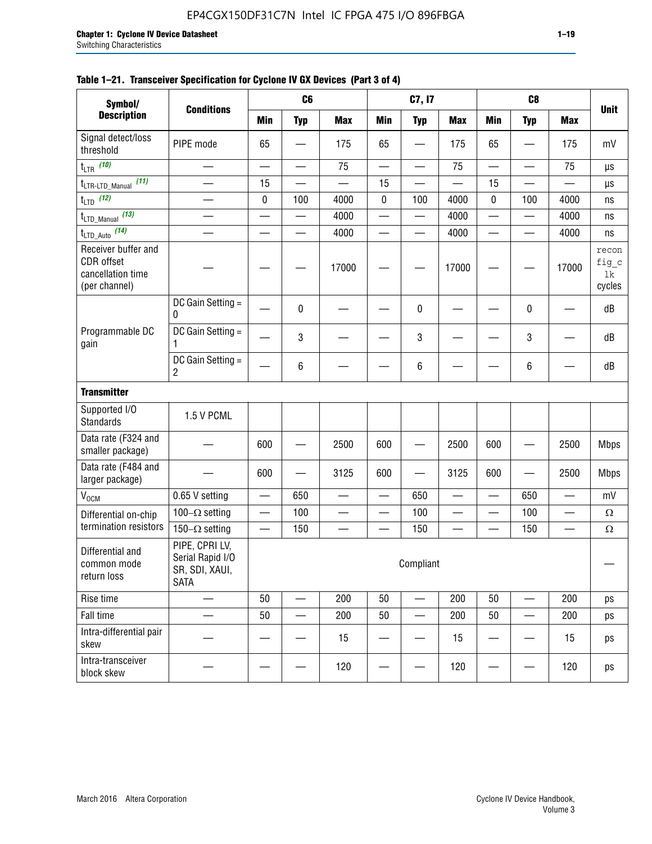| Symbol/                                                                        |                                                                     |                          | C <sub>6</sub> |                          |                 | C7, I7                   |            |                          | C <sub>8</sub>           |            |                                |
|--------------------------------------------------------------------------------|---------------------------------------------------------------------|--------------------------|----------------|--------------------------|-----------------|--------------------------|------------|--------------------------|--------------------------|------------|--------------------------------|
| <b>Description</b>                                                             | <b>Conditions</b>                                                   | <b>Min</b>               | <b>Typ</b>     | <b>Max</b>               | <b>Min</b>      | <b>Typ</b>               | <b>Max</b> | <b>Min</b>               | <b>Typ</b>               | <b>Max</b> | <b>Unit</b>                    |
| Signal detect/loss<br>threshold                                                | PIPE mode                                                           | 65                       |                | 175                      | 65              |                          | 175        | 65                       |                          | 175        | mV                             |
| $t_{\sf LTR}$ (10)                                                             |                                                                     |                          | —              | 75                       | —               |                          | 75         | $\overline{\phantom{0}}$ |                          | 75         | μs                             |
| (11)<br>t <sub>LTR-LTD_Manual</sub>                                            | $\overline{\phantom{0}}$                                            | 15                       |                |                          | 15              |                          |            | 15                       |                          |            | μs                             |
| $t_{\text{LTD}}$ (12)                                                          |                                                                     | $\pmb{0}$                | 100            | 4000                     | 0               | 100                      | 4000       | 0                        | 100                      | 4000       | ns                             |
| (13)<br>t <sub>LTD_Manual</sub>                                                | $\overline{\phantom{0}}$                                            | $\overline{\phantom{0}}$ | —              | 4000                     | $\qquad \qquad$ | $\qquad \qquad \qquad$   | 4000       | $\overline{\phantom{0}}$ | —                        | 4000       | ns                             |
| $t_{\text{LTD\_Auto}}$ (14)                                                    |                                                                     |                          |                | 4000                     |                 |                          | 4000       | —<br>—                   | $\overline{\phantom{0}}$ | 4000       | ns                             |
| Receiver buffer and<br><b>CDR</b> offset<br>cancellation time<br>(per channel) |                                                                     |                          |                | 17000                    |                 |                          | 17000      |                          |                          | 17000      | recon<br>fig_c<br>1k<br>cycles |
|                                                                                | DC Gain Setting =<br>0                                              |                          | 0              |                          |                 | 0                        |            |                          | 0                        |            | dB                             |
| Programmable DC<br>gain                                                        | DC Gain Setting =<br>1                                              |                          | 3              |                          |                 | 3                        |            |                          | $\mathbf{3}$             |            | dB                             |
|                                                                                | DC Gain Setting =<br>2                                              |                          | 6              |                          |                 | 6                        |            |                          | 6                        |            | dB                             |
| <b>Transmitter</b>                                                             |                                                                     |                          |                |                          |                 |                          |            |                          |                          |            |                                |
| Supported I/O<br><b>Standards</b>                                              | 1.5 V PCML                                                          |                          |                |                          |                 |                          |            |                          |                          |            |                                |
| Data rate (F324 and<br>smaller package)                                        |                                                                     | 600                      |                | 2500                     | 600             |                          | 2500       | 600                      |                          | 2500       | <b>Mbps</b>                    |
| Data rate (F484 and<br>larger package)                                         |                                                                     | 600                      |                | 3125                     | 600             |                          | 3125       | 600                      |                          | 2500       | <b>Mbps</b>                    |
| V <sub>OCM</sub>                                                               | 0.65 V setting                                                      |                          | 650            |                          |                 | 650                      |            |                          | 650                      |            | mV                             |
| Differential on-chip                                                           | 100 $-\Omega$ setting                                               |                          | 100            | $\overline{\phantom{0}}$ | $\qquad \qquad$ | 100                      |            | —                        | 100                      | —          | $\Omega$                       |
| termination resistors                                                          | 150 $-\Omega$ setting                                               |                          | 150            |                          |                 | 150                      |            |                          | 150                      |            | $\Omega$                       |
| Differential and<br>common mode<br>return loss                                 | PIPE, CPRI LV,<br>Serial Rapid I/O<br>SR, SDI, XAUI,<br><b>SATA</b> |                          |                |                          |                 | Compliant                |            |                          |                          |            |                                |
| Rise time                                                                      |                                                                     | 50                       |                | 200                      | 50              | $\overline{\phantom{0}}$ | 200        | 50                       |                          | 200        | ps                             |
| Fall time                                                                      |                                                                     | 50                       |                | 200                      | 50              |                          | 200        | 50                       |                          | 200        | ps                             |
| Intra-differential pair<br>skew                                                |                                                                     |                          |                | 15                       |                 |                          | 15         |                          |                          | 15         | ps                             |
| Intra-transceiver<br>block skew                                                |                                                                     |                          |                | 120                      |                 |                          | 120        |                          |                          | 120        | ps                             |

# **Table 1–21. Transceiver Specification for Cyclone IV GX Devices (Part 3 of 4)**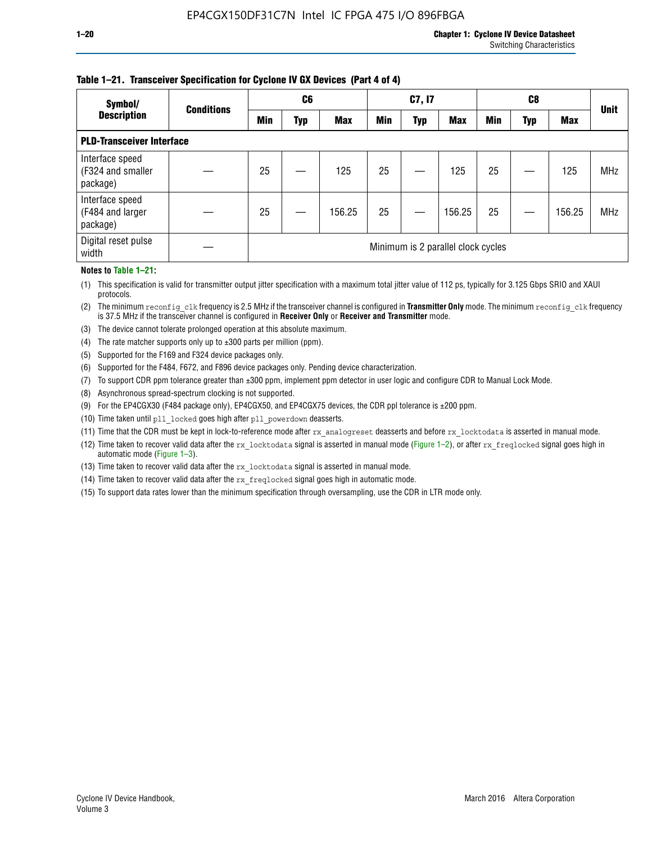### **Table 1–21. Transceiver Specification for Cyclone IV GX Devices (Part 4 of 4)**

| Symbol/                                          | <b>Conditions</b> | C <sub>6</sub>                     |     |            | C7, I7     |            |            | C8         |     |            | <b>Unit</b> |
|--------------------------------------------------|-------------------|------------------------------------|-----|------------|------------|------------|------------|------------|-----|------------|-------------|
| <b>Description</b>                               |                   | Min                                | Typ | <b>Max</b> | <b>Min</b> | <b>Typ</b> | <b>Max</b> | <b>Min</b> | Typ | <b>Max</b> |             |
| <b>PLD-Transceiver Interface</b>                 |                   |                                    |     |            |            |            |            |            |     |            |             |
| Interface speed<br>(F324 and smaller<br>package) |                   | 25                                 |     | 125        | 25         |            | 125        | 25         |     | 125        | <b>MHz</b>  |
| Interface speed<br>(F484 and larger<br>package)  |                   | 25                                 |     | 156.25     | 25         |            | 156.25     | 25         |     | 156.25     | <b>MHz</b>  |
| Digital reset pulse<br>width                     |                   | Minimum is 2 parallel clock cycles |     |            |            |            |            |            |     |            |             |

#### **Notes to Table 1–21:**

(1) This specification is valid for transmitter output jitter specification with a maximum total jitter value of 112 ps, typically for 3.125 Gbps SRIO and XAUI protocols.

(2) The minimum reconfig\_clk frequency is 2.5 MHz if the transceiver channel is configured in **Transmitter Only** mode. The minimum reconfig\_clk frequency is 37.5 MHz if the transceiver channel is configured in **Receiver Only** or **Receiver and Transmitter** mode.

(3) The device cannot tolerate prolonged operation at this absolute maximum.

- (4) The rate matcher supports only up to  $\pm 300$  parts per million (ppm).
- (5) Supported for the F169 and F324 device packages only.
- (6) Supported for the F484, F672, and F896 device packages only. Pending device characterization.
- (7) To support CDR ppm tolerance greater than ±300 ppm, implement ppm detector in user logic and configure CDR to Manual Lock Mode.
- (8) Asynchronous spread-spectrum clocking is not supported.
- (9) For the EP4CGX30 (F484 package only), EP4CGX50, and EP4CGX75 devices, the CDR ppl tolerance is ±200 ppm.
- (10) Time taken until pll\_locked goes high after pll\_powerdown deasserts.
- (11) Time that the CDR must be kept in lock-to-reference mode after rx analogreset deasserts and before rx locktodata is asserted in manual mode.

(12) Time taken to recover valid data after the rx locktodata signal is asserted in manual mode (Figure 1–2), or after rx freqlocked signal goes high in automatic mode (Figure 1–3).

(13) Time taken to recover valid data after the rx locktodata signal is asserted in manual mode.

- (14) Time taken to recover valid data after the rx freqlocked signal goes high in automatic mode.
- (15) To support data rates lower than the minimum specification through oversampling, use the CDR in LTR mode only.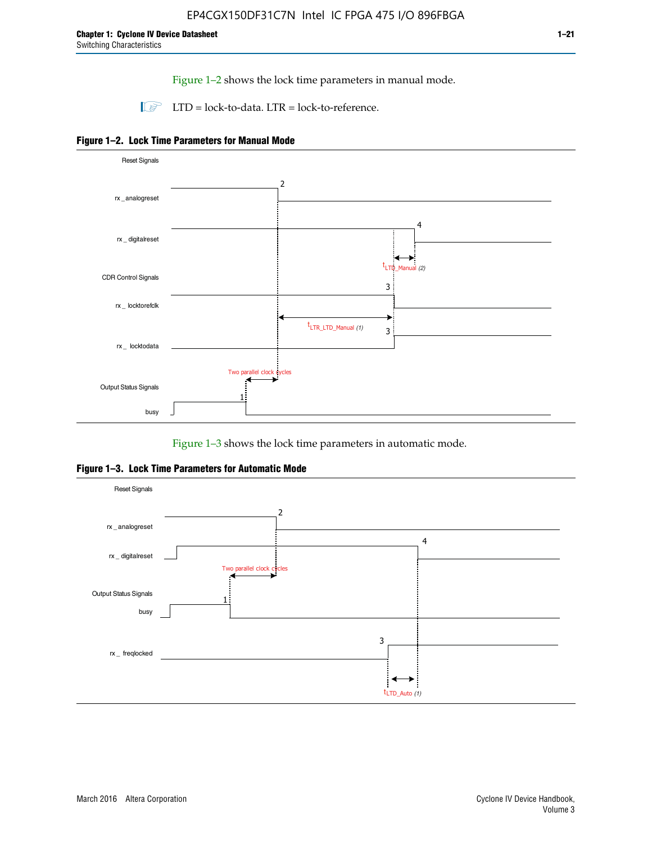Figure 1–2 shows the lock time parameters in manual mode.

 $\Box$  LTD = lock-to-data. LTR = lock-to-reference.





Figure 1–3 shows the lock time parameters in automatic mode.

**Figure 1–3. Lock Time Parameters for Automatic Mode**

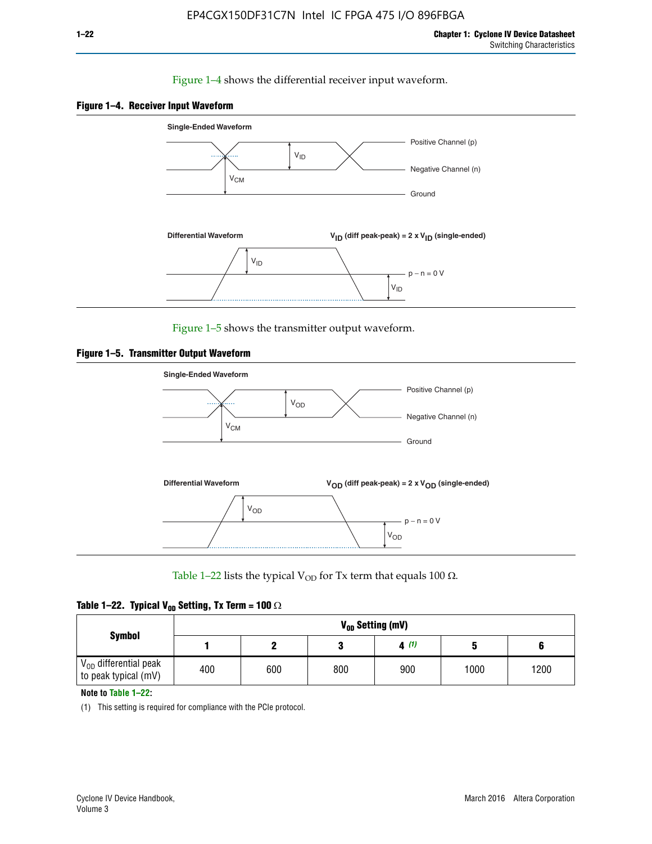## Figure 1–4 shows the differential receiver input waveform.





Figure 1–5 shows the transmitter output waveform.





Table 1–22 lists the typical V<sub>OD</sub> for Tx term that equals 100  $\Omega$ .

| Table 1–22. Typical V <sub>0D</sub> Setting, Tx Term = 100 $\Omega$ |  |  |  |  |  |  |  |
|---------------------------------------------------------------------|--|--|--|--|--|--|--|
|---------------------------------------------------------------------|--|--|--|--|--|--|--|

|                                                        |     |     |     | V <sub>on</sub> Setting (mV) |      |      |
|--------------------------------------------------------|-----|-----|-----|------------------------------|------|------|
| <b>Symbol</b>                                          |     |     |     | 4(1)                         |      |      |
| $\rm V_{OD}$ differential peak<br>to peak typical (mV) | 400 | 600 | 800 | 900                          | 1000 | 1200 |

**Note to Table 1–22:**

(1) This setting is required for compliance with the PCIe protocol.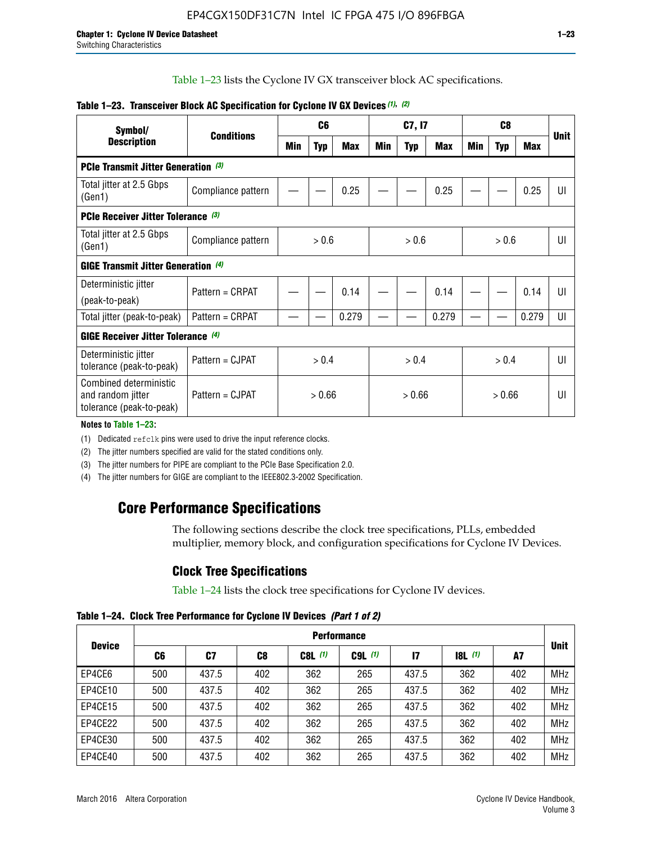Table 1–23 lists the Cyclone IV GX transceiver block AC specifications.

| Symbol/                                                                 | <b>Conditions</b>  | C <sub>6</sub> |            | C7, I7     |        |            | C <sub>8</sub> |                |            | <b>Unit</b> |    |
|-------------------------------------------------------------------------|--------------------|----------------|------------|------------|--------|------------|----------------|----------------|------------|-------------|----|
| <b>Description</b>                                                      |                    | Min            | <b>Typ</b> | <b>Max</b> | Min    | <b>Typ</b> | Max            | Min            | <b>Typ</b> | <b>Max</b>  |    |
| <b>PCIe Transmit Jitter Generation (3)</b>                              |                    |                |            |            |        |            |                |                |            |             |    |
| Total jitter at 2.5 Gbps<br>(Gen1)                                      | Compliance pattern |                |            | 0.25       |        |            | 0.25           |                |            | 0.25        | UI |
| <b>PCIe Receiver Jitter Tolerance (3)</b>                               |                    |                |            |            |        |            |                |                |            |             |    |
| Total jitter at 2.5 Gbps<br>(Gen1)                                      | Compliance pattern | > 0.6          |            | > 0.6      |        | > 0.6      |                | UI             |            |             |    |
| <b>GIGE Transmit Jitter Generation (4)</b>                              |                    |                |            |            |        |            |                |                |            |             |    |
| Deterministic jitter                                                    | Pattern = CRPAT    |                |            | 0.14       |        |            | 0.14           |                |            | 0.14        | UI |
| (peak-to-peak)                                                          |                    |                |            |            |        |            |                |                |            |             |    |
| Total jitter (peak-to-peak)                                             | Pattern = CRPAT    |                |            | 0.279      |        |            | 0.279          |                |            | 0.279       | UI |
| <b>GIGE Receiver Jitter Tolerance</b> (4)                               |                    |                |            |            |        |            |                |                |            |             |    |
| Deterministic jitter<br>tolerance (peak-to-peak)                        | Pattern = CJPAT    | > 0.4<br>> 0.4 |            |            | > 0.4  |            |                | $\mathsf{III}$ |            |             |    |
| Combined deterministic<br>and random jitter<br>tolerance (peak-to-peak) | Pattern = CJPAT    |                | > 0.66     |            | > 0.66 |            | > 0.66         |                | UI         |             |    |

## **Table 1–23. Transceiver Block AC Specification for Cyclone IV GX Devices** *(1)***,** *(2)*

**Notes to Table 1–23:**

(1) Dedicated refclk pins were used to drive the input reference clocks.

(2) The jitter numbers specified are valid for the stated conditions only.

(3) The jitter numbers for PIPE are compliant to the PCIe Base Specification 2.0.

(4) The jitter numbers for GIGE are compliant to the IEEE802.3-2002 Specification.

# **Core Performance Specifications**

The following sections describe the clock tree specifications, PLLs, embedded multiplier, memory block, and configuration specifications for Cyclone IV Devices.

# **Clock Tree Specifications**

Table 1–24 lists the clock tree specifications for Cyclone IV devices.

**Table 1–24. Clock Tree Performance for Cyclone IV Devices** *(Part 1 of 2)*

|               | <b>Performance</b> |       |     |           |             |       |                  |     |             |
|---------------|--------------------|-------|-----|-----------|-------------|-------|------------------|-----|-------------|
| <b>Device</b> | C6                 | C7    | C8  | $C8L$ (1) | $C9L$ $(1)$ | 17    | <b>18L</b> $(1)$ | A7  | <b>Unit</b> |
| EP4CE6        | 500                | 437.5 | 402 | 362       | 265         | 437.5 | 362              | 402 | <b>MHz</b>  |
| EP4CE10       | 500                | 437.5 | 402 | 362       | 265         | 437.5 | 362              | 402 | <b>MHz</b>  |
| EP4CE15       | 500                | 437.5 | 402 | 362       | 265         | 437.5 | 362              | 402 | <b>MHz</b>  |
| EP4CE22       | 500                | 437.5 | 402 | 362       | 265         | 437.5 | 362              | 402 | <b>MHz</b>  |
| EP4CE30       | 500                | 437.5 | 402 | 362       | 265         | 437.5 | 362              | 402 | <b>MHz</b>  |
| EP4CE40       | 500                | 437.5 | 402 | 362       | 265         | 437.5 | 362              | 402 | <b>MHz</b>  |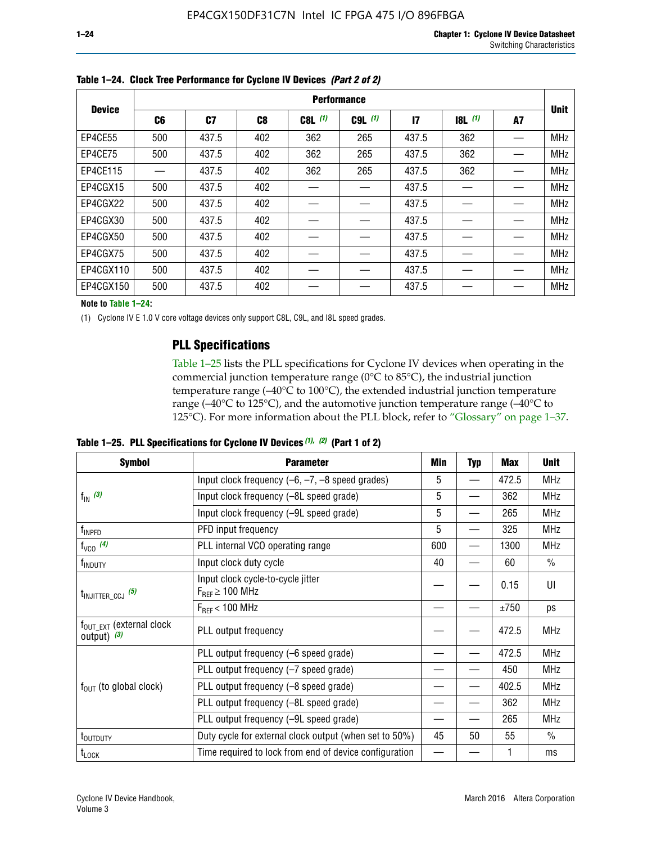|               | <b>Performance</b> |                |     |           |             |              |           |    |             |  |
|---------------|--------------------|----------------|-----|-----------|-------------|--------------|-----------|----|-------------|--|
| <b>Device</b> | C6                 | C <sub>7</sub> | C8  | $C8L$ (1) | $C9L$ $(1)$ | $\mathbf{I}$ | $18L$ (1) | A7 | <b>Unit</b> |  |
| EP4CE55       | 500                | 437.5          | 402 | 362       | 265         | 437.5        | 362       |    | <b>MHz</b>  |  |
| EP4CE75       | 500                | 437.5          | 402 | 362       | 265         | 437.5        | 362       |    | <b>MHz</b>  |  |
| EP4CE115      |                    | 437.5          | 402 | 362       | 265         | 437.5        | 362       |    | <b>MHz</b>  |  |
| EP4CGX15      | 500                | 437.5          | 402 |           |             | 437.5        |           |    | <b>MHz</b>  |  |
| EP4CGX22      | 500                | 437.5          | 402 |           |             | 437.5        |           |    | <b>MHz</b>  |  |
| EP4CGX30      | 500                | 437.5          | 402 |           |             | 437.5        |           |    | <b>MHz</b>  |  |
| EP4CGX50      | 500                | 437.5          | 402 |           |             | 437.5        |           |    | <b>MHz</b>  |  |
| EP4CGX75      | 500                | 437.5          | 402 |           |             | 437.5        |           |    | <b>MHz</b>  |  |
| EP4CGX110     | 500                | 437.5          | 402 |           |             | 437.5        |           |    | <b>MHz</b>  |  |
| EP4CGX150     | 500                | 437.5          | 402 |           |             | 437.5        |           |    | <b>MHz</b>  |  |

**Table 1–24. Clock Tree Performance for Cyclone IV Devices** *(Part 2 of 2)*

**Note to Table 1–24:**

(1) Cyclone IV E 1.0 V core voltage devices only support C8L, C9L, and I8L speed grades.

# **PLL Specifications**

Table 1–25 lists the PLL specifications for Cyclone IV devices when operating in the commercial junction temperature range (0°C to 85°C), the industrial junction temperature range (–40°C to 100°C), the extended industrial junction temperature range (–40°C to 125°C), and the automotive junction temperature range (–40°C to 125°C). For more information about the PLL block, refer to "Glossary" on page 1–37.

|  |  | Table 1–25. PLL Specifications for Cyclone IV Devices $(1)$ , $(2)$ (Part 1 of 2) |  |
|--|--|-----------------------------------------------------------------------------------|--|
|--|--|-----------------------------------------------------------------------------------|--|

| <b>Symbol</b>                                          | <b>Parameter</b>                                            | Min | <b>Typ</b>               | Max   | <b>Unit</b>   |
|--------------------------------------------------------|-------------------------------------------------------------|-----|--------------------------|-------|---------------|
|                                                        | Input clock frequency $(-6, -7, -8)$ speed grades)          |     | —                        | 472.5 | <b>MHz</b>    |
| $f_{\text{IN}}$ (3)                                    | Input clock frequency (-8L speed grade)                     | 5   |                          | 362   | <b>MHz</b>    |
|                                                        | Input clock frequency (-9L speed grade)                     | 5   |                          | 265   | <b>MHz</b>    |
| f <sub>INPFD</sub>                                     | PFD input frequency                                         | 5   |                          | 325   | <b>MHz</b>    |
| $f_{VCO}$ (4)                                          | PLL internal VCO operating range                            | 600 | $\overline{\phantom{0}}$ | 1300  | <b>MHz</b>    |
| f <sub>INDUTY</sub>                                    | Input clock duty cycle                                      | 40  |                          | 60    | $\frac{0}{0}$ |
| $t_{\text{INJITTER\_CCJ}}$ (5)                         | Input clock cycle-to-cycle jitter<br>$F_{REF} \geq 100$ MHz |     |                          | 0.15  | UI            |
|                                                        | $F_{RFF}$ < 100 MHz                                         |     |                          | ±750  | ps            |
| $f_{\text{OUT\_EXT}}$ (external clock<br>output) $(3)$ | PLL output frequency                                        |     |                          | 472.5 | <b>MHz</b>    |
|                                                        | PLL output frequency (-6 speed grade)                       |     |                          | 472.5 | <b>MHz</b>    |
|                                                        | PLL output frequency (-7 speed grade)                       |     |                          | 450   | <b>MHz</b>    |
| $f_{OUT}$ (to global clock)                            | PLL output frequency (-8 speed grade)                       |     |                          | 402.5 | <b>MHz</b>    |
|                                                        | PLL output frequency (-8L speed grade)                      |     |                          | 362   | <b>MHz</b>    |
|                                                        | PLL output frequency (-9L speed grade)                      |     |                          | 265   | <b>MHz</b>    |
| t <sub>outputy</sub>                                   | Duty cycle for external clock output (when set to 50%)      |     | 50                       | 55    | $\frac{0}{0}$ |
| $t_{\text{LOCK}}$                                      | Time required to lock from end of device configuration      |     |                          |       | ms            |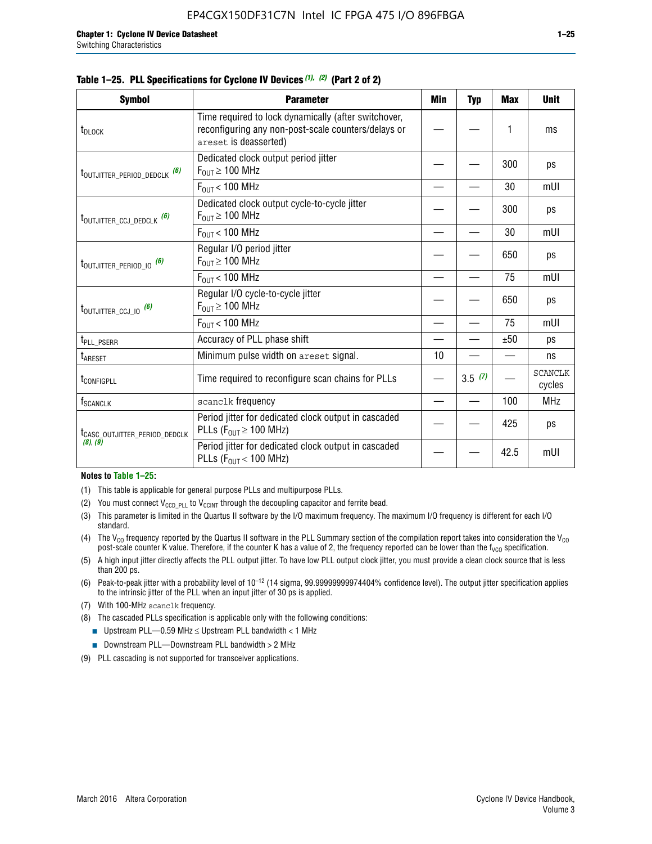**Symbol Parameter Min Typ Max Unit**

|  |  | Table 1–25. PLL Specifications for Cyclone IV Devices (1), (2) (Part 2 of 2) |  |
|--|--|------------------------------------------------------------------------------|--|
|--|--|------------------------------------------------------------------------------|--|

| t <sub>DLOCK</sub>                        | Time required to lock dynamically (after switchover,<br>reconfiguring any non-post-scale counters/delays or<br>areset is deasserted) |                           | 1    | ms                       |
|-------------------------------------------|--------------------------------------------------------------------------------------------------------------------------------------|---------------------------|------|--------------------------|
| t <sub>outjitter_period_dedclk</sub> (6)  | Dedicated clock output period jitter<br>$F_{\text{OUT}} \geq 100 \text{ MHz}$                                                        |                           | 300  | ps                       |
|                                           | $F_{OUT}$ < 100 MHz                                                                                                                  |                           | 30   | mUI                      |
| t <sub>outjitter_ccj_dedclk</sub> (6)     | Dedicated clock output cycle-to-cycle jitter<br>$F_{OUT} \geq 100$ MHz                                                               |                           | 300  | ps                       |
|                                           | $F_{OIII}$ < 100 MHz                                                                                                                 |                           | 30   | mUI                      |
| t <sub>outjitter_period_io</sub> (6)      | Regular I/O period jitter<br>$F_{OUT} \geq 100$ MHz                                                                                  |                           | 650  | ps                       |
|                                           | $F_{\text{OUT}}$ < 100 MHz                                                                                                           |                           | 75   | mUI                      |
| t <sub>outjitter_ccj_io</sub> (6)         | Regular I/O cycle-to-cycle jitter<br>$F_{\text{OUT}} \geq 100 \text{ MHz}$                                                           |                           | 650  | ps                       |
|                                           | $F_{OIII}$ < 100 MHz                                                                                                                 | 75<br>±50<br>10<br>3.5(7) | mUI  |                          |
| t <sub>PLL_PSERR</sub>                    | Accuracy of PLL phase shift                                                                                                          |                           |      | ps                       |
| t <sub>ARESET</sub>                       | Minimum pulse width on areset signal.                                                                                                |                           |      | ns                       |
| <b><i>LCONFIGPLL</i></b>                  | Time required to reconfigure scan chains for PLLs                                                                                    |                           |      | <b>SCANCLK</b><br>cycles |
| f <sub>SCANCLK</sub>                      | scanclk frequency                                                                                                                    |                           | 100  | MHz                      |
| t <sub>CASC_OUTJITTER_PERIOD_DEDCLK</sub> | Period jitter for dedicated clock output in cascaded<br>PLLs ( $F_{OUT} \ge 100$ MHz)                                                |                           | 425  | ps                       |
| (8), (9)                                  | Period jitter for dedicated clock output in cascaded<br>PLLs ( $F_{\text{OUT}}$ < 100 MHz)                                           |                           | 42.5 | mUI                      |

#### **Notes to Table 1–25:**

- (1) This table is applicable for general purpose PLLs and multipurpose PLLs.
- (2) You must connect  $V_{CCD-PL}$  to  $V_{CCINT}$  through the decoupling capacitor and ferrite bead.
- (3) This parameter is limited in the Quartus II software by the I/O maximum frequency. The maximum I/O frequency is different for each I/O standard.
- (4) The V<sub>CO</sub> frequency reported by the Quartus II software in the PLL Summary section of the compilation report takes into consideration the V<sub>CO</sub> post-scale counter K value. Therefore, if the counter K has a value of 2, the frequency reported can be lower than the f<sub>VCO</sub> specification.
- (5) A high input jitter directly affects the PLL output jitter. To have low PLL output clock jitter, you must provide a clean clock source that is less than 200 ps.
- (6) Peak-to-peak jitter with a probability level of 10–12 (14 sigma, 99.99999999974404% confidence level). The output jitter specification applies to the intrinsic jitter of the PLL when an input jitter of 30 ps is applied.
- (7) With 100-MHz scanclk frequency.
- (8) The cascaded PLLs specification is applicable only with the following conditions:
	- **■** Upstream PLL—0.59 MHz  $\leq$  Upstream PLL bandwidth  $<$  1 MHz
	- Downstream PLL—Downstream PLL bandwidth > 2 MHz
- (9) PLL cascading is not supported for transceiver applications.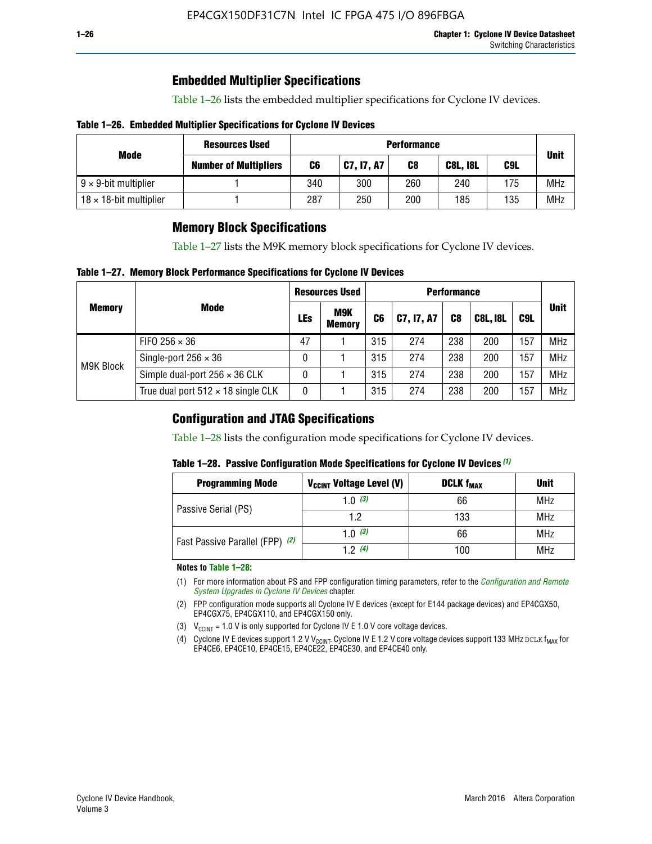# **Embedded Multiplier Specifications**

Table 1–26 lists the embedded multiplier specifications for Cyclone IV devices.

### **Table 1–26. Embedded Multiplier Specifications for Cyclone IV Devices**

|                                | <b>Resources Used</b>        | <b>Performance</b> |            |     |                 |     |             |
|--------------------------------|------------------------------|--------------------|------------|-----|-----------------|-----|-------------|
| Mode                           | <b>Number of Multipliers</b> | C6                 | C7, I7, A7 | C8  | <b>C8L, I8L</b> | C9L | <b>Unit</b> |
| $9 \times 9$ -bit multiplier   |                              | 340                | 300        | 260 | 240             | 175 | <b>MHz</b>  |
| $18 \times 18$ -bit multiplier |                              | 287                | 250        | 200 | 185             | 135 | <b>MHz</b>  |

# **Memory Block Specifications**

Table 1–27 lists the M9K memory block specifications for Cyclone IV devices.

### **Table 1–27. Memory Block Performance Specifications for Cyclone IV Devices**

|               |                                           | <b>Resources Used</b> |                             | <b>Performance</b> |            |                |                 |     |             |
|---------------|-------------------------------------------|-----------------------|-----------------------------|--------------------|------------|----------------|-----------------|-----|-------------|
| <b>Memory</b> | <b>Mode</b>                               | LEs                   | <b>M9K</b><br><b>Memory</b> | C <sub>6</sub>     | C7, I7, A7 | C <sub>8</sub> | <b>C8L, I8L</b> | C9L | <b>Unit</b> |
| M9K Block     | FIFO 256 $\times$ 36                      | 47                    |                             | 315                | 274        | 238            | 200             | 157 | <b>MHz</b>  |
|               | Single-port $256 \times 36$               | 0                     |                             | 315                | 274        | 238            | 200             | 157 | <b>MHz</b>  |
|               | Simple dual-port $256 \times 36$ CLK      | 0                     |                             | 315                | 274        | 238            | 200             | 157 | <b>MHz</b>  |
|               | True dual port $512 \times 18$ single CLK | 0                     |                             | 315                | 274        | 238            | 200             | 157 | <b>MHz</b>  |

# **Configuration and JTAG Specifications**

Table 1–28 lists the configuration mode specifications for Cyclone IV devices.

### **Table 1–28. Passive Configuration Mode Specifications for Cyclone IV Devices** *(1)*

| <b>Programming Mode</b>         | V <sub>CCINT</sub> Voltage Level (V)          | <b>DCLK f<sub>MAX</sub></b> | <b>Unit</b> |
|---------------------------------|-----------------------------------------------|-----------------------------|-------------|
| Passive Serial (PS)             | 1.0 $(3)$                                     | 66                          | MHz         |
|                                 | 1.2<br>133<br>1.0 $(3)$<br>66<br>12(4)<br>100 | MHz                         |             |
| Fast Passive Parallel (FPP) (2) |                                               |                             | <b>MHz</b>  |
|                                 |                                               |                             | <b>MHz</b>  |

#### **Notes to Table 1–28:**

- (1) For more information about PS and FPP configuration timing parameters, refer to the *[Configuration and Remote](http://www.altera.com/literature/hb/cyclone-iv/cyiv-51008.pdf)  [System Upgrades in Cyclone IV Devices](http://www.altera.com/literature/hb/cyclone-iv/cyiv-51008.pdf)* chapter.
- (2) FPP configuration mode supports all Cyclone IV E devices (except for E144 package devices) and EP4CGX50, EP4CGX75, EP4CGX110, and EP4CGX150 only.
- (3)  $V_{CCMT}$  = 1.0 V is only supported for Cyclone IV E 1.0 V core voltage devices.
- (4) Cyclone IV E devices support 1.2 V V<sub>CCINT</sub>. Cyclone IV E 1.2 V core voltage devices support 133 MHz DCLK f<sub>MAX</sub> for EP4CE6, EP4CE10, EP4CE15, EP4CE22, EP4CE30, and EP4CE40 only.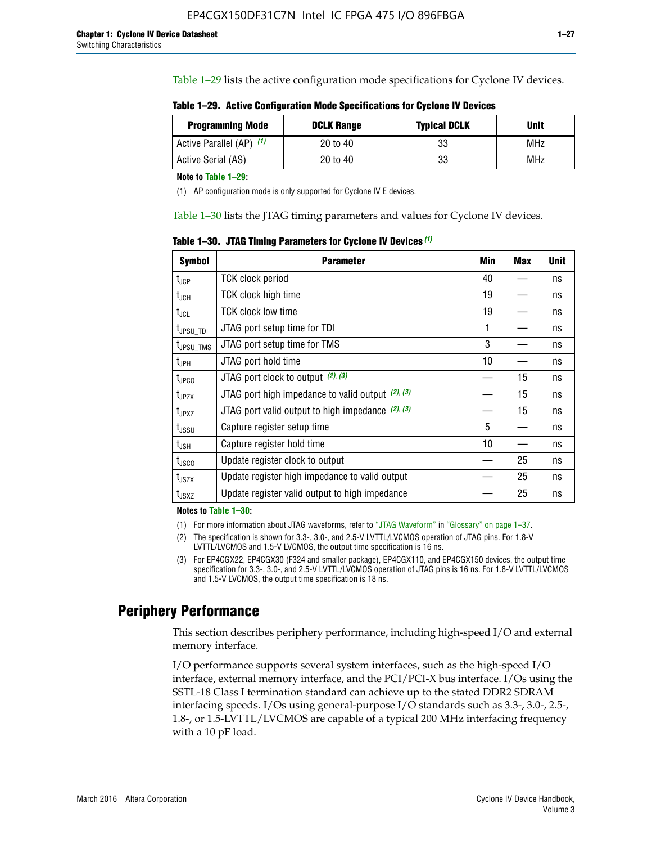Table 1–29 lists the active configuration mode specifications for Cyclone IV devices.

**Table 1–29. Active Configuration Mode Specifications for Cyclone IV Devices**

| <b>Programming Mode</b>  | <b>DCLK Range</b> | <b>Typical DCLK</b> | Unit |
|--------------------------|-------------------|---------------------|------|
| Active Parallel (AP) (1) | 20 to 40          | 33                  | MHz  |
| Active Serial (AS)       | 20 to 40          | 33                  | MHz  |

**Note to Table 1–29:**

(1) AP configuration mode is only supported for Cyclone IV E devices.

Table 1–30 lists the JTAG timing parameters and values for Cyclone IV devices.

**Table 1–30. JTAG Timing Parameters for Cyclone IV Devices** *(1)*

| Symbol                       | <b>Parameter</b>                                       | <b>Min</b> | <b>Max</b> | <b>Unit</b> |
|------------------------------|--------------------------------------------------------|------------|------------|-------------|
| t <sub>JCP</sub>             | <b>TCK clock period</b>                                | 40         |            | ns          |
| t <sub>JCH</sub>             | <b>TCK clock high time</b>                             | 19         |            | ns          |
| $t_{JCL}$                    | TCK clock low time                                     | 19         |            | ns          |
| t <sub>JPSU_TDI</sub>        | JTAG port setup time for TDI                           | 1          |            | ns          |
| t <sub>JPSU_TMS</sub>        | JTAG port setup time for TMS                           | 3          |            | ns          |
| t <sub>JPH</sub>             | JTAG port hold time                                    | 10         |            | ns          |
| t <sub>JPCO</sub>            | JTAG port clock to output $(2)$ , $(3)$                |            | 15         | ns          |
| t <sub>JPZX</sub>            | JTAG port high impedance to valid output $(2)$ , $(3)$ |            | 15         | ns          |
| t <sub>JPXZ</sub>            | JTAG port valid output to high impedance $(2)$ , $(3)$ |            | 15         | ns          |
| ${\rm t}_{\rm JSSU}$         | Capture register setup time                            | 5          |            | ns          |
| $\mathsf{t}_{\mathsf{JSH}}$  | Capture register hold time                             | 10         |            | ns          |
| $t_{\rm JSCO}$               | Update register clock to output                        |            | 25         | ns          |
| $t_{\footnotesize \rm JSZX}$ | Update register high impedance to valid output         |            | 25         | ns          |
| t <sub>JSXZ</sub>            | Update register valid output to high impedance         |            | 25         | ns          |

**Notes to Table 1–30:**

(1) For more information about JTAG waveforms, refer to "JTAG Waveform" in "Glossary" on page 1–37.

(2) The specification is shown for 3.3-, 3.0-, and 2.5-V LVTTL/LVCMOS operation of JTAG pins. For 1.8-V LVTTL/LVCMOS and 1.5-V LVCMOS, the output time specification is 16 ns.

(3) For EP4CGX22, EP4CGX30 (F324 and smaller package), EP4CGX110, and EP4CGX150 devices, the output time specification for 3.3-, 3.0-, and 2.5-V LVTTL/LVCMOS operation of JTAG pins is 16 ns. For 1.8-V LVTTL/LVCMOS and 1.5-V LVCMOS, the output time specification is 18 ns.

# **Periphery Performance**

This section describes periphery performance, including high-speed I/O and external memory interface.

I/O performance supports several system interfaces, such as the high-speed I/O interface, external memory interface, and the PCI/PCI-X bus interface. I/Os using the SSTL-18 Class I termination standard can achieve up to the stated DDR2 SDRAM interfacing speeds. I/Os using general-purpose I/O standards such as 3.3-, 3.0-, 2.5-, 1.8-, or 1.5-LVTTL/LVCMOS are capable of a typical 200 MHz interfacing frequency with a 10 pF load.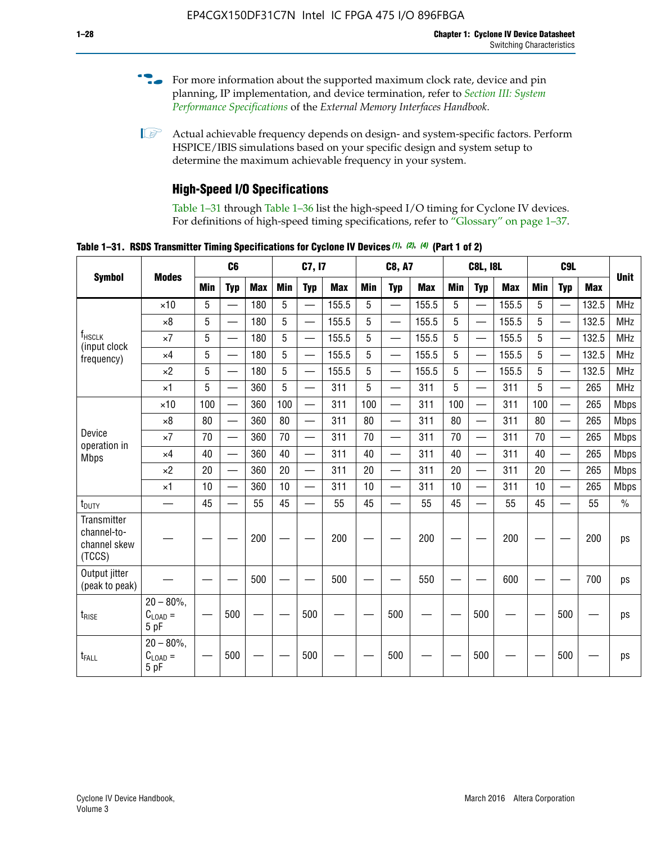- For more information about the supported maximum clock rate, device and pin planning, IP implementation, and device termination, refer to *[Section III: System](http://www.altera.com/literature/hb/external-memory/emi_intro_specs.pdf)  [Performance Specifications](http://www.altera.com/literature/hb/external-memory/emi_intro_specs.pdf)* of the *External Memory Interfaces Handbook*.
- **1 Actual achievable frequency depends on design- and system-specific factors. Perform** HSPICE/IBIS simulations based on your specific design and system setup to determine the maximum achievable frequency in your system.

# **High-Speed I/O Specifications**

Table 1–31 through Table 1–36 list the high-speed I/O timing for Cyclone IV devices. For definitions of high-speed timing specifications, refer to "Glossary" on page 1–37.

**Table 1–31. RSDS Transmitter Timing Specifications for Cyclone IV Devices** *(1)***,** *(2)***,** *(4)* **(Part 1 of 2)**

|                                                      |                                     |            | C6                       |            |            | C7, I7                   |            |                 | <b>C8, A7</b>            |            |            | <b>C8L, I8L</b>          |            |     | C <sub>9</sub> L         |            |             |
|------------------------------------------------------|-------------------------------------|------------|--------------------------|------------|------------|--------------------------|------------|-----------------|--------------------------|------------|------------|--------------------------|------------|-----|--------------------------|------------|-------------|
| <b>Symbol</b>                                        | <b>Modes</b>                        | <b>Min</b> | <b>Typ</b>               | <b>Max</b> | <b>Min</b> | <b>Typ</b>               | <b>Max</b> | <b>Min</b>      | <b>Typ</b>               | <b>Max</b> | <b>Min</b> | <b>Typ</b>               | <b>Max</b> | Min | <b>Typ</b>               | <b>Max</b> | <b>Unit</b> |
|                                                      | $\times$ 10                         | 5          | $\overline{\phantom{0}}$ | 180        | 5          | —                        | 155.5      | 5               | $\overline{\phantom{0}}$ | 155.5      | 5          |                          | 155.5      | 5   |                          | 132.5      | <b>MHz</b>  |
|                                                      | $\times 8$                          | 5          |                          | 180        | 5          |                          | 155.5      | $5\phantom{.0}$ | $\overline{\phantom{0}}$ | 155.5      | 5          |                          | 155.5      | 5   |                          | 132.5      | <b>MHz</b>  |
| f <sub>HSCLK</sub><br>(input clock                   | $\times 7$                          | 5          | $\overline{\phantom{0}}$ | 180        | 5          |                          | 155.5      | 5               | $\overline{\phantom{0}}$ | 155.5      | 5          |                          | 155.5      | 5   |                          | 132.5      | <b>MHz</b>  |
| frequency)                                           | $\times$ 4                          | 5          | $\overline{\phantom{0}}$ | 180        | 5          | $\overline{\phantom{0}}$ | 155.5      | 5               | $\equiv$                 | 155.5      | 5          | $\overline{\phantom{0}}$ | 155.5      | 5   | $\overline{\phantom{0}}$ | 132.5      | <b>MHz</b>  |
|                                                      | $\times 2$                          | 5          | $\equiv$                 | 180        | 5          |                          | 155.5      | 5               | $\equiv$                 | 155.5      | 5          | $\equiv$                 | 155.5      | 5   | $\overline{\phantom{0}}$ | 132.5      | <b>MHz</b>  |
|                                                      | $\times$ 1                          | 5          |                          | 360        | 5          |                          | 311        | 5               | $\overline{\phantom{0}}$ | 311        | 5          | $\overline{\phantom{0}}$ | 311        | 5   |                          | 265        | <b>MHz</b>  |
|                                                      | $\times$ 10                         | 100        | $\overline{\phantom{0}}$ | 360        | 100        |                          | 311        | 100             | $\overline{\phantom{0}}$ | 311        | 100        | $\overline{\phantom{0}}$ | 311        | 100 |                          | 265        | <b>Mbps</b> |
|                                                      | $\times 8$                          | 80         |                          | 360        | 80         |                          | 311        | 80              | $\overline{\phantom{0}}$ | 311        | 80         | $\overline{\phantom{0}}$ | 311        | 80  | $\overline{\phantom{0}}$ | 265        | <b>Mbps</b> |
| Device<br>operation in                               | $\times 7$                          | 70         | $\overline{\phantom{0}}$ | 360        | 70         |                          | 311        | 70              | $\overline{\phantom{0}}$ | 311        | 70         | $\overline{\phantom{0}}$ | 311        | 70  | $\overline{\phantom{0}}$ | 265        | <b>Mbps</b> |
| <b>Mbps</b>                                          | $\times$ 4                          | 40         |                          | 360        | 40         |                          | 311        | 40              |                          | 311        | 40         | $\overline{\phantom{0}}$ | 311        | 40  | $\overline{\phantom{0}}$ | 265        | <b>Mbps</b> |
|                                                      | $\times 2$                          | 20         |                          | 360        | 20         | $\equiv$                 | 311        | 20              | $\overline{\phantom{0}}$ | 311        | 20         |                          | 311        | 20  | $\equiv$                 | 265        | <b>Mbps</b> |
|                                                      | $\times$ 1                          | 10         |                          | 360        | 10         |                          | 311        | 10              |                          | 311        | 10         | $\overline{\phantom{0}}$ | 311        | 10  | $\overline{\phantom{0}}$ | 265        | <b>Mbps</b> |
| t <sub>DUTY</sub>                                    | —                                   | 45         | $\overline{\phantom{0}}$ | 55         | 45         |                          | 55         | 45              | $\overline{\phantom{0}}$ | 55         | 45         |                          | 55         | 45  |                          | 55         | $\%$        |
| Transmitter<br>channel-to-<br>channel skew<br>(TCCS) |                                     |            |                          | 200        |            |                          | 200        |                 |                          | 200        |            |                          | 200        |     |                          | 200        | ps          |
| Output jitter<br>(peak to peak)                      |                                     |            |                          | 500        |            |                          | 500        |                 |                          | 550        |            |                          | 600        |     |                          | 700        | ps          |
| $t_{\text{RISE}}$                                    | $20 - 80\%$<br>$C_{LOAD} =$<br>5 pF |            | 500                      |            |            | 500                      |            |                 | 500                      |            |            | 500                      |            |     | 500                      |            | ps          |
| t <sub>FALL</sub>                                    | $20 - 80\%$<br>$C_{LOAD} =$<br>5 pF |            | 500                      |            |            | 500                      |            |                 | 500                      |            |            | 500                      |            |     | 500                      |            | ps          |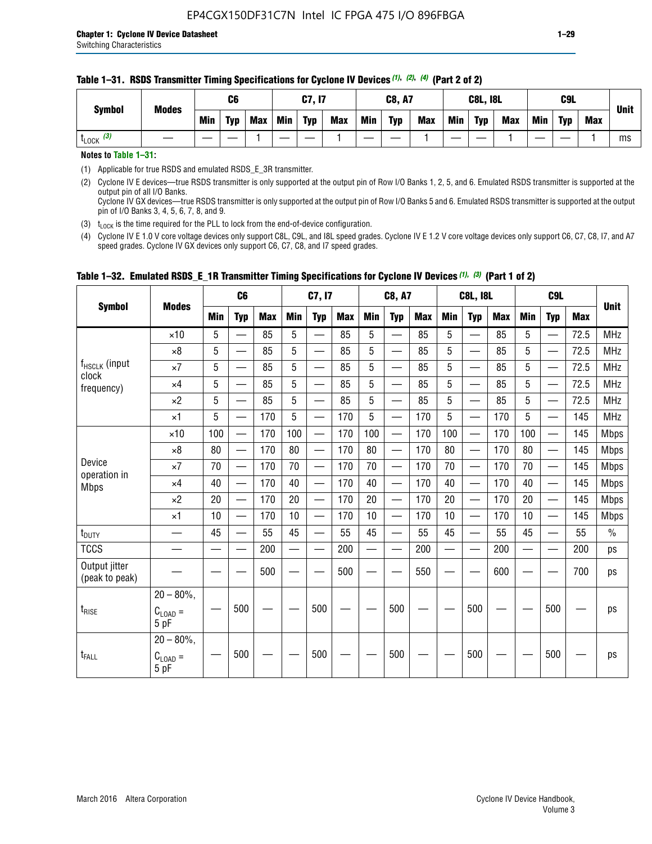| <b>Symbol</b>         | <b>Modes</b> |     | C <sub>6</sub> |            |            | <b>C7, I7</b> |            |     | <b>C8, A7</b> |            |     | <b>C8L, I8L</b> |            |            | C9L        |            | <b>Unit</b> |
|-----------------------|--------------|-----|----------------|------------|------------|---------------|------------|-----|---------------|------------|-----|-----------------|------------|------------|------------|------------|-------------|
|                       |              | Min | <b>Typ</b>     | <b>Max</b> | <b>Min</b> | <b>Typ</b>    | <b>Max</b> | Min | <b>Typ</b>    | <b>Max</b> | Min | <b>Typ</b>      | <b>Max</b> | <b>Min</b> | <b>Typ</b> | <b>Max</b> |             |
| $t_{\text{LOCK}}$ (3) |              |     |                |            |            |               |            |     |               |            |     |                 |            |            |            |            | ms          |

#### **Table 1–31. RSDS Transmitter Timing Specifications for Cyclone IV Devices** *(1)***,** *(2)***,** *(4)* **(Part 2 of 2)**

**Notes to Table 1–31:**

(1) Applicable for true RSDS and emulated RSDS\_E\_3R transmitter.

(2) Cyclone IV E devices—true RSDS transmitter is only supported at the output pin of Row I/O Banks 1, 2, 5, and 6. Emulated RSDS transmitter is supported at the output pin of all I/O Banks. Cyclone IV GX devices—true RSDS transmitter is only supported at the output pin of Row I/O Banks 5 and 6. Emulated RSDS transmitter is supported at the output

pin of I/O Banks 3, 4, 5, 6, 7, 8, and 9. (3)  $t_{\text{LOCK}}$  is the time required for the PLL to lock from the end-of-device configuration.

(4) Cyclone IV E 1.0 V core voltage devices only support C8L, C9L, and I8L speed grades. Cyclone IV E 1.2 V core voltage devices only support C6, C7, C8, I7, and A7 speed grades. Cyclone IV GX devices only support C6, C7, C8, and I7 speed grades.

|                                 |                                     |     | C <sub>6</sub>           |     |            | C7, I7                   |            |                          | <b>C8, A7</b>            |            |            | <b>C8L, I8L</b>          |            |            | C <sub>9</sub> L         |            | <b>Unit</b>   |
|---------------------------------|-------------------------------------|-----|--------------------------|-----|------------|--------------------------|------------|--------------------------|--------------------------|------------|------------|--------------------------|------------|------------|--------------------------|------------|---------------|
| <b>Symbol</b>                   | <b>Modes</b>                        | Min | <b>Typ</b>               | Max | <b>Min</b> | <b>Typ</b>               | <b>Max</b> | <b>Min</b>               | <b>Typ</b>               | <b>Max</b> | <b>Min</b> | <b>Typ</b>               | <b>Max</b> | <b>Min</b> | <b>Typ</b>               | <b>Max</b> |               |
|                                 | $\times$ 10                         | 5   | $\overline{\phantom{0}}$ | 85  | 5          | $\overline{\phantom{0}}$ | 85         | 5                        | —                        | 85         | 5          |                          | 85         | 5          |                          | 72.5       | <b>MHz</b>    |
|                                 | $\times 8$                          | 5   | $\qquad \qquad$          | 85  | 5          | e e                      | 85         | 5                        | $\overline{\phantom{0}}$ | 85         | 5          | $\overline{\phantom{0}}$ | 85         | 5          | —                        | 72.5       | <b>MHz</b>    |
| f <sub>HSCLK</sub> (input       | $\times 7$                          | 5   | —                        | 85  | 5          | $\overline{\phantom{a}}$ | 85         | 5                        | $\overline{\phantom{0}}$ | 85         | 5          | —                        | 85         | 5          |                          | 72.5       | <b>MHz</b>    |
| clock<br>frequency)             | $\times$ 4                          | 5   | $\equiv$                 | 85  | 5          | $\overline{\phantom{0}}$ | 85         | 5                        | $\equiv$                 | 85         | 5          | $\equiv$                 | 85         | 5          |                          | 72.5       | <b>MHz</b>    |
|                                 | $\times 2$                          | 5   | —                        | 85  | 5          | $\overline{\phantom{a}}$ | 85         | 5                        | $\overline{\phantom{0}}$ | 85         | 5          |                          | 85         | 5          | $\overline{\phantom{0}}$ | 72.5       | <b>MHz</b>    |
|                                 | $\times$ 1                          | 5   | $\overline{\phantom{0}}$ | 170 | 5          |                          | 170        | 5                        | $\overline{\phantom{0}}$ | 170        | 5          | $\overline{\phantom{0}}$ | 170        | 5          |                          | 145        | <b>MHz</b>    |
|                                 | $\times$ 10                         | 100 |                          | 170 | 100        | $\equiv$                 | 170        | 100                      | $\qquad \qquad$          | 170        | 100        |                          | 170        | 100        | $\qquad \qquad$          | 145        | <b>Mbps</b>   |
|                                 | $\times 8$                          | 80  | $\overline{\phantom{0}}$ | 170 | 80         | $\overline{\phantom{0}}$ | 170        | 80                       | $\qquad \qquad$          | 170        | 80         | $\overline{\phantom{0}}$ | 170        | 80         |                          | 145        | <b>Mbps</b>   |
| Device                          | $\times 7$                          | 70  | $\overline{\phantom{0}}$ | 170 | 70         | —                        | 170        | 70                       |                          | 170        | 70         | $\overline{\phantom{0}}$ | 170        | 70         |                          | 145        | <b>Mbps</b>   |
| operation in<br><b>Mbps</b>     | $\times 4$                          | 40  | $\overline{\phantom{0}}$ | 170 | 40         | $\overline{\phantom{0}}$ | 170        | 40                       | $\overline{\phantom{0}}$ | 170        | 40         | $\overline{\phantom{0}}$ | 170        | 40         | $\overline{\phantom{0}}$ | 145        | <b>Mbps</b>   |
|                                 | $\times 2$                          | 20  | $\overline{\phantom{0}}$ | 170 | 20         |                          | 170        | 20                       |                          | 170        | 20         |                          | 170        | 20         |                          | 145        | <b>Mbps</b>   |
|                                 | $\times$ 1                          | 10  |                          | 170 | 10         | $\overline{\phantom{0}}$ | 170        | 10                       | $\overline{\phantom{0}}$ | 170        | 10         | $\overline{\phantom{0}}$ | 170        | 10         |                          | 145        | <b>Mbps</b>   |
| t <sub>DUTY</sub>               |                                     | 45  |                          | 55  | 45         |                          | 55         | 45                       |                          | 55         | 45         | $\overline{\phantom{0}}$ | 55         | 45         |                          | 55         | $\frac{0}{0}$ |
| <b>TCCS</b>                     |                                     |     |                          | 200 |            |                          | 200        | $\overline{\phantom{0}}$ |                          | 200        |            | $\overline{\phantom{0}}$ | 200        |            |                          | 200        | ps            |
| Output jitter<br>(peak to peak) |                                     |     |                          | 500 |            |                          | 500        |                          |                          | 550        |            |                          | 600        |            |                          | 700        | ps            |
| $t_{\sf RISE}$                  | $20 - 80\%$<br>$C_{LOAD} =$<br>5 pF |     | 500                      |     |            | 500                      |            |                          | 500                      |            |            | 500                      |            |            | 500                      |            | ps            |
| t <sub>FALL</sub>               | $20 - 80\%$<br>$C_{LOAD} =$<br>5 pF |     | 500                      |     |            | 500                      |            |                          | 500                      |            |            | 500                      |            |            | 500                      |            | ps            |

### **Table 1–32. Emulated RSDS\_E\_1R Transmitter Timing Specifications for Cyclone IV Devices** *(1), (3)* **(Part 1 of 2)**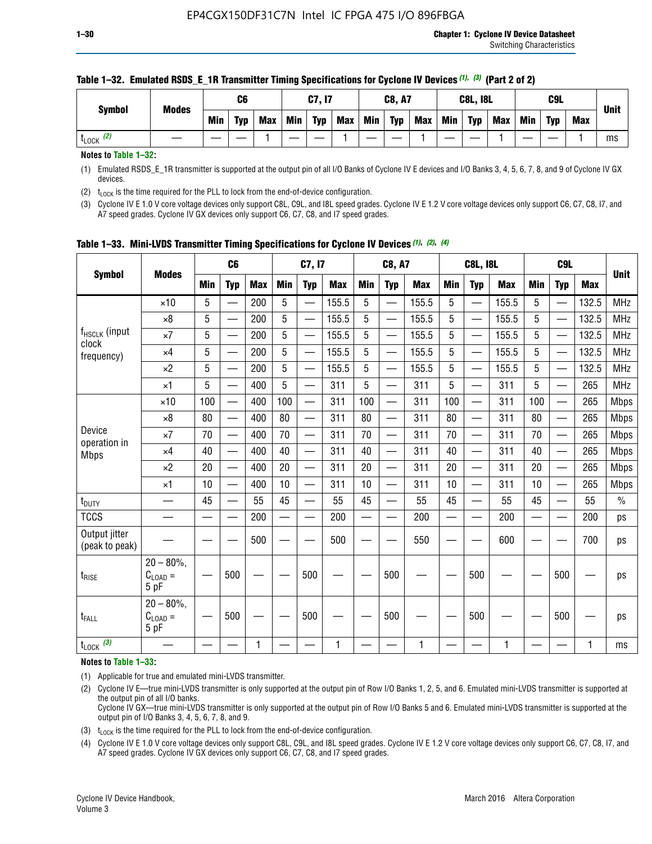| <b>Symbol</b>        | <b>Modes</b> |     | C6         |            |            | C7, I7     |            |            | <b>C8, A7</b> |            |            | <b>C8L, I8L</b> |            |     | C <sub>9</sub> L |     | <b>Unit</b> |
|----------------------|--------------|-----|------------|------------|------------|------------|------------|------------|---------------|------------|------------|-----------------|------------|-----|------------------|-----|-------------|
|                      |              | Min | <b>Typ</b> | <b>Max</b> | <b>Min</b> | <b>Typ</b> | <b>Max</b> | <b>Min</b> | <b>Typ</b>    | <b>Max</b> | <b>Min</b> | <b>Typ</b>      | <b>Max</b> | Min | <b>Typ</b>       | Max |             |
| (2)<br><b>L</b> LOCK |              |     |            |            |            |            |            |            |               |            |            |                 |            |     |                  |     | ms          |

### **Table 1–32. Emulated RSDS\_E\_1R Transmitter Timing Specifications for Cyclone IV Devices** *(1), (3)* **(Part 2 of 2)**

**Notes to Table 1–32:**

(1) Emulated RSDS\_E\_1R transmitter is supported at the output pin of all I/O Banks of Cyclone IV E devices and I/O Banks 3, 4, 5, 6, 7, 8, and 9 of Cyclone IV GX devices.

(2)  $t_{\text{LOCK}}$  is the time required for the PLL to lock from the end-of-device configuration.

(3) Cyclone IV E 1.0 V core voltage devices only support C8L, C9L, and I8L speed grades. Cyclone IV E 1.2 V core voltage devices only support C6, C7, C8, I7, and A7 speed grades. Cyclone IV GX devices only support C6, C7, C8, and I7 speed grades.

|                                 |                                                     |            | C <sub>6</sub>           |            |                          | C7, I7                   |            |                          | <b>C8, A7</b>            |            |            | <b>C8L, I8L</b>          |            |                          | C <sub>9L</sub> |            |               |
|---------------------------------|-----------------------------------------------------|------------|--------------------------|------------|--------------------------|--------------------------|------------|--------------------------|--------------------------|------------|------------|--------------------------|------------|--------------------------|-----------------|------------|---------------|
| <b>Symbol</b>                   | <b>Modes</b>                                        | <b>Min</b> | <b>Typ</b>               | <b>Max</b> | <b>Min</b>               | <b>Typ</b>               | <b>Max</b> | <b>Min</b>               | <b>Typ</b>               | <b>Max</b> | <b>Min</b> | <b>Typ</b>               | <b>Max</b> | <b>Min</b>               | <b>Typ</b>      | <b>Max</b> | <b>Unit</b>   |
|                                 | $\times$ 10                                         | 5          |                          | 200        | 5                        |                          | 155.5      | 5                        | $\overline{\phantom{0}}$ | 155.5      | 5          |                          | 155.5      | 5                        |                 | 132.5      | <b>MHz</b>    |
|                                 | $\times 8$                                          | 5          | —                        | 200        | 5                        | —                        | 155.5      | 5                        | $\overline{\phantom{0}}$ | 155.5      | 5          | $\overline{\phantom{0}}$ | 155.5      | 5                        | —               | 132.5      | <b>MHz</b>    |
| $f_{HSCLK}$ (input<br>clock     | $\times 7$                                          | 5          | $\qquad \qquad$          | 200        | 5                        | $\overline{\phantom{0}}$ | 155.5      | 5                        | $\overline{\phantom{0}}$ | 155.5      | 5          | $\overline{\phantom{0}}$ | 155.5      | 5                        |                 | 132.5      | <b>MHz</b>    |
| frequency)                      | $\times$ 4                                          | 5          |                          | 200        | 5                        | —                        | 155.5      | 5                        | $\overline{\phantom{0}}$ | 155.5      | 5          | $\overline{\phantom{0}}$ | 155.5      | 5                        | —               | 132.5      | <b>MHz</b>    |
|                                 | $\times 2$                                          | 5          | $\overline{\phantom{0}}$ | 200        | 5                        | —                        | 155.5      | 5                        | $\overline{\phantom{0}}$ | 155.5      | 5          | $\qquad \qquad$          | 155.5      | 5                        |                 | 132.5      | <b>MHz</b>    |
|                                 | $\times$ 1                                          | 5          | $\overline{\phantom{0}}$ | 400        | 5                        | —                        | 311        | 5                        | $\overline{\phantom{0}}$ | 311        | 5          | $\overline{\phantom{0}}$ | 311        | 5                        |                 | 265        | <b>MHz</b>    |
|                                 | $\times$ 10                                         | 100        | $\qquad \qquad$          | 400        | 100                      | $\equiv$                 | 311        | 100                      |                          | 311        | 100        | $\overline{\phantom{0}}$ | 311        | 100                      |                 | 265        | <b>Mbps</b>   |
|                                 | $\times 8$                                          | 80         | $\overline{\phantom{0}}$ | 400        | 80                       | <u>e a</u>               | 311        | 80                       | $\overline{\phantom{0}}$ | 311        | 80         | $\overline{\phantom{0}}$ | 311        | 80                       |                 | 265        | <b>Mbps</b>   |
| Device                          | $\times 7$                                          | 70         |                          | 400        | 70                       | $\overline{\phantom{0}}$ | 311        | 70                       | $\overline{\phantom{0}}$ | 311        | 70         | $\overline{\phantom{0}}$ | 311        | 70                       |                 | 265        | <b>Mbps</b>   |
| operation in<br><b>Mbps</b>     | $\times$ 4                                          | 40         |                          | 400        | 40                       |                          | 311        | 40                       | $\overline{\phantom{0}}$ | 311        | 40         | $\overline{\phantom{0}}$ | 311        | 40                       |                 | 265        | <b>Mbps</b>   |
|                                 | $\times 2$                                          | 20         |                          | 400        | 20                       | $\overline{\phantom{0}}$ | 311        | 20                       | $\overline{\phantom{0}}$ | 311        | 20         | $\overline{\phantom{0}}$ | 311        | 20                       |                 | 265        | <b>Mbps</b>   |
|                                 | $\times$ 1                                          | 10         | $\overline{\phantom{0}}$ | 400        | 10                       | —                        | 311        | 10                       | $\overline{\phantom{0}}$ | 311        | 10         | $\overline{\phantom{0}}$ | 311        | 10                       |                 | 265        | <b>Mbps</b>   |
| t <sub>DUTY</sub>               |                                                     | 45         |                          | 55         | 45                       |                          | 55         | 45                       | —                        | 55         | 45         |                          | 55         | 45                       |                 | 55         | $\frac{0}{0}$ |
| <b>TCCS</b>                     | —                                                   |            |                          | 200        | $\overline{\phantom{0}}$ |                          | 200        | $\overline{\phantom{0}}$ | $\overline{\phantom{0}}$ | 200        |            | $\overline{\phantom{0}}$ | 200        | $\overline{\phantom{0}}$ |                 | 200        | ps            |
| Output jitter<br>(peak to peak) |                                                     |            |                          | 500        |                          |                          | 500        |                          |                          | 550        |            |                          | 600        |                          |                 | 700        | ps            |
| $t_{\text{RISE}}$               | $20 - 80\%$<br>$C_{LOAD} =$<br>5 pF                 |            | 500                      |            |                          | 500                      |            |                          | 500                      |            |            | 500                      |            |                          | 500             |            | ps            |
| $t_{FALL}$                      | $20 - 80\%$<br>$\mathrm{C}_{\text{LOAD}}$ =<br>5 pF |            | 500                      |            |                          | 500                      |            |                          | 500                      |            |            | 500                      |            |                          | 500             |            | ps            |
| $t_{\text{LOCK}}$ (3)           |                                                     |            |                          | 1          |                          |                          | 1          |                          |                          | 1          |            |                          | 1          |                          |                 | 1          | ms            |

**Table 1–33. Mini-LVDS Transmitter Timing Specifications for Cyclone IV Devices** *(1)***,** *(2)***,** *(4)*

**Notes to Table 1–33:**

(1) Applicable for true and emulated mini-LVDS transmitter.

(2) Cyclone IV E—true mini-LVDS transmitter is only supported at the output pin of Row I/O Banks 1, 2, 5, and 6. Emulated mini-LVDS transmitter is supported at the output pin of all I/O banks.

Cyclone IV GX—true mini-LVDS transmitter is only supported at the output pin of Row I/O Banks 5 and 6. Emulated mini-LVDS transmitter is supported at the output pin of I/O Banks 3, 4, 5, 6, 7, 8, and 9.

(3)  $t_{\text{LOCK}}$  is the time required for the PLL to lock from the end-of-device configuration.

(4) Cyclone IV E 1.0 V core voltage devices only support C8L, C9L, and I8L speed grades. Cyclone IV E 1.2 V core voltage devices only support C6, C7, C8, I7, and A7 speed grades. Cyclone IV GX devices only support C6, C7, C8, and I7 speed grades.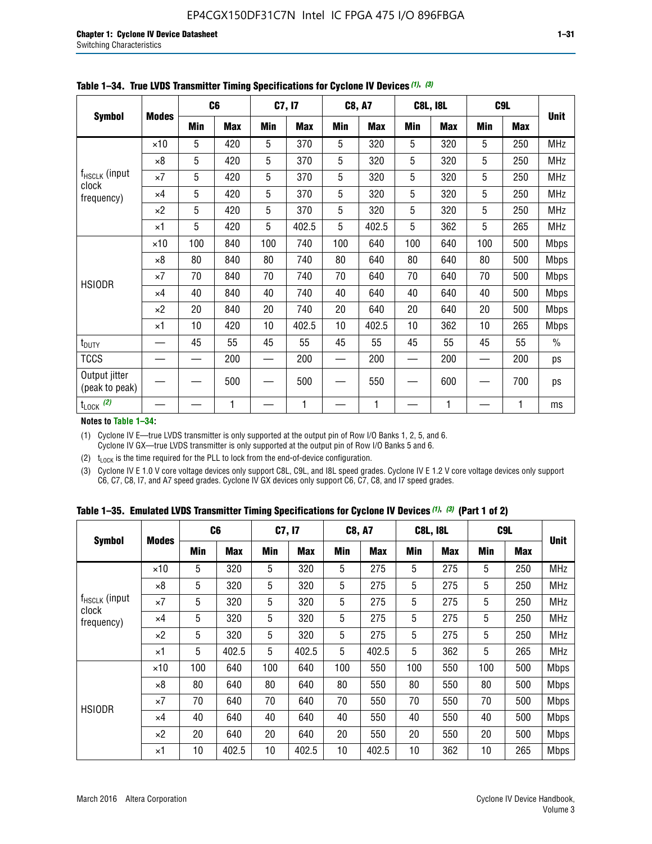|                                 |              |     | C <sub>6</sub> |     | C7, I7     |            | <b>C8, A7</b> |     | <b>C8L, I8L</b> |            | C9L        |               |
|---------------------------------|--------------|-----|----------------|-----|------------|------------|---------------|-----|-----------------|------------|------------|---------------|
| <b>Symbol</b>                   | <b>Modes</b> | Min | <b>Max</b>     | Min | <b>Max</b> | <b>Min</b> | <b>Max</b>    | Min | <b>Max</b>      | <b>Min</b> | <b>Max</b> | <b>Unit</b>   |
|                                 | $\times$ 10  | 5   | 420            | 5   | 370        | 5          | 320           | 5   | 320             | 5          | 250        | <b>MHz</b>    |
|                                 | $\times 8$   | 5   | 420            | 5   | 370        | 5          | 320           | 5   | 320             | 5          | 250        | <b>MHz</b>    |
| f <sub>HSCLK</sub> (input       | $\times 7$   | 5   | 420            | 5   | 370        | 5          | 320           | 5   | 320             | 5          | 250        | <b>MHz</b>    |
| clock<br>frequency)             | $\times$ 4   | 5   | 420            | 5   | 370        | 5          | 320           | 5   | 320             | 5          | 250        | <b>MHz</b>    |
|                                 | $\times 2$   | 5   | 420            | 5   | 370        | 5          | 320           | 5   | 320             | 5          | 250        | <b>MHz</b>    |
|                                 | $\times$ 1   | 5   | 420            | 5   | 402.5      | 5          | 402.5         | 5   | 362             | 5          | 265        | <b>MHz</b>    |
|                                 | $\times$ 10  | 100 | 840            | 100 | 740        | 100        | 640           | 100 | 640             | 100        | 500        | <b>Mbps</b>   |
|                                 | $\times 8$   | 80  | 840            | 80  | 740        | 80         | 640           | 80  | 640             | 80         | 500        | <b>Mbps</b>   |
| <b>HSIODR</b>                   | $\times 7$   | 70  | 840            | 70  | 740        | 70         | 640           | 70  | 640             | 70         | 500        | <b>Mbps</b>   |
|                                 | $\times$ 4   | 40  | 840            | 40  | 740        | 40         | 640           | 40  | 640             | 40         | 500        | <b>Mbps</b>   |
|                                 | $\times 2$   | 20  | 840            | 20  | 740        | 20         | 640           | 20  | 640             | 20         | 500        | <b>Mbps</b>   |
|                                 | $\times$ 1   | 10  | 420            | 10  | 402.5      | 10         | 402.5         | 10  | 362             | 10         | 265        | <b>Mbps</b>   |
| t <sub>DUTY</sub>               |              | 45  | 55             | 45  | 55         | 45         | 55            | 45  | 55              | 45         | 55         | $\frac{0}{0}$ |
| <b>TCCS</b>                     |              |     | 200            |     | 200        |            | 200           |     | 200             |            | 200        | ps            |
| Output jitter<br>(peak to peak) |              |     | 500            |     | 500        |            | 550           |     | 600             |            | 700        | ps            |
| $t_{\text{LOCK}}$ (2)           |              |     | 1              |     | 1          |            | 1             |     | 1               |            | 1          | ms            |

**Table 1–34. True LVDS Transmitter Timing Specifications for Cyclone IV Devices** *(1)***,** *(3)*

**Notes to Table 1–34:**

(1) Cyclone IV E—true LVDS transmitter is only supported at the output pin of Row I/O Banks 1, 2, 5, and 6. Cyclone IV GX—true LVDS transmitter is only supported at the output pin of Row I/O Banks 5 and 6.

(2)  $t_{\text{LOCK}}$  is the time required for the PLL to lock from the end-of-device configuration.

(3) Cyclone IV E 1.0 V core voltage devices only support C8L, C9L, and I8L speed grades. Cyclone IV E 1.2 V core voltage devices only support C6, C7, C8, I7, and A7 speed grades. Cyclone IV GX devices only support C6, C7, C8, and I7 speed grades.

|  |  |  |  | Table 1–35. Emulated LVDS Transmitter Timing Specifications for Cyclone IV Devices <sup>(1), (3)</sup> (Part 1 of 2) |  |  |
|--|--|--|--|----------------------------------------------------------------------------------------------------------------------|--|--|
|--|--|--|--|----------------------------------------------------------------------------------------------------------------------|--|--|

|                             |              | C <sub>6</sub> |            | C7, I7     |            | <b>C8, A7</b> |            | <b>C8L, I8L</b> |            |            | C <sub>9</sub> L |             |
|-----------------------------|--------------|----------------|------------|------------|------------|---------------|------------|-----------------|------------|------------|------------------|-------------|
| <b>Symbol</b>               | <b>Modes</b> | Min            | <b>Max</b> | <b>Min</b> | <b>Max</b> | <b>Min</b>    | <b>Max</b> | <b>Min</b>      | <b>Max</b> | <b>Min</b> | <b>Max</b>       | <b>Unit</b> |
|                             | $\times$ 10  | 5              | 320        | 5          | 320        | 5             | 275        | 5               | 275        | 5          | 250              | <b>MHz</b>  |
|                             | $\times 8$   | 5              | 320        | 5          | 320        | 5             | 275        | 5               | 275        | 5          | 250              | <b>MHz</b>  |
| $f_{HSCLK}$ (input<br>clock | $\times 7$   | 5              | 320        | 5          | 320        | 5             | 275        | 5               | 275        | 5          | 250              | <b>MHz</b>  |
| frequency)                  | $\times$ 4   | 5              | 320        | 5          | 320        | 5             | 275        | 5               | 275        | 5          | 250              | <b>MHz</b>  |
|                             | $\times 2$   | 5              | 320        | 5          | 320        | 5             | 275        | 5               | 275        | 5          | 250              | <b>MHz</b>  |
|                             | $\times$ 1   | 5              | 402.5      | 5          | 402.5      | 5             | 402.5      | 5               | 362        | 5          | 265              | <b>MHz</b>  |
|                             | $\times$ 10  | 100            | 640        | 100        | 640        | 100           | 550        | 100             | 550        | 100        | 500              | <b>Mbps</b> |
|                             | $\times 8$   | 80             | 640        | 80         | 640        | 80            | 550        | 80              | 550        | 80         | 500              | <b>Mbps</b> |
| <b>HSIODR</b>               | $\times 7$   | 70             | 640        | 70         | 640        | 70            | 550        | 70              | 550        | 70         | 500              | <b>Mbps</b> |
|                             | $\times$ 4   | 40             | 640        | 40         | 640        | 40            | 550        | 40              | 550        | 40         | 500              | <b>Mbps</b> |
|                             | $\times 2$   | 20             | 640        | 20         | 640        | 20            | 550        | 20              | 550        | 20         | 500              | <b>Mbps</b> |
|                             | $\times$ 1   | 10             | 402.5      | 10         | 402.5      | 10            | 402.5      | 10              | 362        | 10         | 265              | <b>Mbps</b> |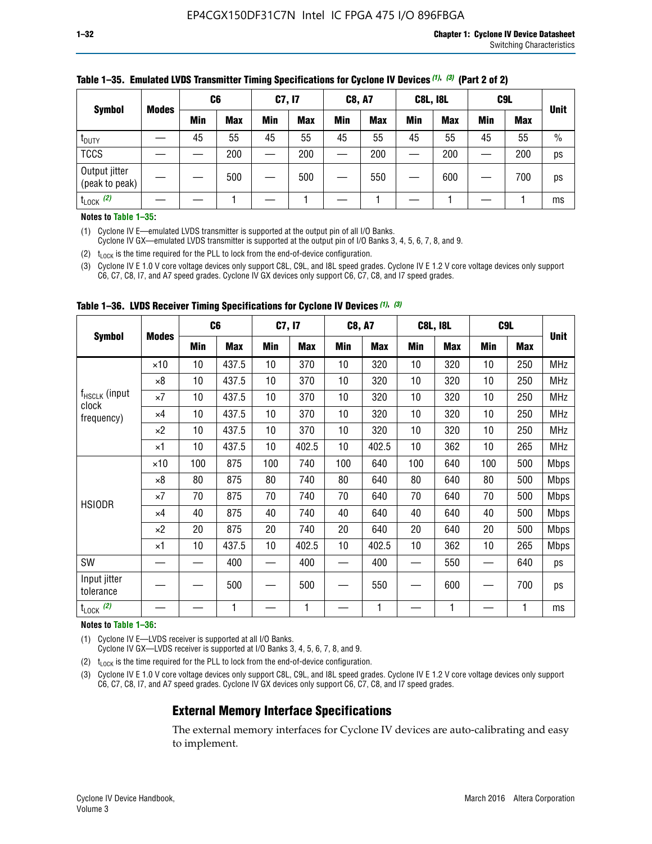|                                 |              | C <sub>6</sub> |            | C7, I7     |            | <b>C8, A7</b> |            | <b>C8L, I8L</b> |            |         | C <sub>9</sub> L |               |
|---------------------------------|--------------|----------------|------------|------------|------------|---------------|------------|-----------------|------------|---------|------------------|---------------|
| <b>Symbol</b>                   | <b>Modes</b> | Min            | <b>Max</b> | <b>Min</b> | <b>Max</b> | <b>Min</b>    | <b>Max</b> | Min             | <b>Max</b> | Min     | <b>Max</b>       | <b>Unit</b>   |
| t <sub>DUTY</sub>               |              | 45             | 55         | 45         | 55         | 45            | 55         | 45              | 55         | 45      | 55               | $\frac{0}{0}$ |
| <b>TCCS</b>                     |              |                | 200        |            | 200        |               | 200        |                 | 200        | —<br>—— | 200              | ps            |
| Output jitter<br>(peak to peak) |              |                | 500        |            | 500        |               | 550        |                 | 600        |         | 700              | ps            |
| $t_{\text{LOCK}}$ (2)           |              |                |            |            |            |               |            |                 |            |         |                  | ms            |

### **Table 1–35. Emulated LVDS Transmitter Timing Specifications for Cyclone IV Devices** *(1)***,** *(3)* **(Part 2 of 2)**

#### **Notes to Table 1–35:**

(1) Cyclone IV E—emulated LVDS transmitter is supported at the output pin of all I/O Banks.

Cyclone IV GX—emulated LVDS transmitter is supported at the output pin of I/O Banks 3, 4, 5, 6, 7, 8, and 9.

(2)  $t_{\text{LOCK}}$  is the time required for the PLL to lock from the end-of-device configuration.

(3) Cyclone IV E 1.0 V core voltage devices only support C8L, C9L, and I8L speed grades. Cyclone IV E 1.2 V core voltage devices only support C6, C7, C8, I7, and A7 speed grades. Cyclone IV GX devices only support C6, C7, C8, and I7 speed grades.

|                                    |              |     | C <sub>6</sub> | C7, I7 |       | <b>C8, A7</b> |            |     | <b>C8L, I8L</b> | C <sub>9</sub> L |     |             |
|------------------------------------|--------------|-----|----------------|--------|-------|---------------|------------|-----|-----------------|------------------|-----|-------------|
| <b>Symbol</b>                      | <b>Modes</b> | Min | <b>Max</b>     | Min    | Max   | Min           | <b>Max</b> | Min | <b>Max</b>      | Min              | Max | <b>Unit</b> |
|                                    | $\times$ 10  | 10  | 437.5          | 10     | 370   | 10            | 320        | 10  | 320             | 10               | 250 | MHz         |
|                                    | ×8           | 10  | 437.5          | 10     | 370   | 10            | 320        | 10  | 320             | 10               | 250 | <b>MHz</b>  |
| f <sub>HSCLK</sub> (input<br>clock | ×7           | 10  | 437.5          | 10     | 370   | 10            | 320        | 10  | 320             | 10               | 250 | <b>MHz</b>  |
| frequency)                         | $\times 4$   | 10  | 437.5          | 10     | 370   | 10            | 320        | 10  | 320             | 10               | 250 | <b>MHz</b>  |
|                                    | $\times 2$   | 10  | 437.5          | 10     | 370   | 10            | 320        | 10  | 320             | 10               | 250 | <b>MHz</b>  |
|                                    | ×1           | 10  | 437.5          | 10     | 402.5 | 10            | 402.5      | 10  | 362             | 10               | 265 | <b>MHz</b>  |
|                                    | $\times$ 10  | 100 | 875            | 100    | 740   | 100           | 640        | 100 | 640             | 100              | 500 | <b>Mbps</b> |
|                                    | $\times 8$   | 80  | 875            | 80     | 740   | 80            | 640        | 80  | 640             | 80               | 500 | <b>Mbps</b> |
| <b>HSIODR</b>                      | ×7           | 70  | 875            | 70     | 740   | 70            | 640        | 70  | 640             | 70               | 500 | <b>Mbps</b> |
|                                    | $\times 4$   | 40  | 875            | 40     | 740   | 40            | 640        | 40  | 640             | 40               | 500 | <b>Mbps</b> |
|                                    | $\times 2$   | 20  | 875            | 20     | 740   | 20            | 640        | 20  | 640             | 20               | 500 | <b>Mbps</b> |
|                                    | ×1           | 10  | 437.5          | 10     | 402.5 | 10            | 402.5      | 10  | 362             | 10               | 265 | <b>Mbps</b> |
| SW                                 |              |     | 400            |        | 400   |               | 400        |     | 550             |                  | 640 | ps          |
| Input jitter<br>tolerance          |              |     | 500            |        | 500   |               | 550        |     | 600             |                  | 700 | ps          |
| $t_{\text{LOCK}}$ (2)              |              |     | 1              |        | 1     |               | 1          |     | 1               |                  | 1   | ms          |

**Table 1–36. LVDS Receiver Timing Specifications for Cyclone IV Devices** *(1)***,** *(3)*

#### **Notes to Table 1–36:**

(1) Cyclone IV E—LVDS receiver is supported at all I/O Banks.

Cyclone IV GX—LVDS receiver is supported at I/O Banks 3, 4, 5, 6, 7, 8, and 9.

(2)  $t_{\text{LOCK}}$  is the time required for the PLL to lock from the end-of-device configuration.

(3) Cyclone IV E 1.0 V core voltage devices only support C8L, C9L, and I8L speed grades. Cyclone IV E 1.2 V core voltage devices only support C6, C7, C8, I7, and A7 speed grades. Cyclone IV GX devices only support C6, C7, C8, and I7 speed grades.

# **External Memory Interface Specifications**

The external memory interfaces for Cyclone IV devices are auto-calibrating and easy to implement.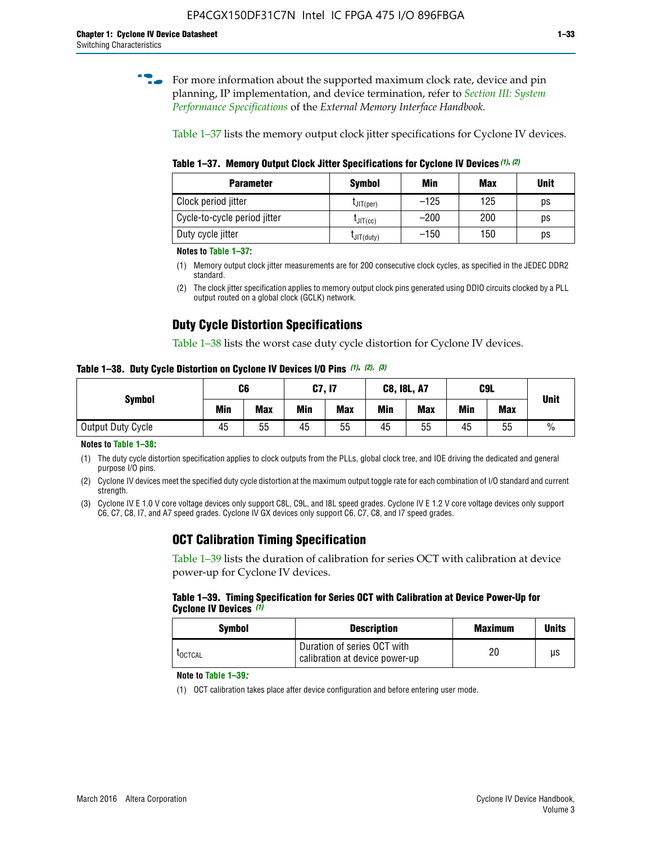**for more information about the supported maximum clock rate, device and pin** planning, IP implementation, and device termination, refer to *[Section III: System](http://www.altera.com/literature/hb/external-memory/emi_intro_specs.pdf)  [Performance Specifications](http://www.altera.com/literature/hb/external-memory/emi_intro_specs.pdf)* of the *External Memory Interface Handbook*.

Table 1–37 lists the memory output clock jitter specifications for Cyclone IV devices.

**Table 1–37. Memory Output Clock Jitter Specifications for Cyclone IV Devices** *(1)***,** *(2)*

| <b>Parameter</b>             | <b>Symbol</b>  | Min    | <b>Max</b> | <b>Unit</b> |
|------------------------------|----------------|--------|------------|-------------|
| Clock period jitter          | $L$ JIT(per)   | $-125$ | 125        | ps          |
| Cycle-to-cycle period jitter | $L$ JIT $(cc)$ | $-200$ | 200        | ps          |
| Duty cycle jitter            | LJIT(duty)     | $-150$ | 150        | рs          |

**Notes to Table 1–37:**

- (1) Memory output clock jitter measurements are for 200 consecutive clock cycles, as specified in the JEDEC DDR2 standard.
- (2) The clock jitter specification applies to memory output clock pins generated using DDIO circuits clocked by a PLL output routed on a global clock (GCLK) network.

# **Duty Cycle Distortion Specifications**

Table 1–38 lists the worst case duty cycle distortion for Cyclone IV devices.

**Table 1–38. Duty Cycle Distortion on Cyclone IV Devices I/O Pins** *(1)***,** *(2), (3)*

| <b>Symbol</b>     | C <sub>6</sub> |            | C7, I7     |            | <b>C8, I8L, A7</b> |            |            | C9L        | <b>Unit</b>   |
|-------------------|----------------|------------|------------|------------|--------------------|------------|------------|------------|---------------|
|                   | Min            | <b>Max</b> | <b>Min</b> | <b>Max</b> | Min                | <b>Max</b> | <b>Min</b> | <b>Max</b> |               |
| Output Duty Cycle | 45             | 55         | 45         | 55         | 45                 | 55         | 45         | 55         | $\frac{0}{0}$ |

**Notes to Table 1–38:**

(1) The duty cycle distortion specification applies to clock outputs from the PLLs, global clock tree, and IOE driving the dedicated and general purpose I/O pins.

(2) Cyclone IV devices meet the specified duty cycle distortion at the maximum output toggle rate for each combination of I/O standard and current strength.

(3) Cyclone IV E 1.0 V core voltage devices only support C8L, C9L, and I8L speed grades. Cyclone IV E 1.2 V core voltage devices only support C6, C7, C8, I7, and A7 speed grades. Cyclone IV GX devices only support C6, C7, C8, and I7 speed grades.

# **OCT Calibration Timing Specification**

Table 1–39 lists the duration of calibration for series OCT with calibration at device power-up for Cyclone IV devices.

#### **Table 1–39. Timing Specification for Series OCT with Calibration at Device Power-Up for Cyclone IV Devices** *(1)*

| Symbol  | <b>Description</b>                                            | <b>Maximum</b> | <b>Units</b> |
|---------|---------------------------------------------------------------|----------------|--------------|
| LOCTCAL | Duration of series OCT with<br>calibration at device power-up | 20             | μs           |

#### **Note to Table 1–39***:*

(1) OCT calibration takes place after device configuration and before entering user mode.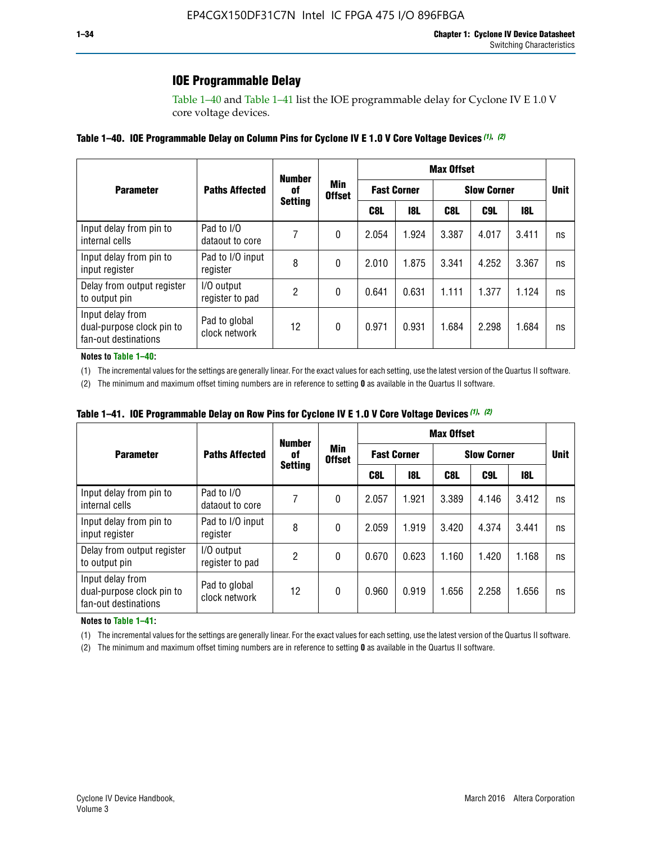# **IOE Programmable Delay**

Table 1–40 and Table 1–41 list the IOE programmable delay for Cyclone IV E 1.0 V core voltage devices.

| Table 1–40. IOE Programmable Delay on Column Pins for Cyclone IV E 1.0 V Core Voltage Devices (1), (2) |
|--------------------------------------------------------------------------------------------------------|
|--------------------------------------------------------------------------------------------------------|

|                                                                       |                                | <b>Number</b><br>0f | Min<br><b>Offset</b> | <b>Max Offset</b>  |       |                    |             |       |    |  |
|-----------------------------------------------------------------------|--------------------------------|---------------------|----------------------|--------------------|-------|--------------------|-------------|-------|----|--|
| <b>Parameter</b>                                                      | <b>Paths Affected</b>          |                     |                      | <b>Fast Corner</b> |       | <b>Slow Corner</b> | <b>Unit</b> |       |    |  |
|                                                                       |                                | <b>Setting</b>      |                      | C8L                | 18L   | C8L                | C9L         | 18L   |    |  |
| Input delay from pin to<br>internal cells                             | Pad to I/O<br>dataout to core  | 7                   | 0                    | 2.054              | 1.924 | 3.387              | 4.017       | 3.411 | ns |  |
| Input delay from pin to<br>input register                             | Pad to I/O input<br>register   | 8                   | 0                    | 2.010              | 1.875 | 3.341              | 4.252       | 3.367 | ns |  |
| Delay from output register<br>to output pin                           | I/O output<br>register to pad  | 2                   | 0                    | 0.641              | 0.631 | 1.111              | 1.377       | 1.124 | ns |  |
| Input delay from<br>dual-purpose clock pin to<br>fan-out destinations | Pad to global<br>clock network | 12                  | 0                    | 0.971              | 0.931 | 1.684              | 2.298       | 1.684 | ns |  |

#### **Notes to Table 1–40:**

(1) The incremental values for the settings are generally linear. For the exact values for each setting, use the latest version of the Quartus II software.

(2) The minimum and maximum offset timing numbers are in reference to setting **0** as available in the Quartus II software.

| Table 1–41. IOE Programmable Delay on Row Pins for Cyclone IV E 1.0 V Core Voltage Devices (1), (2) |  |  |
|-----------------------------------------------------------------------------------------------------|--|--|
|-----------------------------------------------------------------------------------------------------|--|--|

|                                                                       |                                | <b>Number</b><br>0f |                      | <b>Max Offset</b> |                    |                    |             |       |    |  |
|-----------------------------------------------------------------------|--------------------------------|---------------------|----------------------|-------------------|--------------------|--------------------|-------------|-------|----|--|
| <b>Parameter</b>                                                      | <b>Paths Affected</b>          |                     | Min<br><b>Offset</b> |                   | <b>Fast Corner</b> | <b>Slow Corner</b> | <b>Unit</b> |       |    |  |
|                                                                       |                                | <b>Setting</b>      |                      | C8L               | <b>18L</b>         | C8L                | C9L         | 18L   |    |  |
| Input delay from pin to<br>internal cells                             | Pad to I/O<br>dataout to core  |                     | 0                    | 2.057             | 1.921              | 3.389              | 4.146       | 3.412 | ns |  |
| Input delay from pin to<br>input register                             | Pad to I/O input<br>register   | 8                   | 0                    | 2.059             | 1.919              | 3.420              | 4.374       | 3.441 | ns |  |
| Delay from output register<br>to output pin                           | I/O output<br>register to pad  | 2                   | 0                    | 0.670             | 0.623              | 1.160              | 1.420       | 1.168 | ns |  |
| Input delay from<br>dual-purpose clock pin to<br>fan-out destinations | Pad to global<br>clock network | 12                  | 0                    | 0.960             | 0.919              | 1.656              | 2.258       | 1.656 | ns |  |

#### **Notes to Table 1–41:**

(1) The incremental values for the settings are generally linear. For the exact values for each setting, use the latest version of the Quartus II software.

(2) The minimum and maximum offset timing numbers are in reference to setting **0** as available in the Quartus II software.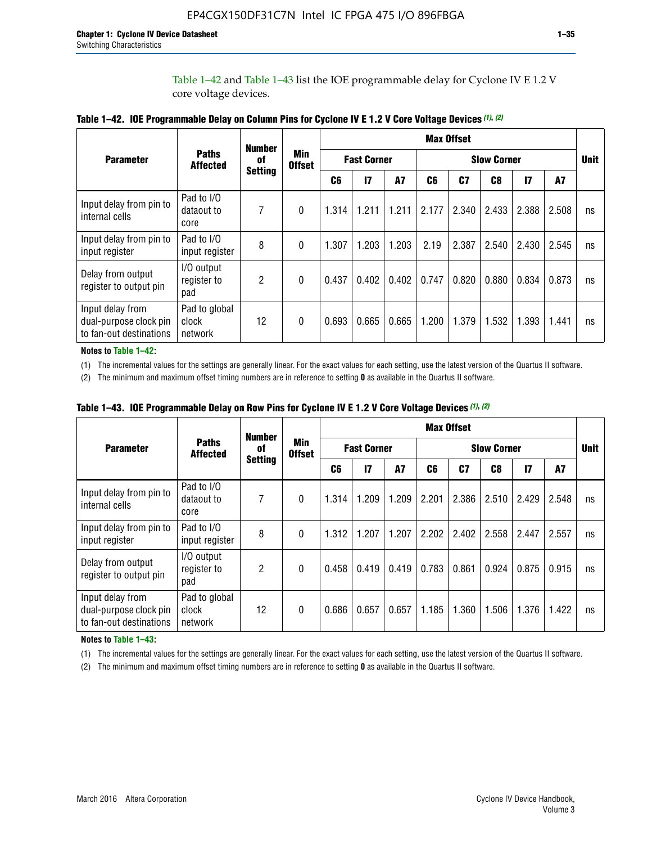Table 1–42 and Table 1–43 list the IOE programmable delay for Cyclone IV E 1.2 V core voltage devices.

|                                                                       |                                   | <b>Number</b>        |                             | <b>Max Offset</b>  |              |           |       |                    |                |              |       |    |
|-----------------------------------------------------------------------|-----------------------------------|----------------------|-----------------------------|--------------------|--------------|-----------|-------|--------------------|----------------|--------------|-------|----|
| <b>Parameter</b>                                                      | <b>Paths</b><br><b>Affected</b>   | of<br><b>Setting</b> | <b>Min</b><br><b>Offset</b> | <b>Fast Corner</b> |              |           |       | <b>Slow Corner</b> |                |              |       |    |
|                                                                       |                                   |                      |                             | C <sub>6</sub>     | $\mathbf{I}$ | <b>A7</b> | C6    | C7                 | C <sub>8</sub> | $\mathbf{I}$ | A7    |    |
| Input delay from pin to<br>internal cells                             | Pad to I/O<br>dataout to<br>core  | 7                    | 0                           | 1.314              | 1.211        | 1.211     | 2.177 | 2.340              | 2.433          | 2.388        | 2.508 | ns |
| Input delay from pin to<br>input register                             | Pad to I/O<br>input register      | 8                    | $\theta$                    | 1.307              | 1.203        | 1.203     | 2.19  | 2.387              | 2.540          | 2.430        | 2.545 | ns |
| Delay from output<br>register to output pin                           | I/O output<br>register to<br>pad  | 2                    | 0                           | 0.437              | 0.402        | 0.402     | 0.747 | 0.820              | 0.880          | 0.834        | 0.873 | ns |
| Input delay from<br>dual-purpose clock pin<br>to fan-out destinations | Pad to global<br>clock<br>network | 12                   | 0                           | 0.693              | 0.665        | 0.665     | 1.200 | 1.379              | 1.532          | 1.393        | 1.441 | ns |

**Table 1–42. IOE Programmable Delay on Column Pins for Cyclone IV E 1.2 V Core Voltage Devices** *(1)***,** *(2)*

**Notes to Table 1–42:**

(1) The incremental values for the settings are generally linear. For the exact values for each setting, use the latest version of the Quartus II software.

(2) The minimum and maximum offset timing numbers are in reference to setting **0** as available in the Quartus II software.

|                                                                       |                                   | <b>Number</b>        |                      |                    | <b>Max Offset</b> |       |       |                    |       |              |       |    |
|-----------------------------------------------------------------------|-----------------------------------|----------------------|----------------------|--------------------|-------------------|-------|-------|--------------------|-------|--------------|-------|----|
| <b>Parameter</b>                                                      | <b>Paths</b><br><b>Affected</b>   | 0f<br><b>Setting</b> | Min<br><b>Offset</b> | <b>Fast Corner</b> |                   |       |       | <b>Slow Corner</b> |       |              |       |    |
|                                                                       |                                   |                      |                      | C6                 | 17                | A7    | C6    | C <sub>7</sub>     | C8    | $\mathbf{I}$ | A7    |    |
| Input delay from pin to<br>internal cells                             | Pad to I/O<br>dataout to<br>core  | 7                    | 0                    | 1.314              | 1.209             | 1.209 | 2.201 | 2.386              | 2.510 | 2.429        | 2.548 | ns |
| Input delay from pin to<br>input register                             | Pad to I/O<br>input register      | 8                    | $\theta$             | 1.312              | 1.207             | 1.207 | 2.202 | 2.402              | 2.558 | 2.447        | 2.557 | ns |
| Delay from output<br>register to output pin                           | I/O output<br>register to<br>pad  | $\overline{2}$       | $\Omega$             | 0.458              | 0.419             | 0.419 | 0.783 | 0.861              | 0.924 | 0.875        | 0.915 | ns |
| Input delay from<br>dual-purpose clock pin<br>to fan-out destinations | Pad to global<br>clock<br>network | 12                   | 0                    | 0.686              | 0.657             | 0.657 | 1.185 | 1.360              | 1.506 | 1.376        | 1.422 | ns |

**Table 1–43. IOE Programmable Delay on Row Pins for Cyclone IV E 1.2 V Core Voltage Devices** *(1)***,** *(2)*

#### **Notes to Table 1–43:**

(1) The incremental values for the settings are generally linear. For the exact values for each setting, use the latest version of the Quartus II software.

(2) The minimum and maximum offset timing numbers are in reference to setting **0** as available in the Quartus II software.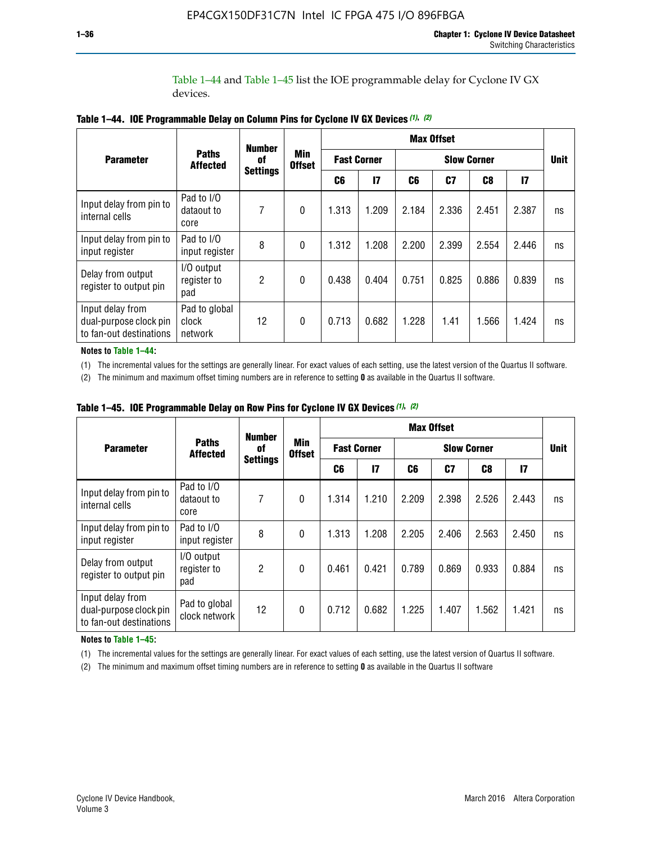Table 1–44 and Table 1–45 list the IOE programmable delay for Cyclone IV GX devices.

|                                                                       | <b>Number</b>                     |                       |                             | <b>Max Offset</b>  |               |                    |       |       |       |             |
|-----------------------------------------------------------------------|-----------------------------------|-----------------------|-----------------------------|--------------------|---------------|--------------------|-------|-------|-------|-------------|
| <b>Parameter</b>                                                      | <b>Paths</b><br><b>Affected</b>   | 0f<br><b>Settings</b> | <b>Min</b><br><b>Offset</b> | <b>Fast Corner</b> |               | <b>Slow Corner</b> |       |       |       | <b>Unit</b> |
|                                                                       |                                   |                       |                             | C6                 | $\mathsf{I}7$ | C6                 | C7    | C8    | 17    |             |
| Input delay from pin to<br>internal cells                             | Pad to I/O<br>dataout to<br>core  | 7                     | $\mathbf{0}$                | 1.313              | 1.209         | 2.184              | 2.336 | 2.451 | 2.387 | ns          |
| Input delay from pin to<br>input register                             | Pad to I/O<br>input register      | 8                     | $\theta$                    | 1.312              | 1.208         | 2.200              | 2.399 | 2.554 | 2.446 | ns          |
| Delay from output<br>register to output pin                           | I/O output<br>register to<br>pad  | 2                     | $\mathbf{0}$                | 0.438              | 0.404         | 0.751              | 0.825 | 0.886 | 0.839 | ns          |
| Input delay from<br>dual-purpose clock pin<br>to fan-out destinations | Pad to global<br>clock<br>network | 12                    | $\mathbf{0}$                | 0.713              | 0.682         | 1.228              | 1.41  | 1.566 | 1.424 | ns          |

**Table 1–44. IOE Programmable Delay on Column Pins for Cyclone IV GX Devices** *(1)***,** *(2)*

**Notes to Table 1–44:**

(1) The incremental values for the settings are generally linear. For exact values of each setting, use the latest version of the Quartus II software.

(2) The minimum and maximum offset timing numbers are in reference to setting **0** as available in the Quartus II software.

|                                                                       |                                  | <b>Number</b>         |                             |       |                    |       | <b>Max Offset</b> |       |              |    |
|-----------------------------------------------------------------------|----------------------------------|-----------------------|-----------------------------|-------|--------------------|-------|-------------------|-------|--------------|----|
| <b>Parameter</b>                                                      | <b>Paths</b><br><b>Affected</b>  | 0f<br><b>Settings</b> | <b>Min</b><br><b>Offset</b> |       | <b>Fast Corner</b> |       | <b>Unit</b>       |       |              |    |
|                                                                       |                                  |                       |                             | C6    | 17                 | C6    | C7                | C8    | $\mathbf{I}$ |    |
| Input delay from pin to<br>internal cells                             | Pad to I/O<br>dataout to<br>core | 7                     | $\mathbf{0}$                | 1.314 | 1.210              | 2.209 | 2.398             | 2.526 | 2.443        | ns |
| Input delay from pin to<br>input register                             | Pad to I/O<br>input register     | 8                     | $\mathbf{0}$                | 1.313 | 1.208              | 2.205 | 2.406             | 2.563 | 2.450        | ns |
| Delay from output<br>register to output pin                           | I/O output<br>register to<br>pad | $\overline{2}$        | $\mathbf{0}$                | 0.461 | 0.421              | 0.789 | 0.869             | 0.933 | 0.884        | ns |
| Input delay from<br>dual-purpose clock pin<br>to fan-out destinations | Pad to global<br>clock network   | 12                    | 0                           | 0.712 | 0.682              | 1.225 | 1.407             | 1.562 | 1.421        | ns |

**Table 1–45. IOE Programmable Delay on Row Pins for Cyclone IV GX Devices** *(1)***,** *(2)*

#### **Notes to Table 1–45:**

(1) The incremental values for the settings are generally linear. For exact values of each setting, use the latest version of Quartus II software.

(2) The minimum and maximum offset timing numbers are in reference to setting **0** as available in the Quartus II software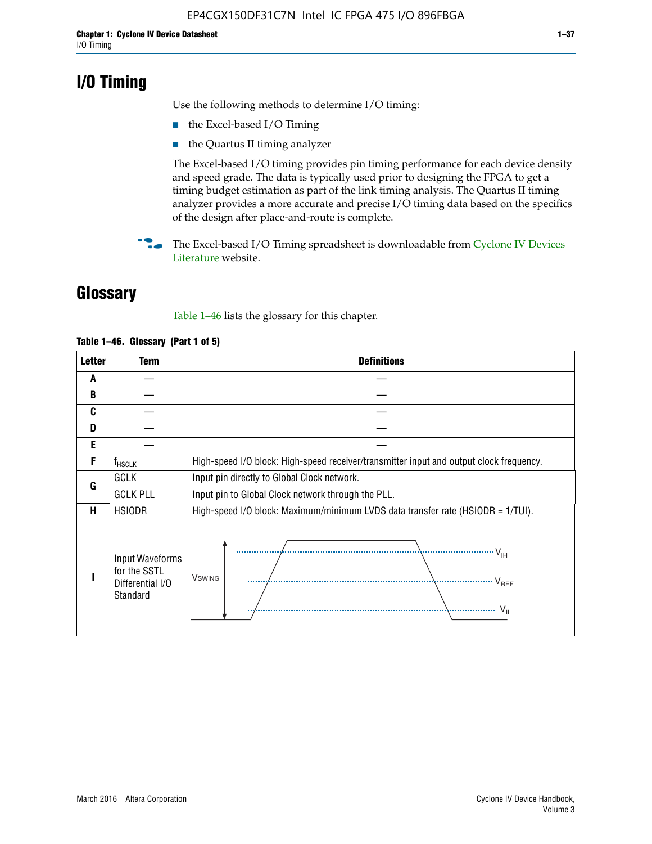# **I/O Timing**

Use the following methods to determine I/O timing:

- the Excel-based I/O Timing
- the Quartus II timing analyzer

The Excel-based I/O timing provides pin timing performance for each device density and speed grade. The data is typically used prior to designing the FPGA to get a timing budget estimation as part of the link timing analysis. The Quartus II timing analyzer provides a more accurate and precise I/O timing data based on the specifics of the design after place-and-route is complete.

**For The Excel-based I/O Timing spreadsheet is downloadable from Cyclone IV Devices** [Literature](http://www.altera.com/literature/lit-cyclone-iv.jsp) website.

# **Glossary**

Table 1–46 lists the glossary for this chapter.

| <b>Letter</b> | Term                                                            | <b>Definitions</b>                                                                                                                                                                                                                                                                                                                                                                                                                                                |  |  |  |  |  |  |  |
|---------------|-----------------------------------------------------------------|-------------------------------------------------------------------------------------------------------------------------------------------------------------------------------------------------------------------------------------------------------------------------------------------------------------------------------------------------------------------------------------------------------------------------------------------------------------------|--|--|--|--|--|--|--|
| A             |                                                                 |                                                                                                                                                                                                                                                                                                                                                                                                                                                                   |  |  |  |  |  |  |  |
| B             |                                                                 |                                                                                                                                                                                                                                                                                                                                                                                                                                                                   |  |  |  |  |  |  |  |
| C             |                                                                 |                                                                                                                                                                                                                                                                                                                                                                                                                                                                   |  |  |  |  |  |  |  |
| D             |                                                                 |                                                                                                                                                                                                                                                                                                                                                                                                                                                                   |  |  |  |  |  |  |  |
| E             |                                                                 |                                                                                                                                                                                                                                                                                                                                                                                                                                                                   |  |  |  |  |  |  |  |
| F             | $f_{HSCLK}$                                                     | High-speed I/O block: High-speed receiver/transmitter input and output clock frequency.                                                                                                                                                                                                                                                                                                                                                                           |  |  |  |  |  |  |  |
| G             | <b>GCLK</b>                                                     | Input pin directly to Global Clock network.                                                                                                                                                                                                                                                                                                                                                                                                                       |  |  |  |  |  |  |  |
|               | <b>GCLK PLL</b>                                                 | Input pin to Global Clock network through the PLL.                                                                                                                                                                                                                                                                                                                                                                                                                |  |  |  |  |  |  |  |
| н             | <b>HSIODR</b>                                                   | High-speed I/O block: Maximum/minimum LVDS data transfer rate (HSIODR = 1/TUI).                                                                                                                                                                                                                                                                                                                                                                                   |  |  |  |  |  |  |  |
|               | Input Waveforms<br>for the SSTL<br>Differential I/O<br>Standard | $\frac{1}{1 + \frac{1}{1 + \frac{1}{1 + \frac{1}{1 + \frac{1}{1 + \frac{1}{1 + \frac{1}{1 + \frac{1}{1 + \frac{1}{1 + \frac{1}{1 + \frac{1}{1 + \frac{1}{1 + \frac{1}{1 + \frac{1}{1 + \frac{1}{1 + \frac{1}{1 + \frac{1}{1 + \frac{1}{1 + \frac{1}{1 + \frac{1}{1 + \frac{1}{1 + \frac{1}{1 + \frac{1}{1 + \frac{1}{1 + \frac{1}{1 + \frac{1}{1 + \frac{1}{1 + \frac{1}{1 + \frac{1}{1 + \frac{1}{1 + \frac{1}{1 + \frac{$<br><b>V</b> swing<br>V <sub>REF</sub> |  |  |  |  |  |  |  |

### **Table 1–46. Glossary (Part 1 of 5)**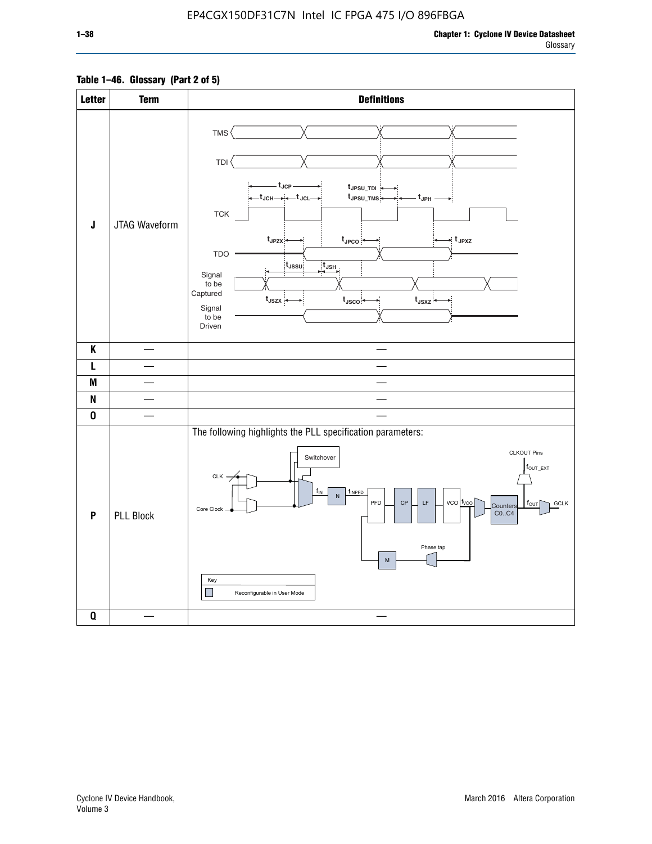# **Table 1–46. Glossary (Part 2 of 5)**

| <b>Letter</b>             | <b>Term</b>      | <b>Definitions</b>                                                                                                                                                                                                                                                                                                                                                                                                                                                                            |
|---------------------------|------------------|-----------------------------------------------------------------------------------------------------------------------------------------------------------------------------------------------------------------------------------------------------------------------------------------------------------------------------------------------------------------------------------------------------------------------------------------------------------------------------------------------|
| J                         | JTAG Waveform    | TMS<br>TDI<br>– t <sub>JCP</sub> –<br>tJPSU_TDI:<br>_t <sub>JCH</sub> ____+_t <sub>JCL</sub> __<br>t <sub>JPSU_TMS</sub><br>– t <sub>JPH</sub> .<br>${\tt TCK}$<br>$t_{JPZX}$<br>$t_{\text{JPCO}}$<br>$\star$ t <sub>JPXZ</sub><br><b>TDO</b><br>$t_{\rm JSSU}$<br>$t_{\mathsf{JSH}}$<br>Signal<br>to be<br>Captured<br>$t_{\text{JSZX}}$<br>$t_{\text{JSCO}}$<br>$t_{JSXZ}$<br>Signal<br>to be<br>Driven                                                                                     |
| K                         |                  |                                                                                                                                                                                                                                                                                                                                                                                                                                                                                               |
| L                         |                  |                                                                                                                                                                                                                                                                                                                                                                                                                                                                                               |
| M                         |                  |                                                                                                                                                                                                                                                                                                                                                                                                                                                                                               |
| $\boldsymbol{\mathsf{N}}$ |                  |                                                                                                                                                                                                                                                                                                                                                                                                                                                                                               |
| $\pmb{0}$                 |                  |                                                                                                                                                                                                                                                                                                                                                                                                                                                                                               |
| P                         | <b>PLL Block</b> | The following highlights the PLL specification parameters:<br><b>CLKOUT Pins</b><br>Switchover<br>$f_{\text{OUT\_EXT}}$<br>CLK -<br>$f_{IN}$<br>fINPFD<br>$\overline{\mathsf{N}}$<br>$vco$ $t_{vco}$<br>PFD<br>$\mathsf{CP}$<br>$\mathsf{LF}\,$<br><b>GCLK</b><br>$f_{\text{OUT}}$<br>Counters<br>Core Clock<br>CO., C4<br>Phase tap<br>$\mathsf{M}% _{T}=\mathsf{M}_{T}\!\left( a,b\right) ,\ \mathsf{M}_{T}=\mathsf{M}_{T}\!\left( a,b\right) ,$<br>Key<br>H<br>Reconfigurable in User Mode |
| $\pmb{0}$                 |                  |                                                                                                                                                                                                                                                                                                                                                                                                                                                                                               |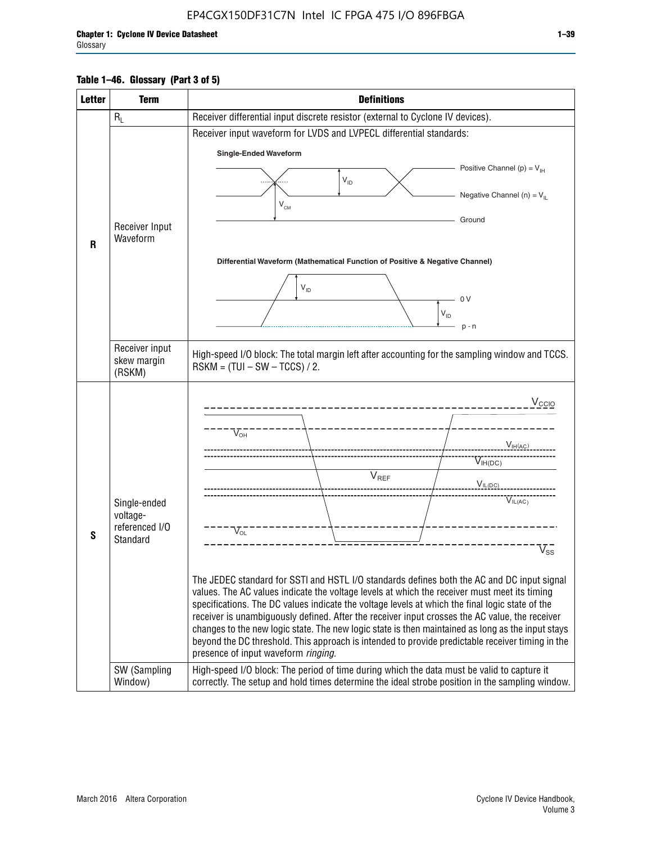# **Table 1–46. Glossary (Part 3 of 5)**

| <b>Letter</b> | <b>Term</b>                   | <b>Definitions</b>                                                                                                                                                                                    |  |  |  |  |  |  |  |
|---------------|-------------------------------|-------------------------------------------------------------------------------------------------------------------------------------------------------------------------------------------------------|--|--|--|--|--|--|--|
|               | $R_L$                         | Receiver differential input discrete resistor (external to Cyclone IV devices).                                                                                                                       |  |  |  |  |  |  |  |
|               |                               | Receiver input waveform for LVDS and LVPECL differential standards:                                                                                                                                   |  |  |  |  |  |  |  |
|               |                               | <b>Single-Ended Waveform</b>                                                                                                                                                                          |  |  |  |  |  |  |  |
|               |                               | Positive Channel (p) = $V_{\text{H}}$                                                                                                                                                                 |  |  |  |  |  |  |  |
|               |                               | $V_{ID}$                                                                                                                                                                                              |  |  |  |  |  |  |  |
|               |                               | Negative Channel (n) = $V_{\parallel}$<br>$V_{CM}$                                                                                                                                                    |  |  |  |  |  |  |  |
|               |                               | Ground                                                                                                                                                                                                |  |  |  |  |  |  |  |
|               | Receiver Input<br>Waveform    |                                                                                                                                                                                                       |  |  |  |  |  |  |  |
| R             |                               |                                                                                                                                                                                                       |  |  |  |  |  |  |  |
|               |                               | Differential Waveform (Mathematical Function of Positive & Negative Channel)                                                                                                                          |  |  |  |  |  |  |  |
|               |                               | $V_{ID}$                                                                                                                                                                                              |  |  |  |  |  |  |  |
|               |                               | 0V                                                                                                                                                                                                    |  |  |  |  |  |  |  |
|               |                               | $\mathsf{V}_{\mathsf{ID}}$                                                                                                                                                                            |  |  |  |  |  |  |  |
|               |                               | $p - n$                                                                                                                                                                                               |  |  |  |  |  |  |  |
|               | Receiver input<br>skew margin | High-speed I/O block: The total margin left after accounting for the sampling window and TCCS.<br>$RSKM = (TUI - SW - TCCS) / 2.$                                                                     |  |  |  |  |  |  |  |
|               | (RSKM)                        |                                                                                                                                                                                                       |  |  |  |  |  |  |  |
|               |                               | $V_{CCIO}$                                                                                                                                                                                            |  |  |  |  |  |  |  |
|               |                               |                                                                                                                                                                                                       |  |  |  |  |  |  |  |
|               |                               | $V_{\text{OH}}$                                                                                                                                                                                       |  |  |  |  |  |  |  |
|               |                               | V <sub>IH(AC)</sub>                                                                                                                                                                                   |  |  |  |  |  |  |  |
|               |                               | $V_{IH(DC)}$                                                                                                                                                                                          |  |  |  |  |  |  |  |
|               |                               | $V_{REF}$<br>$V_{IL(DC)}$                                                                                                                                                                             |  |  |  |  |  |  |  |
|               | Single-ended                  | VIL(AC)                                                                                                                                                                                               |  |  |  |  |  |  |  |
|               | voltage-                      |                                                                                                                                                                                                       |  |  |  |  |  |  |  |
| S             | referenced I/O<br>Standard    | $V_{OL}$                                                                                                                                                                                              |  |  |  |  |  |  |  |
|               |                               | $\overline{\mathsf{V}}_\mathsf{SS}^-$                                                                                                                                                                 |  |  |  |  |  |  |  |
|               |                               |                                                                                                                                                                                                       |  |  |  |  |  |  |  |
|               |                               | The JEDEC standard for SSTI and HSTL I/O standards defines both the AC and DC input signal<br>values. The AC values indicate the voltage levels at which the receiver must meet its timing            |  |  |  |  |  |  |  |
|               |                               | specifications. The DC values indicate the voltage levels at which the final logic state of the                                                                                                       |  |  |  |  |  |  |  |
|               |                               | receiver is unambiguously defined. After the receiver input crosses the AC value, the receiver                                                                                                        |  |  |  |  |  |  |  |
|               |                               | changes to the new logic state. The new logic state is then maintained as long as the input stays<br>beyond the DC threshold. This approach is intended to provide predictable receiver timing in the |  |  |  |  |  |  |  |
|               |                               | presence of input waveform ringing.                                                                                                                                                                   |  |  |  |  |  |  |  |
|               | SW (Sampling<br>Window)       | High-speed I/O block: The period of time during which the data must be valid to capture it<br>correctly. The setup and hold times determine the ideal strobe position in the sampling window.         |  |  |  |  |  |  |  |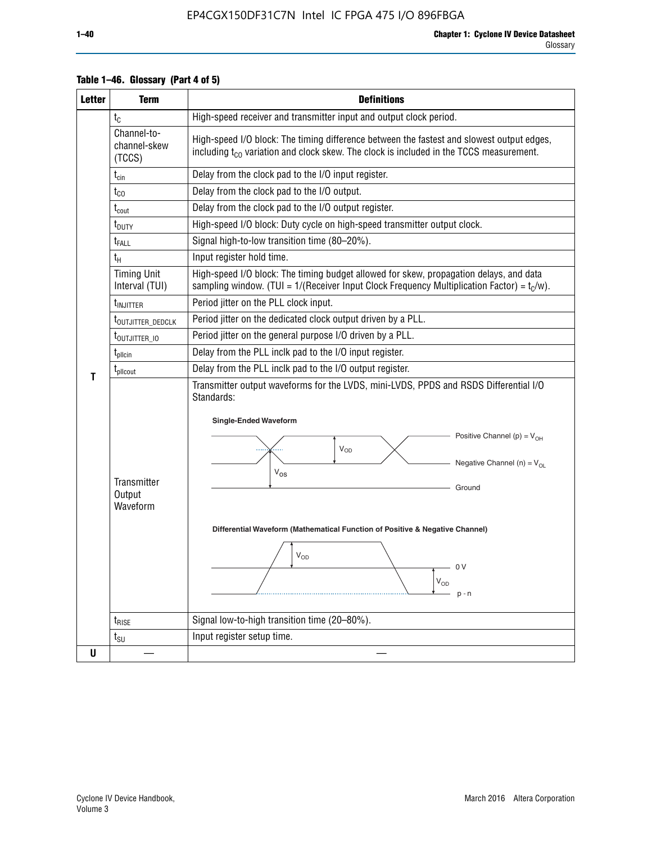| <b>Letter</b>                                                                                 | <b>Term</b>                                                             | <b>Definitions</b>                                                                                                                                                                                                                                                                                                                                                                                                      |  |  |  |
|-----------------------------------------------------------------------------------------------|-------------------------------------------------------------------------|-------------------------------------------------------------------------------------------------------------------------------------------------------------------------------------------------------------------------------------------------------------------------------------------------------------------------------------------------------------------------------------------------------------------------|--|--|--|
|                                                                                               | $t_{\rm C}$                                                             | High-speed receiver and transmitter input and output clock period.                                                                                                                                                                                                                                                                                                                                                      |  |  |  |
|                                                                                               | Channel-to-<br>channel-skew<br>(TCCS)                                   | High-speed I/O block: The timing difference between the fastest and slowest output edges,<br>including $t_{C0}$ variation and clock skew. The clock is included in the TCCS measurement.                                                                                                                                                                                                                                |  |  |  |
|                                                                                               | Delay from the clock pad to the I/O input register.<br>$t_{\text{cin}}$ |                                                                                                                                                                                                                                                                                                                                                                                                                         |  |  |  |
|                                                                                               | $t_{CO}$                                                                | Delay from the clock pad to the I/O output.                                                                                                                                                                                                                                                                                                                                                                             |  |  |  |
|                                                                                               | $t_{\text{cout}}$                                                       | Delay from the clock pad to the I/O output register.                                                                                                                                                                                                                                                                                                                                                                    |  |  |  |
|                                                                                               | t <sub>DUTY</sub>                                                       | High-speed I/O block: Duty cycle on high-speed transmitter output clock.                                                                                                                                                                                                                                                                                                                                                |  |  |  |
|                                                                                               | t <sub>FALL</sub>                                                       | Signal high-to-low transition time (80-20%).                                                                                                                                                                                                                                                                                                                                                                            |  |  |  |
|                                                                                               | $t_H$                                                                   | Input register hold time.                                                                                                                                                                                                                                                                                                                                                                                               |  |  |  |
|                                                                                               | <b>Timing Unit</b><br>Interval (TUI)                                    | High-speed I/O block: The timing budget allowed for skew, propagation delays, and data<br>sampling window. (TUI = $1/($ Receiver Input Clock Frequency Multiplication Factor) = $tC/w$ ).                                                                                                                                                                                                                               |  |  |  |
|                                                                                               | t <sub>INJITTER</sub>                                                   | Period jitter on the PLL clock input.                                                                                                                                                                                                                                                                                                                                                                                   |  |  |  |
| Period jitter on the dedicated clock output driven by a PLL.<br>t <sub>outjitter_dedclk</sub> |                                                                         |                                                                                                                                                                                                                                                                                                                                                                                                                         |  |  |  |
|                                                                                               | t <sub>outjitter_io</sub>                                               | Period jitter on the general purpose I/O driven by a PLL.                                                                                                                                                                                                                                                                                                                                                               |  |  |  |
|                                                                                               | $t_{\sf plicin}$                                                        | Delay from the PLL inclk pad to the I/O input register.                                                                                                                                                                                                                                                                                                                                                                 |  |  |  |
| T                                                                                             | t <sub>plicout</sub>                                                    | Delay from the PLL inclk pad to the I/O output register.                                                                                                                                                                                                                                                                                                                                                                |  |  |  |
|                                                                                               | Transmitter<br>Output<br>Waveform                                       | Transmitter output waveforms for the LVDS, mini-LVDS, PPDS and RSDS Differential I/O<br>Standards:<br><b>Single-Ended Waveform</b><br>Positive Channel (p) = $V_{OH}$<br><b>V<sub>OD</sub></b><br>Negative Channel (n) = $V_{OL}$<br>$V_{OS}$<br>Ground<br>Differential Waveform (Mathematical Function of Positive & Negative Channel)<br>$\rm V_{OD}$<br>$\bigcap$ $\bigcup$<br>$\mathsf{V}_{\mathsf{OD}}$<br>$p - n$ |  |  |  |
|                                                                                               | $t_{\text{RISE}}$                                                       | Signal low-to-high transition time (20-80%).                                                                                                                                                                                                                                                                                                                                                                            |  |  |  |
|                                                                                               | $t_{\text{SU}}$                                                         | Input register setup time.                                                                                                                                                                                                                                                                                                                                                                                              |  |  |  |
| U                                                                                             |                                                                         |                                                                                                                                                                                                                                                                                                                                                                                                                         |  |  |  |

# **Table 1–46. Glossary (Part 4 of 5)**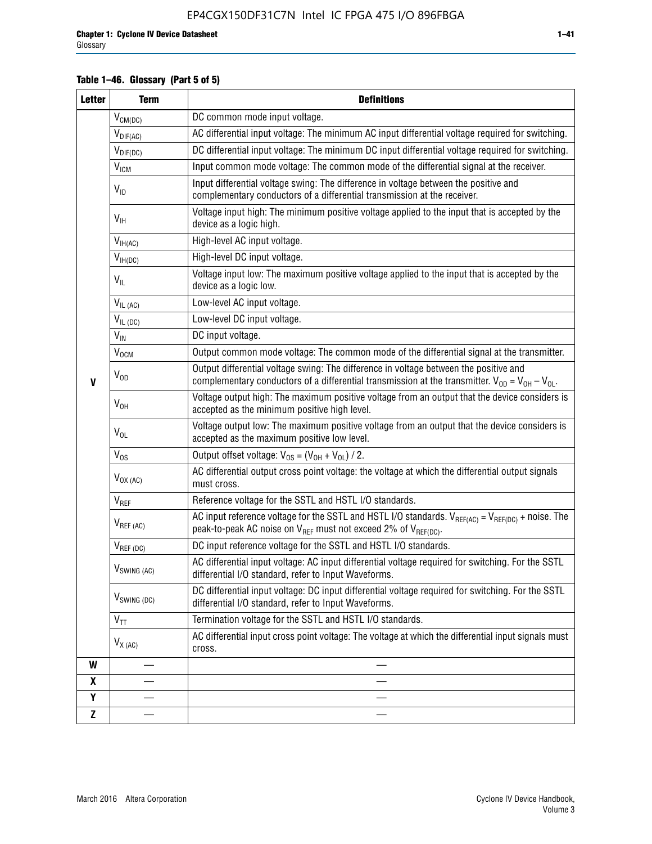# **Table 1–46. Glossary (Part 5 of 5)**

| <b>Letter</b>    | <b>Term</b>               | <b>Definitions</b>                                                                                                                                                                                |
|------------------|---------------------------|---------------------------------------------------------------------------------------------------------------------------------------------------------------------------------------------------|
|                  | $V_{CM(DC)}$              | DC common mode input voltage.                                                                                                                                                                     |
|                  | $V_{DIF(AC)}$             | AC differential input voltage: The minimum AC input differential voltage required for switching.                                                                                                  |
|                  | $V_{DIF(DC)}$             | DC differential input voltage: The minimum DC input differential voltage required for switching.                                                                                                  |
|                  | <b>V<sub>ICM</sub></b>    | Input common mode voltage: The common mode of the differential signal at the receiver.                                                                                                            |
|                  | $V_{ID}$                  | Input differential voltage swing: The difference in voltage between the positive and<br>complementary conductors of a differential transmission at the receiver.                                  |
|                  | $V_{\text{IH}}$           | Voltage input high: The minimum positive voltage applied to the input that is accepted by the<br>device as a logic high.                                                                          |
|                  | $V_{IH(AC)}$              | High-level AC input voltage.                                                                                                                                                                      |
|                  | $V_{IH(DC)}$              | High-level DC input voltage.                                                                                                                                                                      |
|                  | $V_{IL}$                  | Voltage input low: The maximum positive voltage applied to the input that is accepted by the<br>device as a logic low.                                                                            |
|                  | $V_{IL (AC)}$             | Low-level AC input voltage.                                                                                                                                                                       |
|                  | $V_{IL(DC)}$              | Low-level DC input voltage.                                                                                                                                                                       |
|                  | $V_{\text{IN}}$           | DC input voltage.                                                                                                                                                                                 |
|                  | $\rm V_{\rm OCM}$         | Output common mode voltage: The common mode of the differential signal at the transmitter.                                                                                                        |
| $\mathbf{V}$     | $V_{OD}$                  | Output differential voltage swing: The difference in voltage between the positive and<br>complementary conductors of a differential transmission at the transmitter. $V_{OD} = V_{OH} - V_{OL}$ . |
|                  | $V_{OH}$                  | Voltage output high: The maximum positive voltage from an output that the device considers is<br>accepted as the minimum positive high level.                                                     |
|                  | $V_{OL}$                  | Voltage output low: The maximum positive voltage from an output that the device considers is<br>accepted as the maximum positive low level.                                                       |
|                  | $V_{OS}$                  | Output offset voltage: $V_{OS} = (V_{OH} + V_{OL}) / 2$ .                                                                                                                                         |
|                  | $V_{OX (AC)}$             | AC differential output cross point voltage: the voltage at which the differential output signals<br>must cross.                                                                                   |
|                  | $V_{REF}$                 | Reference voltage for the SSTL and HSTL I/O standards.                                                                                                                                            |
|                  | $V_{REF\,(AC)}$           | AC input reference voltage for the SSTL and HSTL I/O standards. $V_{REF(AC)} = V_{REF(DC)} +$ noise. The<br>peak-to-peak AC noise on $V_{REF}$ must not exceed 2% of $V_{REF(DC)}$ .              |
|                  | $V_{REF(DC)}$             | DC input reference voltage for the SSTL and HSTL I/O standards.                                                                                                                                   |
|                  | $V_{\textrm{SWING (AC)}}$ | AC differential input voltage: AC input differential voltage required for switching. For the SSTL<br>differential I/O standard, refer to Input Waveforms.                                         |
|                  | V <sub>SWING (DC)</sub>   | DC differential input voltage: DC input differential voltage required for switching. For the SSTL<br>differential I/O standard, refer to Input Waveforms.                                         |
|                  | $V_{TT}$                  | Termination voltage for the SSTL and HSTL I/O standards.                                                                                                                                          |
|                  | $V_{X (AC)}$              | AC differential input cross point voltage: The voltage at which the differential input signals must<br>cross.                                                                                     |
| W                |                           |                                                                                                                                                                                                   |
| $\boldsymbol{x}$ |                           |                                                                                                                                                                                                   |
| Y                |                           |                                                                                                                                                                                                   |
| $\mathbf{Z}$     |                           |                                                                                                                                                                                                   |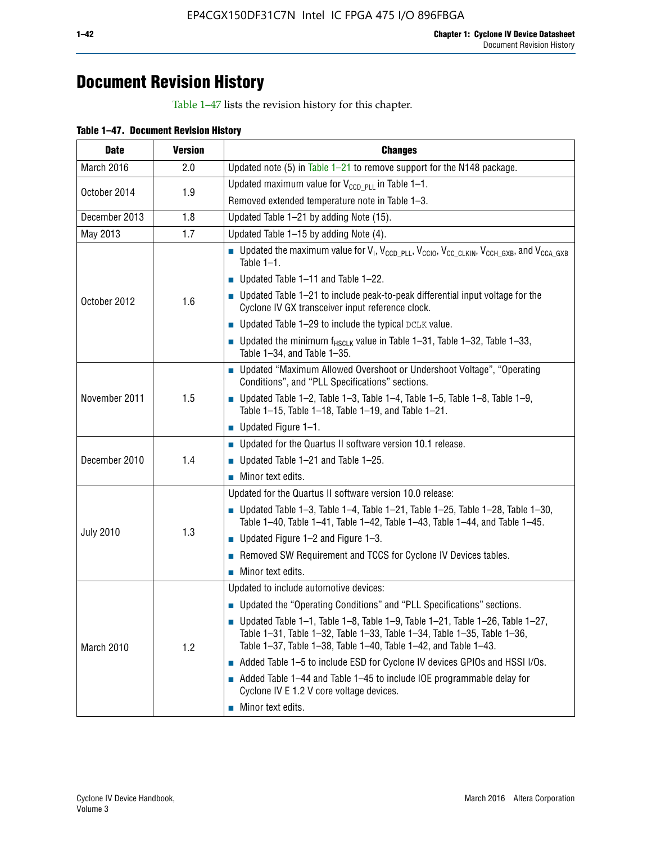# **Document Revision History**

Table 1–47 lists the revision history for this chapter.

| <b>Date</b>      | <b>Version</b> | <b>Changes</b>                                                                                                                                                                                                                            |
|------------------|----------------|-------------------------------------------------------------------------------------------------------------------------------------------------------------------------------------------------------------------------------------------|
| March 2016       | 2.0            | Updated note (5) in Table $1-21$ to remove support for the N148 package.                                                                                                                                                                  |
|                  | 1.9            | Updated maximum value for $V_{CCD, PL}$ in Table 1-1.                                                                                                                                                                                     |
| October 2014     |                | Removed extended temperature note in Table 1-3.                                                                                                                                                                                           |
| December 2013    | 1.8            | Updated Table 1-21 by adding Note (15).                                                                                                                                                                                                   |
| May 2013         | 1.7            | Updated Table 1-15 by adding Note (4).                                                                                                                                                                                                    |
|                  |                | Dpdated the maximum value for $V_1$ , $V_{CCD\_PLL}$ , $V_{CC10}$ , $V_{CC\_CLKIN}$ , $V_{CCH\_GXB}$ , and $V_{CCA\_GXB}$<br>Table $1-1$ .                                                                                                |
|                  |                | $\blacksquare$ Updated Table 1-11 and Table 1-22.                                                                                                                                                                                         |
| October 2012     | 1.6            | $\blacksquare$ Updated Table 1-21 to include peak-to-peak differential input voltage for the<br>Cyclone IV GX transceiver input reference clock.                                                                                          |
|                  |                | $\blacksquare$ Updated Table 1-29 to include the typical DCLK value.                                                                                                                                                                      |
|                  |                | <b>Updated the minimum f<sub>HSCLK</sub></b> value in Table 1-31, Table 1-32, Table 1-33,<br>Table 1-34, and Table 1-35.                                                                                                                  |
|                  | 1.5            | • Updated "Maximum Allowed Overshoot or Undershoot Voltage", "Operating<br>Conditions", and "PLL Specifications" sections.                                                                                                                |
| November 2011    |                | Updated Table 1-2, Table 1-3, Table 1-4, Table 1-5, Table 1-8, Table 1-9,<br>Table 1-15, Table 1-18, Table 1-19, and Table 1-21.                                                                                                          |
|                  |                | ■ Updated Figure $1-1$ .                                                                                                                                                                                                                  |
|                  |                | • Updated for the Quartus II software version 10.1 release.                                                                                                                                                                               |
| December 2010    | 1.4            | $\blacksquare$ Updated Table 1-21 and Table 1-25.                                                                                                                                                                                         |
|                  |                | $\blacksquare$ Minor text edits.                                                                                                                                                                                                          |
|                  | 1.3            | Updated for the Quartus II software version 10.0 release:                                                                                                                                                                                 |
|                  |                | Updated Table 1-3, Table 1-4, Table 1-21, Table 1-25, Table 1-28, Table 1-30,<br>Table 1-40, Table 1-41, Table 1-42, Table 1-43, Table 1-44, and Table 1-45.                                                                              |
| <b>July 2010</b> |                | ■ Updated Figure $1-2$ and Figure $1-3$ .                                                                                                                                                                                                 |
|                  |                | Removed SW Requirement and TCCS for Cyclone IV Devices tables.                                                                                                                                                                            |
|                  |                | $\blacksquare$ Minor text edits.                                                                                                                                                                                                          |
|                  |                | Updated to include automotive devices:                                                                                                                                                                                                    |
|                  | 1.2            | • Updated the "Operating Conditions" and "PLL Specifications" sections.                                                                                                                                                                   |
| March 2010       |                | $\blacksquare$ Updated Table 1-1, Table 1-8, Table 1-9, Table 1-21, Table 1-26, Table 1-27,<br>Table 1-31, Table 1-32, Table 1-33, Table 1-34, Table 1-35, Table 1-36,<br>Table 1-37, Table 1-38, Table 1-40, Table 1-42, and Table 1-43. |
|                  |                | Added Table 1-5 to include ESD for Cyclone IV devices GPIOs and HSSI I/Os.                                                                                                                                                                |
|                  |                | Added Table 1-44 and Table 1-45 to include IOE programmable delay for<br>Cyclone IV E 1.2 V core voltage devices.                                                                                                                         |
|                  |                | Minor text edits.                                                                                                                                                                                                                         |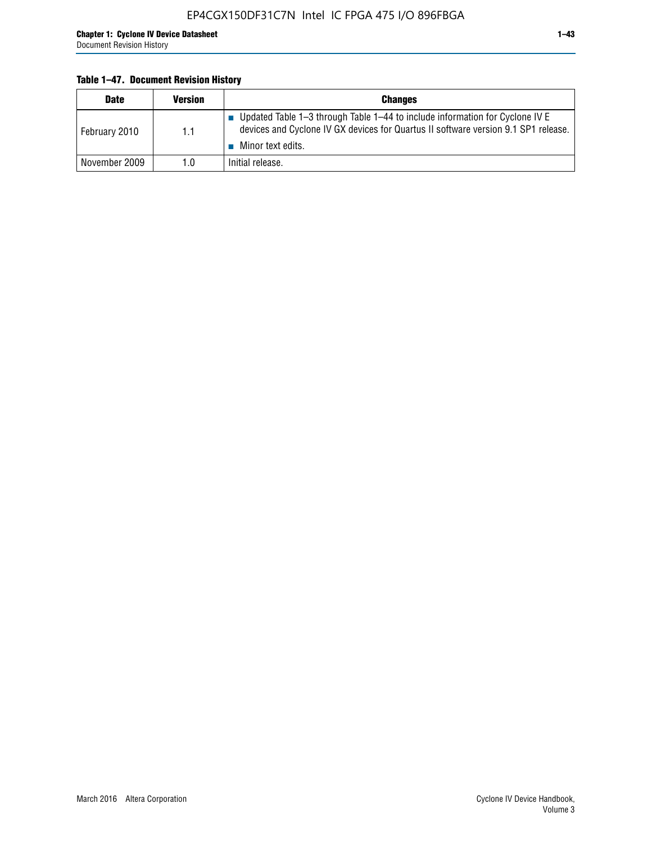# **Table 1–47. Document Revision History**

| <b>Date</b>   | <b>Version</b> | <b>Changes</b>                                                                                                                                                                          |
|---------------|----------------|-----------------------------------------------------------------------------------------------------------------------------------------------------------------------------------------|
| February 2010 | 1.1            | Updated Table 1-3 through Table 1-44 to include information for Cyclone IV E<br>devices and Cyclone IV GX devices for Quartus II software version 9.1 SP1 release.<br>Minor text edits. |
| November 2009 | 1.0            | Initial release.                                                                                                                                                                        |